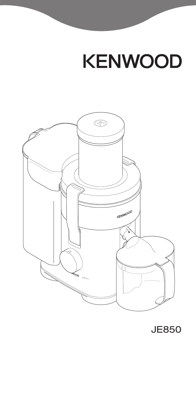# **KENWOOD**



JE850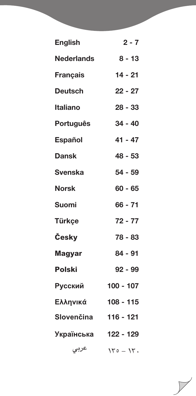| <b>English</b>    | $2 - 7$     |
|-------------------|-------------|
| <b>Nederlands</b> | $8 - 13$    |
| Français          | $14 - 21$   |
| <b>Deutsch</b>    | $22 - 27$   |
| <b>Italiano</b>   | $28 - 33$   |
| Português         | $34 - 40$   |
| <b>Español</b>    | $41 - 47$   |
| <b>Dansk</b>      | $48 - 53$   |
| <b>Svenska</b>    | $54 - 59$   |
| <b>Norsk</b>      | $60 - 65$   |
| <b>Suomi</b>      | $66 - 71$   |
| <b>Türkçe</b>     | $72 - 77$   |
| Česky             | 78 - 83     |
| <b>Magyar</b>     | $84 - 91$   |
| <b>Polski</b>     | $92 - 99$   |
| Русский           | $100 - 107$ |
| Ελληνικά          | $108 - 115$ |
| Slovenčina        | 116 - 121   |
| Українська        | 122 - 129   |
| عربى              | $140 - 14.$ |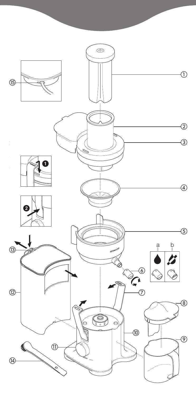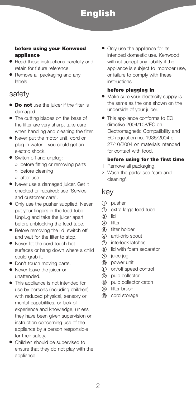# **English**

### **before using your Kenwood appliance**

- **●** Read these instructions carefully and retain for future reference.
- **●** Remove all packaging and any labels.

# safety

- **● Do not** use the juicer if the filter is damaged.
- **●** The cutting blades on the base of the filter are very sharp, take care when handling and cleaning the filter.
- **●** Never put the motor unit, cord or plug in water – you could get an electric shock.
- **●** Switch off and unplug:
	- **●** before fitting or removing parts
	- **●** before cleaning
	- **●** after use.
- **●** Never use a damaged juicer. Get it checked or repaired: see 'Service and customer care'.
- **●** Only use the pusher supplied. Never put your fingers in the feed tube. Unplug and take the juicer apart before unblocking the feed tube.
- **●** Before removing the lid, switch off and wait for the filter to stop.
- **●** Never let the cord touch hot surfaces or hang down where a child could grab it.
- **●** Don't touch moving parts.
- **●** Never leave the juicer on unattended.
- **●** This appliance is not intended for use by persons (including children) with reduced physical, sensory or mental capabilities, or lack of experience and knowledge, unless they have been given supervision or instruction concerning use of the appliance by a person responsible for their safety.
- **●** Children should be supervised to ensure that they do not play with the appliance.

**●** Only use the appliance for its intended domestic use. Kenwood will not accept any liability if the appliance is subject to improper use, or failure to comply with these instructions.

### **before plugging in**

- **●** Make sure your electricity supply is the same as the one shown on the underside of your juicer.
- **●** This appliance conforms to EC directive 2004/108/EC on Electromagnetic Compatibility and EC regulation no. 1935/2004 of 27/10/2004 on materials intended for contact with food.

### **before using for the first time**

- 1 Remove all packaging.
- 2 Wash the parts: see 'care and cleaning'.

## key

- 11 pusher
- extra large feed tube
- $\Omega$  lid
- 4 filter
- (5) filter holder
- anti-drip spout
- interlock latches
- (8) lid with foam separator
- (9) juice jug
- (10) power unit
- on/off speed control
- (12) pulp collector
- (13) pulp collector catch
- (4) filter brush
- (15) cord storage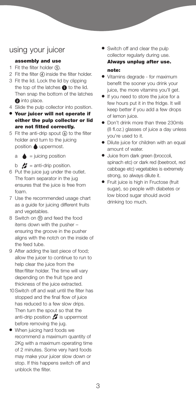# using your juicer

### **assembly and use**

- 1 Fit the filter holder  $(5)$ .
- 2 Fit the filter  $\overline{a}$  inside the filter holder.
- 3 Fit the lid. Lock the lid by clipping the top of the latches  $\bigcirc$  to the lid. Then snap the bottom of the latches <sup>o</sup>into place.
- 4 Slide the pulp collector into position.
- **● Your juicer will not operate if either the pulp collector or lid are not fitted correctly.**
- $5$  Fit the anti-drip spout  $(6)$  to the filter holder and turn to the juicing position **uppermost**.

 $a \triangle$  = juicing position

 $b \nvert$  = anti-drip position.

- 6 Put the juice jug under the outlet. The foam separator in the jug ensures that the juice is free from foam.
- 7 Use the recommended usage chart as a guide for juicing different fruits and vegetables.
- 8 Switch on (ii) and feed the food items down with the pusher – ensuring the groove in the pusher aligns with the notch on the inside of the feed tube.
- 9 After adding the last piece of food; allow the juicer to continue to run to help clear the juice from the filter/filter holder. The time will vary depending on the fruit type and thickness of the juice extracted.
- 10Switch off and wait until the filter has stopped and the final flow of juice has reduced to a few slow drips. Then turn the spout so that the anti-drip position  $\mathcal I$  is uppermost before removing the jug.
- **●** When juicing hard foods we recommend a maximum quantity of 2Kg with a maximum operating time of 2 minutes. Some very hard foods may make your juicer slow down or stop. If this happens switch off and unblock the filter.

**●** Switch off and clear the pulp collector regularly during use. **Always unplug after use.**

### **note:**

- **●** Vitamins degrade for maximum benefit the sooner you drink your juice, the more vitamins you'll get.
- **●** If you need to store the juice for a few hours put it in the fridge. It will keep better if you add a few drops of lemon juice.
- **●** Don't drink more than three 230mls (8 fl.oz.) glasses of juice a day unless you're used to it.
- **●** Dilute juice for children with an equal amount of water.
- **●** Juice from dark green (broccoli, spinach etc) or dark red (beetroot, red cabbage etc) vegetables is extremely strong, so always dilute it.
- **●** Fruit juice is high in Fructose (fruit sugar), so people with diabetes or low blood sugar should avoid drinking too much.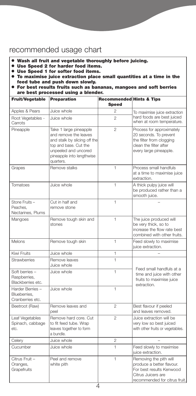# recommended usage chart

- **● Wash all fruit and vegetable thoroughly before juicing.**
- **● Use Speed 2 for harder food items.**
- **● Use Speed 1 for softer food items.**
- **● To maximise juice extraction place small quantities at a time in the feed tube and push down slowly.**
- **● For best results fruits such as bananas, mangoes and soft berries are best processed using a blender.**

| <b>Fruit/Vegetable</b>                               | <b>Preparation</b>                                                                                                                                                         | <b>Recommended Hints &amp; Tips</b><br><b>Speed</b> |                                                                                                                                        |
|------------------------------------------------------|----------------------------------------------------------------------------------------------------------------------------------------------------------------------------|-----------------------------------------------------|----------------------------------------------------------------------------------------------------------------------------------------|
| Apples & Pears                                       | Juice whole                                                                                                                                                                | $\mathfrak{p}$                                      | To maximise juice extraction                                                                                                           |
| Root Vegetables -<br>Carrots                         | Juice whole                                                                                                                                                                | $\overline{2}$                                      | hard foods are best juiced<br>when at room temperature.                                                                                |
| Pineapple                                            | Take 1 large pineapple<br>and remove the leaves<br>and stalk by slicing off the<br>top and base. Cut the<br>unpeeled and uncored<br>pineapple into lengthwise<br>quarters. | $\overline{2}$                                      | Process for approximately<br>20 seconds. To prevent<br>the filter from clogging<br>clean the filter after<br>every large pineapple.    |
| Grapes                                               | Remove stalks                                                                                                                                                              | $\mathbf{1}$                                        | Process small handfuls<br>at a time to maximise juice<br>extraction.                                                                   |
| Tomatoes                                             | Juice whole                                                                                                                                                                | $\mathbf{1}$                                        | A thick pulpy juice will<br>be produced rather than a<br>smooth juice.                                                                 |
| Stone Fruits -<br>Peaches.<br>Nectarines, Plums      | Cut in half and<br>remove stone                                                                                                                                            | 1                                                   |                                                                                                                                        |
| Mangoes                                              | Remove tough skin and<br>stones                                                                                                                                            | 1                                                   | The juice produced will<br>be very thick, so to<br>increase the flow rate best<br>combined with other fruits.                          |
| Melons                                               | Remove tough skin                                                                                                                                                          | $\mathbf{1}$                                        | Feed slowly to maximise<br>juice extraction.                                                                                           |
| Kiwi Fruits                                          | Juice whole                                                                                                                                                                | 1                                                   |                                                                                                                                        |
| Strawberries                                         | Remove leaves<br>Juice whole                                                                                                                                               | $\overline{1}$                                      | Feed small handfuls at a                                                                                                               |
| Soft berries -<br>Raspberries,<br>Blackberries etc.  | Juice whole                                                                                                                                                                | $\mathbf{1}$                                        | time and juice with other<br>fruits to maximise juice<br>extraction.                                                                   |
| Harder Berries -<br>Blueberries.<br>Cranberries etc. | Juice whole                                                                                                                                                                | $\mathbf{1}$                                        |                                                                                                                                        |
| Beetroot (Raw)                                       | Remove leaves and<br>peel                                                                                                                                                  | $\overline{2}$                                      | Best flavour if peeled<br>and leaves removed.                                                                                          |
| Leaf Vegetables<br>Spinach, cabbage<br>etc.          | Remove hard core, Cut<br>to fit feed tube. Wrap<br>leaves together to form<br>a bundle.                                                                                    | 2                                                   | Juice extraction will be<br>very low so best juiced<br>with other fruits or vegetables.                                                |
| Celery                                               | Juice whole                                                                                                                                                                | $\overline{c}$                                      |                                                                                                                                        |
| Cucumber                                             | Juice whole                                                                                                                                                                | 1                                                   | Feed slowly to maximise<br>juice extraction.                                                                                           |
| Citrus Fruit -<br>Oranges,<br>Grapefruits            | Peel and remove<br>white pith                                                                                                                                              | 1                                                   | Removing the pith will<br>produce a better flavour.<br>For best results Kenwood<br>Citrus Juicers are<br>recommended for citrus fruit. |

4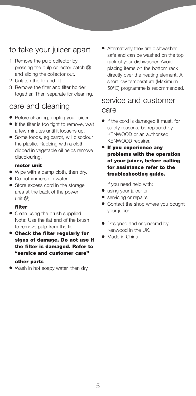# to take your juicer apart

- 1 Remove the pulp collector by pressing the pulp collector catch (i3) and sliding the collector out.
- 2 Unlatch the lid and lift off.
- 3 Remove the filter and filter holder together. Then separate for cleaning.

# care and cleaning

- **●** Before cleaning, unplug your juicer.
- **●** If the filter is too tight to remove, wait a few minutes until it loosens up.
- **●** Some foods, eg carrot, will discolour the plastic. Rubbing with a cloth dipped in vegetable oil helps remove discolouring.

### **motor unit**

- **●** Wipe with a damp cloth, then dry.
- **●** Do not immerse in water.
- **●** Store excess cord in the storage area at the back of the power unit (15).

#### **filter**

- **●** Clean using the brush supplied. Note: Use the flat end of the brush to remove pulp from the lid.
- **● Check the filter regularly for signs of damage. Do not use if the filter is damaged. Refer to "service and customer care"**

#### **other parts**

**●** Wash in hot soapy water, then dry.

**●** Alternatively they are dishwasher safe and can be washed on the top rack of your dishwasher. Avoid placing items on the bottom rack directly over the heating element. A short low temperature (Maximum 50°C) programme is recommended.

# service and customer care

- **●** If the cord is damaged it must, for safety reasons, be replaced by KENWOOD or an authorised KENWOOD repairer.
- **● If you experience any problems with the operation of your juicer, before calling for assistance refer to the troubleshooting guide.**

If you need help with:

- **●** using your juicer or
- **●** servicing or repairs
- **●** Contact the shop where you bought your juicer.
- **●** Designed and engineered by Kenwood in the UK.
- **●** Made in China.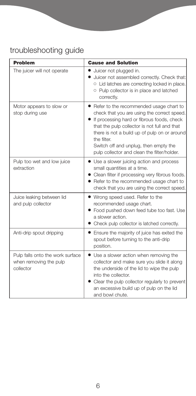# troubleshooting guide

| <b>Problem</b>                                                          | <b>Cause and Solution</b>                                                                                                                                                                                                                                                                                                                     |
|-------------------------------------------------------------------------|-----------------------------------------------------------------------------------------------------------------------------------------------------------------------------------------------------------------------------------------------------------------------------------------------------------------------------------------------|
| The juicer will not operate                                             | Juicer not plugged in.<br>Juicer not assembled correctly. Check that:<br>○ Lid latches are correcting locked in place.<br>o Pulp collector is in place and latched<br>correctly.                                                                                                                                                              |
| Motor appears to slow or<br>stop during use                             | • Refer to the recommended usage chart to<br>check that you are using the correct speed.<br>If processing hard or fibrous foods, check<br>that the pulp collector is not full and that<br>there is not a build up of pulp on or around<br>the filter.<br>Switch off and unplug, then empty the<br>pulp collector and clean the filter/holder. |
| Pulp too wet and low juice<br>extraction                                | • Use a slower juicing action and process<br>small quantities at a time.<br>Clean filter if processing very fibrous foods.<br>• Refer to the recommended usage chart to<br>check that you are using the correct speed.                                                                                                                        |
| Juice leaking between lid<br>and pulp collector                         | • Wrong speed used. Refer to the<br>recommended usage chart.<br>Food pushed down feed tube too fast. Use<br>a slower action.<br>• Check pulp collector is latched correctly.                                                                                                                                                                  |
| Anti-drip spout dripping                                                | • Ensure the majority of juice has exited the<br>spout before turning to the anti-drip<br>position.                                                                                                                                                                                                                                           |
| Pulp falls onto the work surface<br>when removing the pulp<br>collector | • Use a slower action when removing the<br>collector and make sure you slide it along<br>the underside of the lid to wipe the pulp<br>into the collector.<br>Clear the pulp collector regularly to prevent<br>an excessive build up of pulp on the lid<br>and bowl chute.                                                                     |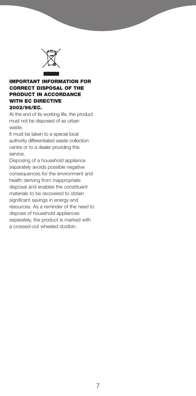

### **IMPORTANT INFORMATION FOR CORRECT DISPOSAL OF THE PRODUCT IN ACCORDANCE WITH EC DIRECTIVE 2002/96/EC.**

At the end of its working life, the product must not be disposed of as urban waste.

It must be taken to a special local authority differentiated waste collection centre or to a dealer providing this service.

Disposing of a household appliance separately avoids possible negative consequences for the environment and health deriving from inappropriate disposal and enables the constituent materials to be recovered to obtain significant savings in energy and resources. As a reminder of the need to dispose of household appliances separately, the product is marked with a crossed-out wheeled dustbin.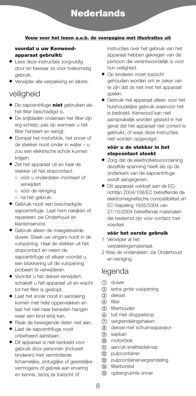### **Vouw voor het lezen a.u.b. de voorpagina met illustraties uit**

### **voordat u uw Kenwoodapparaat gebruikt:**

- **●** Lees deze instructies zorgvuldig door en bewaar ze voor toekomstig gebruik.
- **●** Verwijder alle verpakking en labels.

# veiligheid

- **●** De sapcentrifuge **niet** gebruiken als het filter beschadigd is.
- **●** De snijbladen onderaan het filter zijn erg scherp; pas op wanneer u het filter hanteert en reinigt.
- **●** Dompel het motorblok, het snoer of de stekker nooit onder in water – u zou een elektrische schok kunnen krijgen.
- **●** Zet het apparaat uit en haal de stekker uit het stopcontact.
	- **●** vóór u onderdelen monteert of verwijdert
	- **●** vóór de reiniging
	- **●** na het gebruik.
- **●** Gebruik nooit een beschadigde sapcentrifuge. Laat hem nakijken of repareren: zie Onderhoud en klantenservice.
- **●** Gebruik alleen de meegeleverde duwer. Steek uw vingers nooit in de vulopening. Haal de stekker uit het stopcontact en neem de sapcentrifuge uit elkaar voordat u een blokkering uit de vulopening probeert te verwijderen.
- **●** Voordat u het deksel verwijdert, schakelt u het apparaat uit en wacht tot het filter is gestopt.
- **●** Laat het snoer nooit in aanraking komen met hete oppervlakken en laat het niet naar beneden hangen waar een kind erbij kan.
- **●** Raak de bewegende delen niet aan.
- **●** Laat de sapcentrifuge nooit onbeheerd aanstaan.
- **●** Dit apparaat is niet bedoeld voor gebruik door personen (inclusief kinderen) met verminderde lichamelijke, zintuiglijke of geestelijke vermogens of gebrek aan ervaring en kennis, tenzij ze toezicht of

instructies over het gebruik van het apparaat hebben gekregen van de persoon die verantwoordelijk is voor hun veiligheid.

- **●** Op kinderen moet toezicht gehouden worden om er zeker van te zijn dat ze niet met het apparaat spelen.
- **●** Gebruik het apparaat alleen voor het huishoudelijke gebruik waarvoor het is bedoeld. Kenwood kan niet aansprakelijk worden gesteld in het geval dat het apparaat niet correct is gebruikt, of waar deze instructies niet worden opgevolgd.

### **vóór u de stekker in het stopcontact steekt**

- **●** Zorg dat de elektriciteitsvoorziening dezelfde spanning heeft als op de onderkant van de sapcentrifuge wordt aangegeven.
- **●** Dit apparaat voldoet aan de ECrichtlijn 2004/108/EC betreffende de elektromagnetische compatibiliteit en EC-bepaling 1935/2004 van 27/10/2004 betreffende materialen die bestemd zijn voor contact met voedsel.

### **vóór het eerste gebruik**

- 1 Verwijder al het verpakkingsmateriaal.
- 2 Was de onderdelen: zie Onderhoud en reiniging.

# legenda

- duwer
- extra grote vulopening
- (3) deksel
- (4) filter
- (5) filterhouder
- tuit met druppelstop
- vergrendelingshaken
- deksel met schuimseparator
- (9) sapkan
- motorblok
- aan/uit-snelheidsknop
- (12) pulpcontainer
- pulpcontainervergrendeling
- (4) filterborstel
- (6) opbergruimte snoer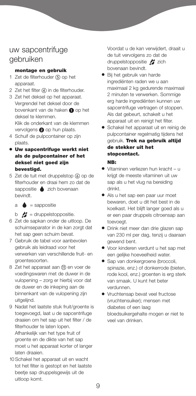# uw sapcentrifuge gebruiken

### **montage en gebruik**

- 1 Zet de filterhouder (5) op het apparaat.
- 2 Zet het filter (4) in de filterhouder.
- 3 Zet het deksel op het apparaat. Vergrendel het deksel door de bovenkant van de haken @ op het deksel te klemmen. Klik de onderkant van de klemmen vervolgens @ op hun plaats.
- 4 Schuif de pulpcontainer op zijn plaats.
- **● Uw sapcentrifuge werkt niet als de pulpcontainer of het deksel niet goed zijn bevestigd.**
- 5 Zet de tuit met druppelstop (6) op de filterhouder en draai hem zo dat de sappositie **a** zich bovenaan bevindt.
	- $a \bullet =$ sappositie
	- $b \quad \bullet$  = druppelstoppositie.
- 6 Zet de sapkan onder de uitloop. De schuimseparator in de kan zorgt dat het sap geen schuim bevat.
- 7 Gebruik de tabel voor aanbevolen gebruik als leidraad voor het verwerken van verschillende fruit- en groentesoorten.
- 8 Zet het apparaat aan (11) en voer de voedingswaren met de duwer in de vulopening – zorg er hierbij voor dat de duwer en de inkeping aan de binnenkant van de vulopening zijn uitgelijnd.
- 9 Nadat het laatste stuk fruit/groente is toegevoegd, laat u de sapcentrifuge draaien om het sap uit het filter / de filterhouder te laten lopen. Afhankelijk van het type fruit of groente en de dikte van het sap moet u het apparaat korter of langer laten draaien.
- 10 Schakel het apparaat uit en wacht tot het filter is gestopt en het laatste beetje sap druppelsgewijs uit de uitloop komt.

Voordat u de kan verwijdert, draait u de tuit vervolgens zo dat de druppelstoppositie **Z** zich bovenaan bevindt.

- **●** Bij het gebruik van harde ingrediënten raden we u aan maximaal 2 kg gedurende maximaal 2 minuten te verwerken. Sommige erg harde ingrediënten kunnen uw sapcentrifuge vertragen of stoppen. Als dat gebeurt, schakelt u het apparaat uit en reinigt het filter.
- **●** Schakel het apparaat uit en reinig de pulpcontainer regelmatig tijdens het gebruik. **Trek na gebruik altijd de stekker uit het stopcontact.**

### **NB:**

- **●** Vitaminen verliezen hun kracht u krijgt de meeste vitaminen uit uw sap als u het vlug na bereiding drinkt.
- **●** Als u het sap een paar uur moet bewaren, doet u dit het best in de koelkast. Het blijft langer goed als u er een paar druppels citroensap aan toevoegt.
- **●** Drink niet meer dan drie glazen sap van 230 ml per dag, tenzij u daaraan gewend bent.
- **●** Voor kinderen verdunt u het sap met een gelijke hoeveelheid water.
- **●** Sap van donkergroene (broccoli, spinazie, enz.) of donkerrode (bieten, rode kool, enz.) groenten is erg sterk van smaak. U kunt het beter verdunnen.
- **●** Vruchtensap bevat veel fructose (vruchtensuiker); mensen met diabetes of een laag bloedsuikergehalte mogen er niet te veel van drinken.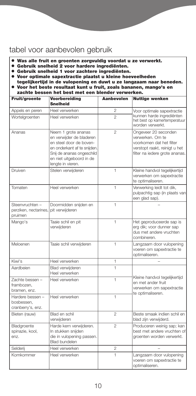# tabel voor aanbevolen gebruik

- **● Was alle fruit en groenten zorgvuldig voordat u ze verwerkt.**
- **● Gebruik snelheid 2 voor hardere ingrediënten.**
- **● Gebruik snelheid 1 voor zachtere ingrediënten.**
- **● Voor optimale sapextractie plaatst u kleine hoeveelheden tegelijkertijd in de vulopening en duwt u ze langzaam naar beneden.**
- **● Voor het beste resultaat kunt u fruit, zoals bananen, mango's en zachte bessen het best met een blender verwerken.**

| Fruit/groente                                       | <b>Voorbereiding</b><br><b>Snelheid</b>                                                                                                                                                 | Aanbevolen     | <b>Nuttige wenken</b>                                                                                                                   |  |
|-----------------------------------------------------|-----------------------------------------------------------------------------------------------------------------------------------------------------------------------------------------|----------------|-----------------------------------------------------------------------------------------------------------------------------------------|--|
| Appels en peren                                     | Heel verwerken                                                                                                                                                                          | 2              | Voor optimale sapextractie<br>kunnen harde ingrediënten<br>het best op kamertemperatuur<br>worden verwerkt.                             |  |
| Wortelgroenten                                      | Heel verwerken                                                                                                                                                                          | $\mathfrak{p}$ |                                                                                                                                         |  |
| Ananas                                              | Neem 1 grote ananas<br>en verwijder de bladeren<br>en steel door de boven-<br>en onderkant af te snijden.<br>Snij de ananas ongeschild<br>en niet uitgeboord in de<br>lengte in vieren. | $\overline{2}$ | Ongeveer 20 seconden<br>verwerken. Om te<br>voorkomen dat het filter<br>verstopt raakt, reinigt u het<br>filter na iedere grote ananas. |  |
| Druiven                                             | Stelen verwijderen                                                                                                                                                                      | 1              | Kleine handvol tegelijkertijd<br>verwerken om sapextractie<br>te optimaliseren.                                                         |  |
| Tomaten                                             | Heel verwerken                                                                                                                                                                          | 1              | Verwerking leidt tot dik,<br>pulpachtig sap (in plaats van<br>een glad sap).                                                            |  |
| Steenvruchten -<br>perziken, nectarines,<br>pruimen | Doormidden snijden en<br>pit verwijderen                                                                                                                                                | 1              |                                                                                                                                         |  |
| Mango's                                             | Taaie schil en pit<br>verwijderen                                                                                                                                                       | 1              | Het geproduceerde sap is<br>erg dik; voor dunner sap<br>dus met andere vruchten<br>combineren.                                          |  |
| Meloenen                                            | Taaie schil verwijderen                                                                                                                                                                 | 1              | Langzaam door vulopening<br>voeren om sapextractie te<br>optimaliseren.                                                                 |  |
| Kiwi's                                              | Heel verwerken                                                                                                                                                                          | 1              |                                                                                                                                         |  |
| Aardbeien                                           | Blad verwijderen<br>Heel verwerken                                                                                                                                                      | 1              |                                                                                                                                         |  |
| Zachte bessen -<br>frambozen,<br>bramen, enz.       | Heel verwerken                                                                                                                                                                          | 1              | Kleine handvol tegelijkertijd<br>en met ander fruit<br>verwerken om sapextractie                                                        |  |
| Hardere bessen -<br>bosbessen,<br>cranberry's, enz. | Heel verwerken                                                                                                                                                                          | $\mathbf{1}$   | te optimaliseren.                                                                                                                       |  |
| Bieten (rauw)                                       | Blad en schil<br>verwijderen                                                                                                                                                            | $\mathfrak{D}$ | Beste smaak indien schil en<br>blad zijn verwijderd.                                                                                    |  |
| Bladgroente<br>spinazie, kool,<br>enz.              | Harde kern verwijderen.<br>In stukken snijden<br>die in vulopening passen.<br><b>Blad bundelen</b>                                                                                      | $\mathfrak{p}$ | Produceren weinig sap; kan<br>best met andere vruchten of<br>groenten worden verwerkt.                                                  |  |
| Selderij                                            | Heel verwerken                                                                                                                                                                          | $\overline{c}$ |                                                                                                                                         |  |
| Komkommer                                           | Heel verwerken                                                                                                                                                                          | 1              | Langzaam door vulopening<br>voeren om sapextractie te<br>optimaliseren.                                                                 |  |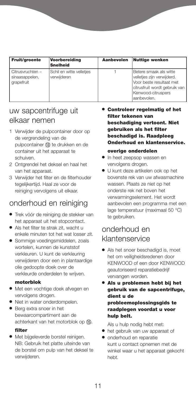| <b>Fruit/groente</b>                             | Voorbereiding<br><b>Snelheid</b>        | Aanbevolen | <b>Nuttige wenken</b>                                                                                                                                   |
|--------------------------------------------------|-----------------------------------------|------------|---------------------------------------------------------------------------------------------------------------------------------------------------------|
| Citrusvruchten -<br>sinaasappelen,<br>grapefruit | Schil en witte velletjes<br>verwijderen |            | Betere smaak als witte<br>velletjes zijn verwijderd.<br>Voor beste resultaat met<br>citrusfruit wordt gebruik van<br>Kenwood-citruspers<br>laanbevolen. |

# uw sapcentrifuge uit elkaar nemen

- 1 Verwijder de pulpcontainer door op de vergrendeling van de pulpcontainer (3) te drukken en de container uit het apparaat te schuiven.
- 2. Ontgrendel het deksel en haal het van het apparaat.
- 3 Verwijder het filter en de filterhouder tegelijkertijd. Haal ze voor de reiniging vervolgens uit elkaar.

# onderhoud en reiniging

- **●** Trek vóór de reiniging de stekker van het apparaat uit het stopcontact.
- **●** Als het filter te strak zit, wacht u enkele minuten tot het wat losser zit.
- **●** Sommige voedingsmiddelen, zoals wortelen, kunnen de kunststof verkleuren. U kunt de verkleuring verwijderen door een in plantaardige olie gedoopte doek over de verkleurde onderdelen te wrijven.

### **motorblok**

- **●** Met een vochtige doek afvegen en vervolgens drogen.
- **●** Niet in water onderdompelen.
- **●** Berg extra snoer in het bewaarcompartiment aan de achterkant van het motorblok op (i5).

### **filter**

**●** Met bijgeleverde borstel reinigen. NB: Gebruik het platte uiteinde van de borstel om pulp van het deksel te verwijderen.

**● Controleer regelmatig of het filter tekenen van beschadiging vertoont. Niet gebruiken als het filter beschadigd is. Raadpleeg Onderhoud en klantenservice.**

### **overige onderdelen**

- **●** In heet zeepsop wassen en vervolgens drogen.
- **●** U kunt deze artikelen ook op het bovenste rek van uw afwasmachine wassen. Plaats ze niet op het onderste rek net boven het verwarmingselement. Het wordt aanbevolen een programma met een lage temperatuur (maximaal 50 °C) te gebruiken.

# onderhoud en klantenservice

- **●** Als het snoer beschadigd is, moet het om veiligheidsredenen door KENWOOD of een door KENWOOD geautoriseerd reparatiebedrijf vervangen worden.
- **● Als u problemen hebt bij het gebruik van de sapcentrifuge, dient u de probleemoplossingsgids te raadplegen voordat u voor hulp belt.**

Als u hulp nodig hebt met:

- **●** het gebruik van uw apparaat of
- **●** onderhoud en reparatie kunt u contact opnemen met de winkel waar u het apparaat gekocht hebt.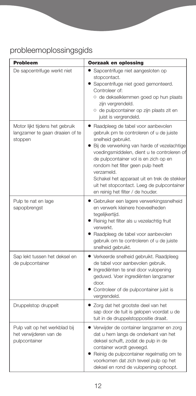# probleemoplossingsgids

| <b>Probleem</b>                                                               | Oorzaak en oplossing                                                                                                                                                                                                                                                                                                                                                                                                                 |
|-------------------------------------------------------------------------------|--------------------------------------------------------------------------------------------------------------------------------------------------------------------------------------------------------------------------------------------------------------------------------------------------------------------------------------------------------------------------------------------------------------------------------------|
| De sapcentrifuge werkt niet                                                   | · Sapcentrifuge niet aangesloten op<br>stopcontact.<br>• Sapcentrifuge niet goed gemonteerd.<br>Controleer of:<br>o de dekselklemmen goed op hun plaats<br>zijn vergrendeld.<br>o de pulpcontainer op zijn plaats zit en<br>juist is vergrendeld.                                                                                                                                                                                    |
| Motor lijkt tijdens het gebruik<br>langzamer te gaan draaien of te<br>stoppen | • Raadpleeg de tabel voor aanbevolen<br>gebruik pm te controleren of u de juiste<br>snelheid gebruikt.<br>• Bij de verwerking van harde of vezelachtige<br>voedingsmiddelen, dient u te controleren of<br>de pulpcontainer vol is en zich op en<br>rondom het filter geen pulp heeft<br>verzameld.<br>Schakel het apparaat uit en trek de stekker<br>uit het stopcontact. Leeg de pulpcontainer<br>en reinig het filter / de houder. |
| Pulp te nat en lage<br>sapopbrengst                                           | • Gebruiker een lagere verwerkingssnelheid<br>en verwerk kleinere hoeveelheden<br>tegelijkertijd.<br>• Reinig het filter als u vezelachtig fruit<br>verwerkt.<br>• Raadpleeg de tabel voor aanbevolen<br>gebruik om te controleren of u de juiste<br>snelheid gebruikt.                                                                                                                                                              |
| Sap lekt tussen het deksel en<br>de pulpcontainer                             | • Verkeerde snelheid gebruikt. Raadpleeg<br>de tabel voor aanbevolen gebruik.<br>· Ingrediënten te snel door vulopening<br>geduwd. Voer ingrediënten langzamer<br>door.<br>• Controleer of de pulpcontainer juist is<br>vergrendeld.                                                                                                                                                                                                 |
| Druppelstop druppelt                                                          | • Zorg dat het grootste deel van het<br>sap door de tuit is gelopen voordat u de<br>tuit in de druppelstoppositie draait.                                                                                                                                                                                                                                                                                                            |
| Pulp valt op het werkblad bij<br>het verwijderen van de<br>pulpcontainer      | • Verwijder de container langzamer en zorg<br>dat u hem langs de onderkant van het<br>deksel schuift, zodat de pulp in de<br>container wordt geveegd.<br>• Reinig de pulpcontainer regelmatig om te<br>voorkomen dat zich teveel pulp op het<br>deksel en rond de vulopening ophoopt.                                                                                                                                                |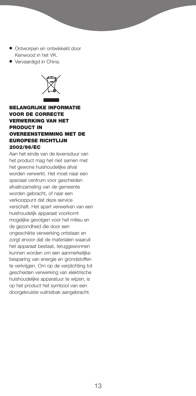- **●** Ontworpen en ontwikkeld door Kenwood in het VK.
- **●** Vervaardigd in China.



**BELANGRIJKE INFORMATIE VOOR DE CORRECTE VERWERKING VAN HET PRODUCT IN OVEREENSTEMMING MET DE EUROPESE RICHTLIJN 2002/96/EC**

Aan het einde van de levensduur van het product mag het niet samen met het gewone huishoudelijke afval worden verwerkt. Het moet naar een speciaal centrum voor gescheiden afvalinzameling van de gemeente worden gebracht, of naar een verkooppunt dat deze service verschaft. Het apart verwerken van een huishoudelijk apparaat voorkomt mogelijke gevolgen voor het milieu en de gezondheid die door een ongeschikte verwerking ontstaan en zorgt ervoor dat de materialen waaruit het apparaat bestaat, teruggewonnen kunnen worden om een aanmerkelijke besparing van energie en grondstoffen te verkrijgen. Om op de verplichting tot gescheiden verwerking van elektrische huishoudelijke apparatuur te wijzen, is op het product het symbool van een doorgekruiste vuilnisbak aangebracht.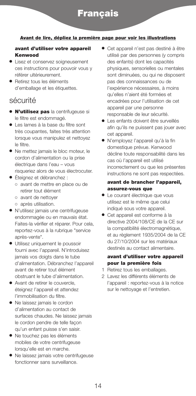# **Français**

### **Avant de lire, dépliez la première page pour voir les illustrations**

### **avant d'utiliser votre appareil Kenwood**

- **●** Lisez et conservez soigneusement ces instructions pour pouvoir vous y référer ultérieurement.
- **●** Retirez tous les éléments d'emballage et les étiquettes.

# sécurité

- **● N'utilisez pas** la centrifugeuse si le filtre est endommagé.
- **●** Les lames à la base du filtre sont très coupantes, faites très attention lorsque vous manipulez et nettoyez le filtre.
- **●** Ne mettez jamais le bloc moteur, le cordon d'alimentation ou la prise électrique dans l'eau – vous risqueriez alors de vous électrocuter.
- **●** Éteignez et débranchez :
	- **●** avant de mettre en place ou de retirer tout élément
	- **●** avant de nettoyer
	- **●** après utilisation.
- **●** N'utilisez jamais une centrifugeuse endommagée ou en mauvais état. Faites-la vérifier et réparer. Pour cela, reportez-vous à la rubrique "service après-vente".
- **●** Utilisez uniquement le poussoir fourni avec l'appareil. N'introduisez jamais vos doigts dans le tube d'alimentation. Débranchez l'appareil avant de retirer tout élément obstruant le tube d'alimentation.
- **●** Avant de retirer le couvercle, éteignez l'appareil et attendez l'immobilisation du filtre.
- **●** Ne laissez jamais le cordon d'alimentation au contact de surfaces chaudes. Ne laissez jamais le cordon pendre de telle façon qu'un enfant puisse s'en saisir.
- **●** Ne touchez pas les éléments mobiles de votre centrifugeuse lorsqu'elle est en marche.
- **●** Ne laissez jamais votre centrifugeuse fonctionner sans surveillance.
- **●** Cet appareil n'est pas destiné à être utilisé par des personnes (y compris des enfants) dont les capacités physiques, sensorielles ou mentales sont diminuées, ou qui ne disposent pas des connaissances ou de l'expérience nécessaires, à moins qu'elles n'aient été formées et encadrées pour l'utilisation de cet appareil par une personne responsable de leur sécurité.
- **●** Les enfants doivent être surveillés afin qu'ils ne puissent pas jouer avec cet appareil.
- **●** N'employez l'appareil qu'à la fin domestique prévue. Kenwood décline toute responsabilité dans les cas où l'appareil est utilisé incorrectement ou que les présentes instructions ne sont pas respectées.

### **avant de brancher l'appareil, assurez-vous que**

- **●** Le courant électrique que vous utilisez est le même que celui indiqué sous votre appareil.
- **●** Cet appareil est conforme à la directive 2004/108/CE de la CE sur la compatibilité électromagnétique, et au règlement 1935/2004 de la CE du 27/10/2004 sur les matériaux destinés au contact alimentaire.

### **avant d'utiliser votre appareil pour la première fois**

- 1 Retirez tous les emballages.
- 2 Lavez les différents éléments de l'appareil : reportez-vous à la notice sur le nettoyage et l'entretien.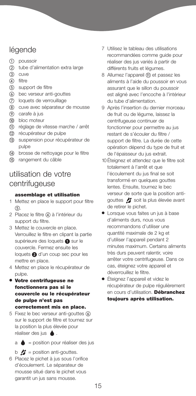# légende

- poussoir
- tube d'alimentation extra large
- (3) cuve
- 4) filtre
- support de filtre
- bec verseur anti-gouttes
- loquets de verrouillage
- cuve avec séparateur de mousse
- carafe à jus
- **10** bloc moteur
- réglage de vitesse marche / arrêt
- récupérateur de pulpe
- suspension pour récupérateur de pulpe
- brosse de nettoyage pour le filtre
- rangement du câble

# utilisation de votre centrifugeuse

#### **assemblage et utilisation**

- 1 Mettez en place le support pour filtre  $(5)$ .
- 2 Placez le filtre (4) à l'intérieur du support du filtre.
- 3 Mettez le couvercle en place. Verrouillez le filtre en clipant la partie supérieure des loquets  $\bigcirc$  sur le couvercle. Fermez ensuite les loquets  $\bigcirc$  d'un coup sec pour les mettre en place.
- 4 Mettez en place le récupérateur de pulpe.
- **● Votre centrifugeuse ne fonctionnera pas si le couvercle ou le récupérateur de pulpe n'est pas correctement mis en place.**
- 5 Fixez le bec verseur anti-gouttes sur le support de filtre et tournez sur la position la plus élevée pour réaliser des jus 
●

 $a \bullet$  = position pour réaliser des jus

 $b \nvert$  = position anti-gouttes.

6 Placez le pichet à jus sous l'orifice d'écoulement. Le séparateur de mousse situé dans le pichet vous garantit un jus sans mousse.

- 7 Utilisez le tableau des utilisations recommandées comme guide pour réaliser des jus variés à partir de différents fruits et légumes.
- 8 Allumez l'appareil (ii) et passez les aliments à l'aide du poussoir en vous assurant que le sillon du poussoir est aligné avec l'encoche à l'intérieur du tube d'alimentation.
- 9 Après l'insertion du dernier morceau de fruit ou de légume, laissez la centrifugeuse continuer de fonctionner pour permettre au jus restant de s'écouler du filtre / support de filtre. La durée de cette opération dépend du type de fruit et de l'épaisseur du jus extrait.
- 10Éteignez et attendez que le filtre soit totalement à l'arrêt et que l'écoulement du jus final se soit transformé en quelques gouttes lentes. Ensuite, tournez le bec verseur de sorte que la position antigouttes is soit la plus élevée avant de retirer le pichet.
- **●** Lorsque vous faites un jus à base d'aliments durs, nous vous recommandons d'utiliser une quantité maximale de 2 kg et d'utiliser l'appareil pendant 2 minutes maximum. Certains aliments très durs peuvent ralentir, voire arrêter votre centrifugeuse. Dans ce cas, éteignez votre appareil et déverrouillez le filtre.
- **●** Éteignez l'appareil et videz le récupérateur de pulpe régulièrement en cours d'utilisation. **Débranchez toujours après utilisation.**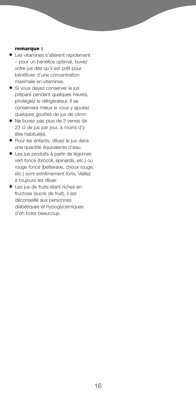#### **remarque :**

- **●** Les vitamines s'altèrent rapidement – pour un bénéfice optimal, buvez votre jus dès qu'il est prêt pour bénéficier d'une concentration maximale en vitamines.
- **●** Si vous devez conserver le jus préparé pendant quelques heures, privilégiez le réfrigérateur. Il se conservera mieux si vous y ajoutez quelques gouttes de jus de citron.
- **●** Ne buvez pas plus de 3 verres de 23 cl de jus par jour, à moins d'y être habitué(e).
- **●** Pour les enfants, diluez le jus dans une quantité équivalente d'eau.
- **●** Les jus produits à partir de légumes vert foncé (brocoli, épinards, etc.) ou rouge foncé (betterave, choux rouge, etc.) sont extrêmement forts. Veillez à toujours les diluer.
- **●** Les jus de fruits étant riches en fructose (sucre de fruit), il est déconseillé aux personnes diabétiques et hypoglycémiques d'en boire beaucoup.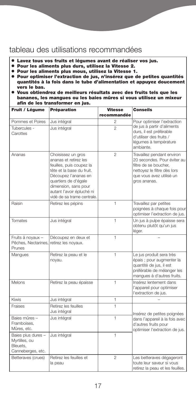# tableau des utilisations recommandées

- **● Lavez tous vos fruits et légumes avant de réaliser vos jus.**
- **● Pour les aliments plus durs, utilisez la Vitesse 2.**
- **● Pour les aliments plus mous, utilisez la Vitesse 1.**
- **● Pour optimiser l'extraction de jus, n'insérez que de petites quantités quantités à la fois dans le tube d'alimentation et appuyez doucement vers le bas.**
- **● Vous obtiendrez de meilleurs résultats avec des fruits tels que les bananes, les mangues ou les baies mûres si vous utilisez un mixeur afin de les transformer en jus.**

| Fruit / Légume                                                       | <b>Préparation</b>                                                                                                                                                                                                                      | <b>Vitesse</b><br>recommandée | <b>Conseils</b>                                                                                                                                               |
|----------------------------------------------------------------------|-----------------------------------------------------------------------------------------------------------------------------------------------------------------------------------------------------------------------------------------|-------------------------------|---------------------------------------------------------------------------------------------------------------------------------------------------------------|
| Pommes et Poires                                                     | Jus intégral                                                                                                                                                                                                                            | $\mathfrak{p}$                | Pour optimiser l'extraction                                                                                                                                   |
| Tubercules -<br>Carottes                                             | Jus intégral                                                                                                                                                                                                                            | $\overline{2}$                | de jus à partir d'aliments<br>durs, il est préférable<br>d'utiliser des fruits /<br>léqumes à température<br>ambiante.                                        |
| Ananas                                                               | Choisissez un gros<br>ananas et retirez les<br>feuilles, puis coupez la<br>tête et la base du fruit.<br>Découpez l'ananas en<br>quartiers de d'égale<br>dimension, sans pour<br>autant l'avoir épluché ni<br>vidé de sa trame centrale. | $\overline{2}$                | Travaillez pendant environ<br>20 secondes. Pour éviter au<br>filtre de se boucher.<br>nettoyez le filtre dès lors<br>que vous avez utilisé un<br>gros ananas. |
| Raisin                                                               | Retirez les pépins                                                                                                                                                                                                                      | 1                             | Travaillez par petites<br>poignées à chaque fois pour<br>optimiser l'extraction de jus.                                                                       |
| Tomates                                                              | Jus intégral                                                                                                                                                                                                                            | 1                             | Un jus à pulpe épaisse sera<br>obtenu plutôt qu'un jus<br>léger.                                                                                              |
| Fruits à noyaux -<br>Pêches, Nectarines,<br>Prunes                   | Découpez en deux et<br>retirez les noyaux.                                                                                                                                                                                              | $\mathbf{1}$                  |                                                                                                                                                               |
| Mangues                                                              | Retirez la peau et le<br>noyau.                                                                                                                                                                                                         | 1                             | Le jus produit sera très<br>épais ; pour augmenter la<br>quantité de jus, il est<br>préférable de mélanger les<br>mangues à d'autres fruits.                  |
| <b>Melons</b>                                                        | Retirez la peau épaisse                                                                                                                                                                                                                 | 1                             | Insérez lentement dans<br>l'appareil pour optimiser<br>l'extraction de jus.                                                                                   |
| <b>Kiwis</b>                                                         | Jus intégral                                                                                                                                                                                                                            | 1                             |                                                                                                                                                               |
| Fraises                                                              | Retirez les feuilles<br>Jus intégral                                                                                                                                                                                                    | 1                             | Insérez de petites poignées                                                                                                                                   |
| Baies mûres -<br>Framboises.<br>Mûres, etc.                          | Jus intégral                                                                                                                                                                                                                            | $\mathbf{1}$                  | dans l'appareil à la fois avec<br>d'autres fruits pour<br>optimiser l'extraction de jus.                                                                      |
| Baies plus dures -<br>Myrtilles, ou<br>Bleuets.<br>Canneberges, etc. | Jus intégral                                                                                                                                                                                                                            | 1                             |                                                                                                                                                               |
| Betteraves (crues)                                                   | Retirez les feuilles et<br>la peau                                                                                                                                                                                                      | $\mathfrak{p}$                | Les betteraves dégageront<br>toute leur saveur si vous<br>retirez la peau et les feuilles.                                                                    |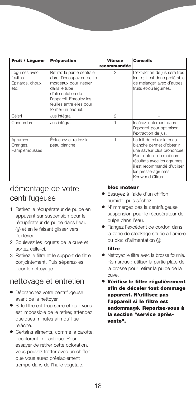| Fruit / Légume                                      | <b>Préparation</b>                                                                                                                                                                                 | <b>Vitesse</b><br>recommandée | <b>Conseils</b>                                                                                                                                                                                                           |
|-----------------------------------------------------|----------------------------------------------------------------------------------------------------------------------------------------------------------------------------------------------------|-------------------------------|---------------------------------------------------------------------------------------------------------------------------------------------------------------------------------------------------------------------------|
| Légumes avec<br>feuilles<br>Épinards, choux<br>etc. | Retirez la partie centrale<br>dure. Découpez en petits<br>morceaux pour insérer<br>dans le tube<br>d'alimentation de<br>l'appareil. Enroulez les<br>feuilles entre elles pour<br>former un paquet. | $\mathfrak{p}$                | L'extraction de jus sera très<br>lente ; il est donc préférable<br>de mélanger avec d'autres<br>fruits et/ou légumes.                                                                                                     |
| Céleri                                              | Jus intégral                                                                                                                                                                                       | $\mathcal{P}$                 |                                                                                                                                                                                                                           |
| Concombre                                           | Jus intégral                                                                                                                                                                                       |                               | Insérez lentement dans<br>l'appareil pour optimiser<br>l'extraction de jus.                                                                                                                                               |
| Agrumes-<br>Oranges,<br>Pamplemousses               | Épluchez et retirez la<br>peau blanche                                                                                                                                                             |                               | Le fait de retirer la peau<br>blanche permet d'obtenir<br>une saveur plus prononcée.<br>Pour obtenir de meilleurs<br>résultats avec les agrumes,<br>il est recommandé d'utiliser<br>les presse-agrumes<br>Kenwood Citrus. |

# démontage de votre centrifugeuse

- 1 Retirez le récupérateur de pulpe en appuyant sur suspension pour le récupérateur de pulpe dans l'eau. (3) et en le faisant glisser vers l'extérieur.
- 2 Soulevez les loquets de la cuve et sortez celle-ci.
- 3 Retirez le filtre et le support de filtre conjointement. Puis séparez-les pour le nettoyage.

# nettoyage et entretien

- **●** Débranchez votre centrifugeuse avant de la nettoyer.
- **●** Si le filtre est trop serré et qu'il vous est impossible de le retirer, attendez quelques minutes afin qu'il se relâche.
- **●** Certains aliments, comme la carotte, décolorent le plastique. Pour essayer de retirer cette coloration, vous pouvez frotter avec un chiffon que vous aurez préalablement trempé dans de l'huile végétale.

### **bloc moteur**

- **●** Essuyez à l'aide d'un chiffon humide, puis séchez.
- **●** N'immergez pas la centrifugeuse suspension pour le récupérateur de pulpe dans l'eau.
- **●** Rangez l'excédent de cordon dans la zone de stockage située à l'arrière du bloc d'alimentation (15).

### **filtre**

- **●** Nettoyez le filtre avec la brosse fournie. Remarque : utiliser la partie plate de la brosse pour retirer la pulpe de la cuve.
- **● Vérifiez le filtre régulièrement afin de déceler tout dommage apparent. N'utilisez pas l'appareil si le filtre est endommagé. Reportez-vous à la section "service aprèsvente".**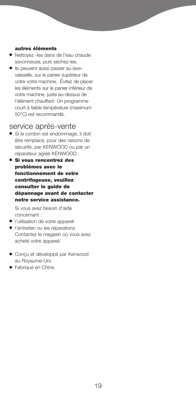#### **autres éléments**

- **●** Nettoyez -les dans de l'eau chaude savonneuse, puis séchez-les.
- **●** Ils peuvent aussi passer au lavevaisselle, sur le panier supérieur de votre votre machine.. Évitez de placer les éléments sur le panier inférieur de votre machine, juste au-dessus de l'élément chauffant. Un programme court à faible température (maximum 50°C) est recommandé.

### service après-vente

- **●** Si le cordon est endommagé, il doit être remplacé, pour des raisons de sécurité, par KENWOOD ou par un réparateur agréé KENWOOD.
- **● Si vous rencontrez des problèmes avec le fonctionnement de votre centrifugeuse, veuillez consulter le guide de dépannage avant de contacter notre service assistance.**

Si vous avez besoin d'aide concernant :

- **●** l'utilisation de votre appareil
- **●** l'entretien ou les réparations Contactez le magasin où vous avez acheté votre appareil.
- **●** Conçu et développé par Kenwood au Royaume-Uni.
- **●** Fabriqué en Chine.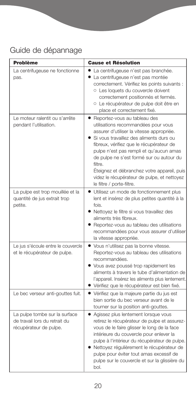# Guide de dépannage

| <b>Problème</b>                                                                                         | <b>Cause et Résolution</b>                                                                                                                                                                                                                                                                                                                                                                                                                          |
|---------------------------------------------------------------------------------------------------------|-----------------------------------------------------------------------------------------------------------------------------------------------------------------------------------------------------------------------------------------------------------------------------------------------------------------------------------------------------------------------------------------------------------------------------------------------------|
| La centrifugeuse ne fonctionne<br>pas.                                                                  | • La centrifugeuse n'est pas branchée.<br>• La centrifugeuse n'est pas montée<br>correctement. Vérifiez les points suivants :<br>o Les loquets du couvercle doivent<br>correctement positionnés et fermés.<br>O Le récupérateur de pulpe doit être en<br>place et correctement fixé.                                                                                                                                                                |
| Le moteur ralentit ou s'arrête<br>pendant l'utilisation.                                                | Reportez-vous au tableau des<br>$\bullet$<br>utilisations recommandées pour vous<br>assurer d'utiliser la vitesse appropriée.<br>• Si vous travaillez des aliments durs ou<br>fibreux, vérifiez que le récupérateur de<br>pulpe n'est pas rempli et qu'aucun amas<br>de pulpe ne s'est formé sur ou autour du<br>filtre.<br>Éteignez et débranchez votre appareil, puis<br>videz le récupérateur de pulpe, et nettoyez<br>le filtre / porte-filtre. |
| La pulpe est trop mouillée et la<br>quantité de jus extrait trop<br>petite.                             | · Utilisez un mode de fonctionnement plus<br>lent et insérez de plus petites quantité à la<br>fois.<br>• Nettoyez le filtre si vous travaillez des<br>aliments très fibreux.<br>• Reportez-vous au tableau des utilisations<br>recommandées pour vous assurer d'utiliser<br>la vitesse appropriée.                                                                                                                                                  |
| Le jus s'écoule entre le couvercle<br>et le récupérateur de pulpe.<br>Le bec verseur anti-gouttes fuit. | • Vous n'utilisez pas la bonne vitesse.<br>Reportez-vous au tableau des utilisations<br>recommandées.<br>Vous avez poussé trop rapidement les<br>aliments à travers le tube d'alimentation de<br>l'appareil. Insérez les aliments plus lentement.<br>• Vérifiez que le récupérateur est bien fixé.<br>• Vérifiez que la majeure partie du jus est<br>bien sortie du bec verseur avant de le                                                         |
| La pulpe tombe sur la surface<br>de travail lors du retrait du<br>récupérateur de pulpe.                | tourner sur la position anti-gouttes.<br>• Agissez plus lentement lorsque vous<br>retirez le récupérateur de pulpe et assurez-<br>vous de le faire glisser le long de la face<br>intérieure du couvercle pour enlever la<br>pulpe à l'intérieur du récupérateur de pulpe.<br>Nettoyez réqulièrement le récupérateur de<br>pulpe pour éviter tout amas excessif de<br>pulpe sur le couvercle et sur la glissière du<br>bol.                          |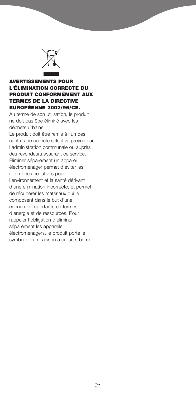

### **AVERTISSEMENTS POUR L'ÉLIMINATION CORRECTE DU PRODUIT CONFORMÉMENT AUX TERMES DE LA DIRECTIVE EUROPÉENNE 2002/96/CE.**

Au terme de son utilisation, le produit ne doit pas être éliminé avec les déchets urbains.

Le produit doit être remis à l'un des centres de collecte sélective prévus par l'administration communale ou auprès des revendeurs assurant ce service. Éliminer séparément un appareil électroménager permet d'éviter les retombées négatives pour l'environnement et la santé dérivant d'une élimination incorrecte, et permet de récupérer les matériaux qui le composent dans le but d'une économie importante en termes d'énergie et de ressources. Pour rappeler l'obligation d'éliminer séparément les appareils électroménagers, le produit porte le symbole d'un caisson à ordures barré.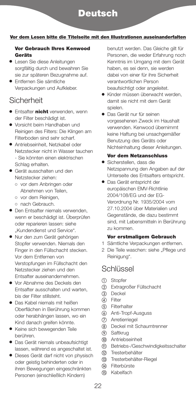### **Vor dem Lesen bitte die Titelseite mit den Illustrationen auseinanderfalten**

### **Vor Gebrauch Ihres Kenwood Geräts**

- **●** Lesen Sie diese Anleitungen sorgfältig durch und bewahren Sie sie zur späteren Bezugnahme auf.
- **●** Entfernen Sie sämtliche Verpackungen und Aufkleber.

# **Sicherheit**

- **●** Entsafter **nicht** verwenden, wenn der Filter beschädigt ist.
- **●** Vorsicht beim Handhaben und Reinigen des Filters: Die Klingen am Filterboden sind sehr scharf.
- **●** Antriebseinheit, Netzkabel oder Netzstecker nicht in Wasser tauchen - Sie könnten einen elektrischen Schlag erhalten.
- **●** Gerät ausschalten und den Netzstecker ziehen:
	- **●** vor dem Anbringen oder Abnehmen von Teilen,
	- **●** vor dem Reinigen,
	- **●** nach Gebrauch.
- **●** Den Entsafter niemals verwenden, wenn er beschädigt ist. Überprüfen oder reparieren lassen: siehe "Kundendienst und Service".
- **●** Nur den zum Gerät gehörigen Stopfer verwenden. Niemals den Finger in den Füllschacht stecken. Vor dem Entfernen von Verstopfungen im Füllschacht den Netzstecker ziehen und den Entsafter auseinandernehmen.
- **●** Vor Abnahme des Deckels den Entsafter ausschalten und warten, bis der Filter stillsteht.
- **●** Das Kabel niemals mit heißen Oberflächen in Berührung kommen oder herabhängen lassen, wo ein Kind danach greifen könnte.
- **●** Keine sich bewegenden Teile berühren.
- **●** Das Gerät niemals unbeaufsichtigt lassen, während es angeschaltet ist.
- **●** Dieses Gerät darf nicht von physisch oder geistig behinderten oder in ihren Bewegungen eingeschränkten Personen (einschließlich Kindern)

benutzt werden. Das Gleiche gilt für Personen, die weder Erfahrung noch Kenntnis im Umgang mit dem Gerät haben, es sei denn, sie werden dabei von einer für ihre Sicherheit verantwortlichen Person beaufsichtigt oder angeleitet.

- **●** Kinder müssen überwacht werden, damit sie nicht mit dem Gerät spielen.
- **●** Das Gerät nur für seinen vorgesehenen Zweck im Haushalt verwenden. Kenwood übernimmt keine Haftung bei unsachgemäßer Benutzung des Geräts oder Nichteinhaltung dieser Anleitungen.

### **Vor dem Netzanschluss**

- **●** Sicherstellen, dass die Netzspannung den Angaben auf der Unterseite des Entsafters entspricht.
- **●** Das Gerät entspricht der europäischen EMV-Richtlinie 2004/108/EG und der EG-Verordnung Nr. 1935/2004 vom 27.10.2004 über Materialien und Gegenstände, die dazu bestimmt sind, mit Lebensmitteln in Berührung zu kommen.

### **Vor erstmaligem Gebrauch**

- 1 Sämtliche Verpackungen entfernen.
- 2 Die Teile waschen: siehe "Pflege und Reinigung".

# Schlüssel

- Stopfer
- Extragroßer Füllschacht
- (3) Deckel
- 4 Filter
- Filterhalter
- Anti-Tropf-Ausguss
- $(7)$ Arretierriegel
- Deckel mit Schaumtrenner
- Saftkrug
- Antriebseinheit
- Betriebs-/Geschwindigkeitsschalter
- (12) Tresterbehälter
- (3) Tresterbehälter-Riegel
- (14) Filterbürste
- (**B**) Kabelfach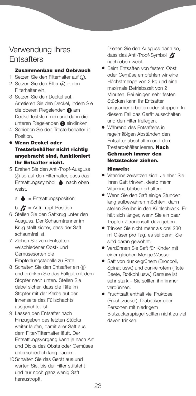# Verwendung Ihres **Entsafters**

### **Zusammenbau und Gebrauch**

- 1 Setzen Sie den Filterhalter auf (5).
- 2 Setzen Sie den Filter (4) in den Filterhalter ein.
- 3 Setzen Sie den Deckel auf. Arretieren Sie den Deckel, indem Sie die oberen Riegelenden @ am Deckel festklemmen und dann die unteren Riegelenden 2 einklinken.
- 4 Schieben Sie den Tresterbehälter in Position.

### **● Wenn Deckel oder Tresterbehälter nicht richtig angebracht sind, funktioniert Ihr Entsafter nicht.**

- 5 Drehen Sie den Anti-Tropf-Ausguss so auf den Filterhalter, dass das Entsaftungssymbol **a** nach oben weist.
	- $a \triangleq$  = Entsaftungsposition
	- $b \nvert A^* =$  Anti-Tropf-Position
- 6 Stellen Sie den Saftkrug unter den Ausguss. Der Schaumtrenner im Krug stellt sicher, dass der Saft schaumfrei ist.
- 7 Ziehen Sie zum Entsaften verschiedener Obst- und Gemüsesorten die Empfehlungstabelle zu Rate.
- 8 Schalten Sie den Entsafter ein (1) und drücken Sie das Füllgut mit dem Stopfer nach unten. Stellen Sie dabei sicher, dass die Rille im Stopfer mit der Kerbe auf der Innenseite des Füllschachts ausgerichtet ist.
- 9 Lassen den Entsafter nach Hinzugeben des letzten Stücks weiter laufen, damit aller Saft aus dem Filter/Filterhalter läuft. Der Entsaftungsvorgang kann je nach Art und Dicke des Obsts oder Gemüses unterschiedlich lang dauern.
- 10Schalten Sie das Gerät aus und warten Sie, bis der Filter stillsteht und nur noch ganz wenig Saft heraustropft.

Drehen Sie den Ausguss dann so, dass das Anti-Tropf-Symbol nach oben weist.

- **●** Beim Entsaften von festem Obst oder Gemüse empfehlen wir eine Höchstmenge von 2 kg und eine maximale Betriebszeit von 2 Minuten. Bei einigen sehr festen Stücken kann Ihr Entsafter langsamer arbeiten oder stoppen. In diesem Fall das Gerät ausschalten und den Filter freilegen.
- **●** Während des Entsaftens in regelmäßigen Abständen den Entsafter abschalten und den Tresterbehälter leeren. **Nach Gebrauch immer den Netzstecker ziehen.**

#### **Hinweis:**

- **●** Vitamine zersetzen sich. Je eher Sie Ihren Saft trinken, desto mehr Vitamine bleiben erhalten.
- **●** Wenn Sie den Saft einige Stunden lang aufbewahren möchten, dann stellen Sie ihn in den Kühlschrank. Er hält sich länger, wenn Sie ein paar Tropfen Zitronensaft dazugeben.
- **●** Trinken Sie nicht mehr als drei 230 ml Gläser pro Tag, es sei denn, Sie sind daran gewöhnt.
- **●** Verdünnen Sie Saft für Kinder mit einer gleichen Menge Wasser.
- **●** Saft von dunkelgrünem (Broccoli, Spinat usw.) und dunkelrotem (Rote Beete, Rotkohl usw.) Gemüse ist sehr stark – Sie sollten ihn immer verdünnen.
- **●** Fruchtsaft enthält viel Fruktose (Fruchtzucker). Diabetiker oder Personen mit niedrigem Blutzuckerspiegel sollten nicht zu viel davon trinken.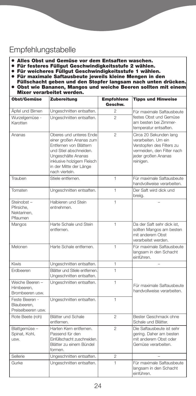# Empfehlungstabelle

- **● Alles Obst und Gemüse vor dem Entsaften waschen.**
- **● Für festeres Füllgut Geschwindigkeitsstufe 2 wählen.**

**● Für weicheres Füllgut Geschwindigkeitsstufe 1 wählen.**

- Für maximale Saftausbeute jeweils kleine Mengen in den<br>Füllschacht geben und den Stopfer langsam nach unten drücken.
- **● Obst wie Bananen, Mangos und weiche Beeren sollten mit einem Mixer verarbeitet werden.**

| Obst/Gemüse                                         | Zubereitung                                                                                                                                                                                            | <b>Empfohlene</b><br>Geschw. | <b>Tipps und Hinweise</b>                                                                                                                    |
|-----------------------------------------------------|--------------------------------------------------------------------------------------------------------------------------------------------------------------------------------------------------------|------------------------------|----------------------------------------------------------------------------------------------------------------------------------------------|
| Äpfel und Birnen                                    | Ungeschnitten entsaften.                                                                                                                                                                               | $\overline{2}$               | Für maximale Saftausbeute                                                                                                                    |
| Wurzelgemüse -<br>Karotten                          | Ungeschnitten entsaften.                                                                                                                                                                               | $\mathfrak{D}$               | festes Obst und Gemüse<br>am besten bei Zimmer-<br>temperatur entsaften.                                                                     |
| Ananas                                              | Oberes und unteres Ende<br>einer großen Ananas zum<br>Entfernen von Blättern<br>und Stiel abschneiden.<br>Ungeschälte Ananas<br>inklusive holzigem Fleisch<br>in der Mitte der Länge<br>nach vierteln. | $\mathfrak{p}$               | Circa 20 Sekunden lang<br>verarbeiten. Um ein<br>Verstopfen des Filters zu<br>vermeiden, den Filter nach<br>jeder großen Ananas<br>reinigen. |
| Trauben                                             | Stiele entfernen.                                                                                                                                                                                      | 1                            | Für maximale Saftausbeute<br>handvollweise verarbeiten.                                                                                      |
| Tomaten                                             | Ungeschnitten entsaften.                                                                                                                                                                               | 1                            | Der Saft wird dick und<br>breiig.                                                                                                            |
| Steinobst-<br>Pfirsiche.<br>Nektarinen,<br>Pflaumen | Halbieren und Stein<br>entnehmen.                                                                                                                                                                      | $\mathbf{1}$                 |                                                                                                                                              |
| Mangos                                              | Harte Schale und Stein<br>entfernen.                                                                                                                                                                   | 1                            | Da der Saft sehr dick ist,<br>sollten Mangos am besten<br>mit anderem Obst<br>verarbeitet werden.                                            |
| Melonen                                             | Harte Schale entfernen.                                                                                                                                                                                | $\mathbf{1}$                 | Für maximale Saftausbeute<br>langsam in den Schacht<br>einführen.                                                                            |
| <b>Kiwis</b>                                        | Ungeschnitten entsaften.                                                                                                                                                                               | 1                            | $\overline{\phantom{0}}$                                                                                                                     |
| Erdbeeren                                           | Blätter und Stiele entfernen.<br>Ungeschnitten entsaften.                                                                                                                                              | 1                            |                                                                                                                                              |
| Weiche Beeren -<br>Himbeeren.<br>Brombeeren usw.    | Ungeschnitten entsaften.                                                                                                                                                                               | 1                            | Für maximale Saftausbeute<br>handvollweise verarbeiten.                                                                                      |
| Feste Beeren -<br>Blaubeeren.<br>Preiselbeeren usw. | Ungeschnitten entsaften.                                                                                                                                                                               | $\mathbf{1}$                 |                                                                                                                                              |
| Rote Beete (roh)                                    | Blätter und Schale<br>entfernen.                                                                                                                                                                       | $\mathfrak{D}$               | Bester Geschmack ohne<br>Schale und Blätter.                                                                                                 |
| Blattgemüse -<br>Spinat, Kohl,<br>LISW.             | Harten Kern entfernen.<br>Passend für den<br>Einfüllschacht zuschneiden.<br>Blätter zu einem Bündel<br>formen.                                                                                         | $\overline{2}$               | Die Saftausbeute ist sehr<br>gering. Daher am besten<br>mit anderem Obst oder<br>Gemüse verarbeiten.                                         |
| Sellerie                                            | Ungeschnitten entsaften.                                                                                                                                                                               | $\overline{c}$               |                                                                                                                                              |
| Gurke                                               | Ungeschnitten entsaften.                                                                                                                                                                               | $\mathbf{1}$                 | Für maximale Saftausbeute<br>langsam in den Schacht<br>einführen.                                                                            |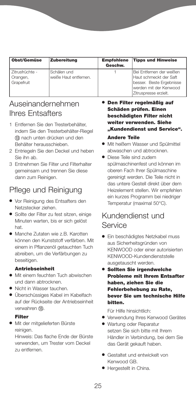| <b>Obst/Gemüse</b>                        | Zubereitung                          | <b>Empfohlene</b><br>Geschw. | <b>Tipps und Hinweise</b>                                                                                                          |
|-------------------------------------------|--------------------------------------|------------------------------|------------------------------------------------------------------------------------------------------------------------------------|
| Zitrusfrüchte -<br>Orangen,<br>Grapefruit | Schälen und<br>weiße Haut entfernen. |                              | Bei Entfernen der weißen<br>Haut schmeckt der Saft<br>besser. Beste Ergebnisse<br>lwerden mit der Kenwood<br>Zitruspresse erzielt. |

# Auseinandernehmen Ihres Entsafters

- 1 Entfernen Sie den Tresterbehälter, indem Sie den Tresterbehälter-Riegel nach unten drücken und den Behälter herausschieben.
- 2 Entriegeln Sie den Deckel und heben Sie ihn ab.
- 3 Entnehmen Sie Filter und Filterhalter gemeinsam und trennen Sie diese dann zum Reinigen.

# Pflege und Reinigung

- **●** Vor Reinigung des Entsafters den Netzstecker ziehen.
- **●** Sollte der Filter zu fest sitzen, einige Minuten warten, bis er sich gelöst hat.
- **●** Manche Zutaten wie z.B. Karotten können den Kunststoff verfärben. Mit einem in Pflanzenöl getauchten Tuch abreiben, um die Verfärbungen zu beseitigen.

### **Antriebseinheit**

- **●** Mit einem feuchten Tuch abwischen und dann abtrocknen.
- **●** Nicht in Wasser tauchen.
- **●** Überschüssiges Kabel im Kabelfach auf der Rückseite der Antriebseinheit verwahren (B).

### **Filter**

**●** Mit der mitgelieferten Bürste reinigen.

Hinweis: Das flache Ende der Bürste verwenden, um Trester vom Deckel zu entfernen.

### **● Den Filter regelmäßig auf Schäden prüfen. Einen beschädigten Filter nicht weiter verwenden. Siehe "Kundendienst und Service". Andere Teile**

- **●** Mit heißem Wasser und Spülmittel abwaschen und abtrocknen.
- **●** Diese Teile sind zudem spülmaschinenfest und können im oberen Fach Ihrer Spülmaschine gereinigt werden. Die Teile nicht in das untere Gestell direkt über dem Heizelement stellen. Wir empfehlen ein kurzes Programm bei niedriger Temperatur (maximal 50°C).

# Kundendienst und Service

- **●** Ein beschädigtes Netzkabel muss aus Sicherheitsgründen von KENWOOD oder einer autorisierten KENWOOD-Kundendienststelle ausgetauscht werden.
- **● Sollten Sie irgendwelche Probleme mit Ihrem Entsafter haben, ziehen Sie die Fehlerbehebung zu Rate, bevor Sie um technische Hilfe bitten.**

Für Hilfe hinsichtlich:

- **●** Verwendung Ihres Kenwood Gerätes
- **●** Wartung oder Reparatur setzen Sie sich bitte mit Ihrem Händler in Verbindung, bei dem Sie das Gerät gekauft haben.
- **●** Gestaltet und entwickelt von Kenwood GB.
- **●** Hergestellt in China.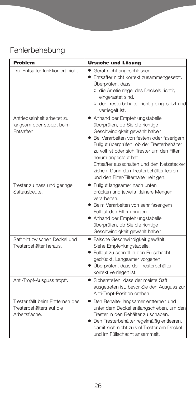# Fehlerbehebung

| <b>Problem</b>                                                                 | <b>Ursache und Lösung</b>                                                                                                                                                                                                                                                                                                                                                                               |
|--------------------------------------------------------------------------------|---------------------------------------------------------------------------------------------------------------------------------------------------------------------------------------------------------------------------------------------------------------------------------------------------------------------------------------------------------------------------------------------------------|
| Der Entsafter funktioniert nicht.                                              | Gerät nicht angeschlossen.<br>Entsafter nicht korrekt zusammengesetzt.<br>Überprüfen, dass:<br>o die Arretierriegel des Deckels richtig<br>eingerastet sind.<br>o der Tresterbehälter richtig eingesetzt und<br>verriegelt ist.                                                                                                                                                                         |
| Antriebseinheit arbeitet zu<br>langsam oder stoppt beim<br>Entsaften.          | • Anhand der Empfehlungstabelle<br>überprüfen, ob Sie die richtige<br>Geschwindigkeit gewählt haben.<br>Bei Verarbeiten von festem oder faserigem<br>Füllgut überprüfen, ob der Tresterbehälter<br>zu voll ist oder sich Trester um den Filter<br>herum angestaut hat.<br>Entsafter ausschalten und den Netzstecker<br>ziehen. Dann den Tresterbehälter leeren<br>und den Filter/Filterhalter reinigen. |
| Trester zu nass und geringe<br>Saftausbeute.                                   | • Füllgut langsamer nach unten<br>drücken und jeweils kleinere Mengen<br>verarbeiten.<br>· Beim Verarbeiten von sehr faserigem<br>Füllgut den Filter reinigen.<br>• Anhand der Empfehlungstabelle<br>überprüfen, ob Sie die richtige<br>Geschwindigkeit gewählt haben.                                                                                                                                  |
| Saft tritt zwischen Deckel und<br>Tresterbehälter heraus.                      | • Falsche Geschwindigkeit gewählt.<br>Siehe Empfehlungstabelle.<br>· Füllgut zu schnell in den Füllschacht<br>gedrückt. Langsamer vorgehen.<br>Überprüfen, dass der Tresterbehälter<br>korrekt verriegelt ist.                                                                                                                                                                                          |
| Anti-Tropf-Ausguss tropft.                                                     | • Sicherstellen, dass der meiste Saft<br>ausgetreten ist, bevor Sie den Ausguss zur<br>Anti-Tropf-Position drehen.                                                                                                                                                                                                                                                                                      |
| Trester fällt beim Entfernen des<br>Tresterbehälters auf die<br>Arbeitsfläche. | • Den Behälter langsamer entfernen und<br>unter dem Deckel entlangschieben, um den<br>Trester in den Behälter zu schaben.<br>• Den Tresterbehälter regelmäßig entleeren,<br>damit sich nicht zu viel Trester am Deckel<br>und im Füllschacht ansammelt.                                                                                                                                                 |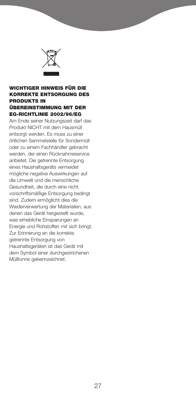

### **WICHTIGER HINWEIS FÜR DIE KORREKTE ENTSORGUNG DES PRODUKTS IN ÜBEREINSTIMMUNG MIT DER EG-RICHTLINIE 2002/96/EG**

Am Ende seiner Nutzungszeit darf das Produkt NICHT mit dem Hausmüll entsorgt werden. Es muss zu einer örtlichen Sammelstelle für Sondermüll oder zu einem Fachhändler gebracht werden, der einen Rücknahmeservice anbietet. Die getrennte Entsorgung eines Haushaltsgeräts vermeidet mögliche negative Auswirkungen auf die Umwelt und die menschliche Gesundheit, die durch eine nicht vorschriftsmäßige Entsorgung bedingt sind. Zudem ermöglicht dies die Wiederverwertung der Materialien, aus denen das Gerät hergestellt wurde, was erhebliche Einsparungen an Energie und Rohstoffen mit sich bringt. Zur Erinnerung an die korrekte getrennte Entsorgung von Haushaltsgeräten ist das Gerät mit dem Symbol einer durchgestrichenen Mülltonne gekennzeichnet.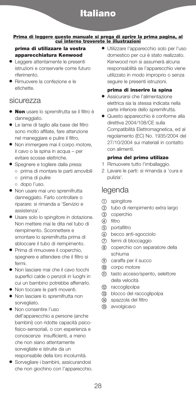# **Italiano**

# Prima di leggere questo manuale si prega di aprire la prima pagina, al<br>cui interno troverete le illustrazioni

**prima di utilizzare la vostra apparecchiatura Kenwood**

- **●** Leggere attentamente le presenti istruzioni e conservarle come futuro riferimento.
- **●** Rimuovere la confezione e le etichette.

### sicurezza

- **● Non** usare lo spremifrutta se il filtro è danneggiato.
- **●** Le lame di taglio alla base del filtro sono molto affilate, fare attenzione nel maneggiare e pulire il filtro.
- **●** Non immergere mai il corpo motore, il cavo o la spina in acqua – per evitare scosse elettriche.
- **●** Spegnere e togliere dalla presa:
	- **●** prima di montare le parti amovibili
		- **●** prima di pulire
		- **●** dopo l'uso.
- **●** Non usare mai uno spremifrutta danneggiato. Farlo controllare o riparare: si rimanda a 'Servizio e assistenza'.
- **●** Usare solo lo spingitore in dotazione. Non mettere mai le dita nel tubo di riempimento. Sconnettere e smontare lo spremifrutta prima di sbloccare il tubo di riempimento.
- **●** Prima di rimuovere il coperchio, spegnere e attendere che il filtro si fermi.
- **●** Non lasciare mai che il cavo tocchi superfici calde o penzoli in luoghi in cui un bambino potrebbe afferrarlo.
- **●** Non toccare le parti moventi.
- **●** Non lasciare lo spremifrutta non sorvegliato.
- **●** Non consentire l'uso dell'apparecchio a persone (anche bambini) con ridotte capacità psicofisico-sensoriali, o con esperienza e conoscenze insufficienti, a meno che non siano attentamente sorvegliate e istruite da un responsabile della loro incolumità.
- **●** Sorvegliare i bambini, assicurandosi che non giochino con l'apparecchio.

**●** Utilizzare l'apparecchio solo per l'uso domestico per cui è stato realizzato. Kenwood non si assumerà alcuna responsabilità se l'apparecchio viene utilizzato in modo improprio o senza seguire le presenti istruzioni.

### **prima di inserire la spina**

- **●** Assicurarsi che l'alimentazione elettrica sia la stessa indicata nella parte inferiore dello spremifrutta.
- **●** Questo apparecchio è conforme alla direttiva 2004/108/CE sulla Compatibilità Elettromagnetica, ed al regolamento (EC) No. 1935/2004 del 27/10/2004 sui materiali in contatto con alimenti.

### **prima del primo utilizzo**

- 1 Rimuovere tutto l'imballaggio.
- 2 Lavare le parti: si rimanda a 'cura e pulizia'.

# legenda

- spingitore
- tubo di riempimento extra largo
- (3) coperchio
- (4) filtro
- (5) portafiltro
- becco anti-sgocciolo
- $(7)$ fermi di bloccaggio
- coperchio con separatore della schiuma
- caraffa per il succo
- (ii) corpo motore
- (ii) tasto acceso/spento, selettore della velocità
- (12) raccoglipolpa
- blocco del raccoglipolpa
- spazzola del filtro
- (15) avvolgicavo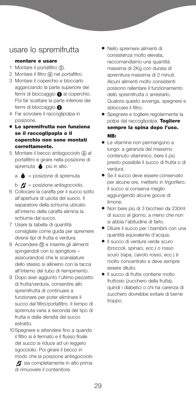### usare lo spremifrutta

### **montare e usare**

- 1 Montare il portafiltro (5).
- 2 Montare il filtro (4) nel portafiltro.
- 3 Montare il coperchio e bloccarlo agganciando la parte superiore dei fermi di bloccaggio  $\bigcirc$  al coperchio. Poi far scattare la parte inferiore dei fermi di bloccaggio **2.**
- 4 Far scivolare il raccoglipolpa in posizione.
- **● Lo spremifrutta non funziona se il raccoglipopla o il coperchio non sono montati correttamente.**
- 5 Montare il becco antisgocciolo  $\omega$  al portafiltro e girare nella posizione di spremuta  $\bullet$  più in alto.

 $a \triangleq$  = posizione di spremuta

 $b \nvert$  = posizione antisgocciolo.

- 6 Collocare la caraffa per il succo sotto all'apertura di uscita del succo. Il separatore della schiuma ubicato all'interno della caraffa elimina la schiuma dal succo.
- 7 Usare la tabella di quantità consigliate come guida per spremere diversi tipi di frutta e verdura.
- 8 Accendere (ii) e inserire gli alimenti spingendoli con lo spingitore – assicurandosi che le scanalature dello stesso si allineino con la tacca all'interno del tubo di riempimento.
- 9 Dopo aver aggiunto l'ultimo pezzetto di frutta/verdura, consentire allo spremifrutta di continuare a funzionare per poter eliminare il succo dal filtro/portafiltro. Il tempo di spremuta varia a seconda del tipo di frutta e dalla densità del succo estratto.
- 10Spegnere e attendere fino a quando il filtro si è fermato e il flusso finale del succo si riduce ad un leggero sgocciolio. Poi girare il becco in modo che la posizione antisgocciolo
	- sia completamente in alto prima di rimuovere il contenitore.
- **●** Nello spremere alimenti di consistenza molto elevata, raccomandiamo una quantità massima di 2Kg con durata di spremitura massima di 2 minuti. Alcuni alimenti molto consistenti possono rallentare il funzionamento dello spremifrutta o arrestarlo. Qualora questo avvenga, spegnere e sbloccare il filtro.
- **●** Spegnere e togliere regolarmente la polpa dal raccoglipolpa. **Togliere sempre la spina dopo l'uso. NB:**
- **●** Le vitamine non permangono a lungo: a garanzia del massimo contenuto vitaminico, bere il più presto possibile il succo di frutta o di verdura.
- **●** Se il succo deve essere conservato per alcune ore, metterlo in frigorifero. Il succo si conserva meglio aggiungendo alcune gocce di limone.
- **●** Non bere più di 3 bicchieri da 230ml di succo al giorno, a meno che non si abbia l'abitudine di farlo.
- **●** Diluire il succo per i bambini con una quantità equivalente d'acqua.
- **●** Il succo di verdure verde scuro (broccoli, spinaci, ecc.) o rosso scuro (rapa, cavolo rosso, ecc.) è molto concentrato e deve sempre essere diluito.
- **●** Il succo di frutta contiene molto fruttosio (zucchero della frutta), quindi i diabetici o chi ha carenza di zucchero dovrebbe evitare di berne troppo.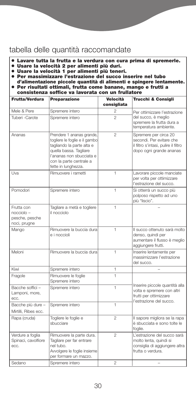# tabella delle quantità raccomandate

- **● Lavare tutta la frutta e la verdura con cura prima di spremerle.**
- **● Usare la velocità 2 per alimenti più duri.**
- **● Usare la velocità 1 per alimenti più teneri.**
- **● Per massimizzare l'estrazione del succo inserire nel tubo d'alimentazione piccole quantità di alimenti e spingere lentamente. ● Per risultati ottimali, frutta come banane, mango e frutti a**

| <b>Frutta/Verdura</b>                                      | <b>Preparazione</b>                                                                                                                                                                             | Velocità<br>consigliata | Trucchi & Consigli                                                                                                   |  |
|------------------------------------------------------------|-------------------------------------------------------------------------------------------------------------------------------------------------------------------------------------------------|-------------------------|----------------------------------------------------------------------------------------------------------------------|--|
| Mele & Pere                                                | Spremere intero                                                                                                                                                                                 | 2                       | Per ottimizzare l'estrazione<br>del succo, è meglio<br>spremere la frutta dura a<br>temperatura ambiente.            |  |
| Tuberi - Carote                                            | Spremere intero                                                                                                                                                                                 | $\overline{2}$          |                                                                                                                      |  |
| Ananas                                                     | Prendere 1 ananas grande,<br>togliere le foglie e il gambo<br>tagliando la parte alta e<br>quella bassa. Tagliare<br>l'ananas non sbucciata e<br>con la parte centrale a<br>fette in lunghezza. | $\overline{2}$          | Spremere per circa 20<br>secondi. Per evitare che<br>il filtro s'intasi, pulire il filtro<br>dopo ogni grande ananas |  |
| Uva                                                        | Rimuovere i rametti                                                                                                                                                                             | $\overline{1}$          | Lavorare piccole manciate<br>per volta per ottimizzare<br>l'estrazione del succo.                                    |  |
| Pomodori                                                   | Spremere intero                                                                                                                                                                                 | 1                       | Si otterrà un succo più<br>polposo rispetto ad uno<br>più "liscio".                                                  |  |
| Frutta con<br>nocciolo -<br>pesche, pesche<br>noci, prugne | Tagliare a metà e togliere<br>il nocciolo                                                                                                                                                       | 1                       |                                                                                                                      |  |
| Mango                                                      | Rimuovere la buccia dura<br>e i noccioli                                                                                                                                                        | 1                       | Il succo ottenuto sarà molto<br>denso, quindi per<br>aumentare il flusso è meglio<br>aggiungere frutti.              |  |
| Meloni                                                     | Rimuovere la buccia dura                                                                                                                                                                        | $\mathbf{1}$            | Inserire lentamente per<br>massimizzare l'estrazione<br>del succo.                                                   |  |
| Kiwi                                                       | Spremere intero                                                                                                                                                                                 | 1                       |                                                                                                                      |  |
| Fragole                                                    | Rimuovere le foglie<br>Spremere intero                                                                                                                                                          | 1                       | Inserire piccole quantità alla<br>volta e spremere con altri<br>frutti per ottimizzare<br>l'estrazione del succo.    |  |
| Bacche soffici -<br>Lamponi, more,<br>ecc.                 | Spremere intero                                                                                                                                                                                 | 1                       |                                                                                                                      |  |
| Bacche più dure -<br>Mirtilli, Ribes ecc.                  | Spremere intero                                                                                                                                                                                 | $\mathbf{1}$            |                                                                                                                      |  |
| Rapa (cruda)                                               | Togliere le foglie e<br>sbucciare                                                                                                                                                               | $\overline{2}$          | Il sapore migliora se la rapa<br>è sbucciata e sono tolte le<br>foglie.                                              |  |
| Verdure a foglia<br>Spinaci, cavolfiore<br>ecc.            | Rimuovere la parte dura.<br>Tagliare per far entrare<br>nel tubo.<br>Avvolgere le foglie insieme<br>per formare un mazzo.                                                                       | $\overline{2}$          | L'estrazione del succo sarà<br>molto lenta, quindi si<br>consiglia di aggiungere altra<br>frutta o verdura.          |  |
| Sedano                                                     | Spremere intero                                                                                                                                                                                 | $\mathfrak{p}$          |                                                                                                                      |  |
|                                                            |                                                                                                                                                                                                 |                         |                                                                                                                      |  |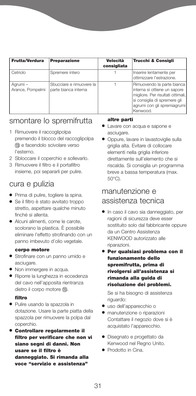| <b>Frutta/Verdura</b>        | <b>Preparazione</b>                              | Velocità<br>consigliata | Trucchi & Consigli                                                                                                                                                           |
|------------------------------|--------------------------------------------------|-------------------------|------------------------------------------------------------------------------------------------------------------------------------------------------------------------------|
| Cetriolo                     | Spremere intero                                  |                         | Inserire lentamente per<br>ottimizzare l'estrazione.                                                                                                                         |
| Agrumi -<br>Arance, Pompelmi | Sbucciare e rimuovere la<br>parte bianca interna |                         | Rimuovendo la parte bianca<br>interna si ottiene un sapore<br>migliore. Per risultati ottimali,<br>si consiglia di spremere gli<br>agrumi con gli spremiagrumi  <br>Kenwood. |

## smontare lo spremifrutta

- 1 Rimuovere il raccoglipolpa premendo il blocco del raccoglipolpa (i3) e facendolo scivolare verso l'esterno.
- 2 Sbloccare il coperchio e sollevarlo.
- 3 Rimuovere il filtro e il portafiltro insieme, poi separarli per pulire.

### cura e pulizia

- **●** Prima di pulire, togliere la spina.
- **●** Se il filtro è stato avvitato troppo stretto, aspettare qualche minuto finché si allenta.
- **●** Alcuni alimenti, come le carote, scolorano la plastica. È possibile eliminare l'effetto strofinando con un panno imbevuto d'olio vegetale.

### **corpo motore**

- **●** Strofinare con un panno umido e asciugare.
- **●** Non immergere in acqua.
- **●** Riporre la lunghezza in eccedenza del cavo nell'apposita rientranza dietro il corpo motore (B).

### **filtro**

- **●** Pulire usando la spazzola in dotazione. Usare la parte piatta della spazzola per rimuovere la polpa dal coperchio.
- **● Controllare regolarmente il filtro per verificare che non vi siano segni di danni. Non usare se il filtro è danneggiato. Si rimanda alla voce "servizio e assistenza"**

### **altre parti**

- **●** Lavare con acqua e sapone e asciugare.
- **●** Oppure, lavare in lavastoviglie sulla griglia alta. Evitare di collocare elementi nella griglia inferiore direttamente sull'elemento che si riscalda. Si consiglia un programma breve a bassa temperatura (max. 50°C).

### manutenzione e assistenza tecnica

- **●** In caso il cavo sia danneggiato, per ragioni di sicurezza deve esser sostituito solo dal fabbricante oppure da un Centro Assistenza KENWOOD autorizzato alle riparazioni.
- **● Per qualsiasi problema con il funzionamento dello spremifrutta, prima di rivolgersi all'assistenza si rimanda alla guida di risoluzione dei problemi.**

Se si ha bisogno di assistenza riguardo:

- **●** uso dell'apparecchio o
- **●** manutenzione o riparazioni Contattare il negozio dove si è acquistato l'apparecchio.
- **●** Disegnato e progettato da Kenwood nel Regno Unito.
- **●** Prodotto in Cina.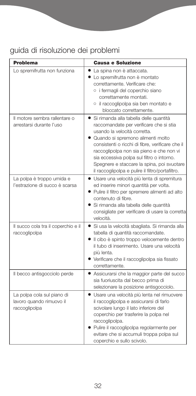# guida di risoluzione dei problemi

| <b>Problema</b>                                                         | <b>Causa e Soluzione</b>                                                                                                                                                                                                                                                                                                                                                                                |
|-------------------------------------------------------------------------|---------------------------------------------------------------------------------------------------------------------------------------------------------------------------------------------------------------------------------------------------------------------------------------------------------------------------------------------------------------------------------------------------------|
|                                                                         |                                                                                                                                                                                                                                                                                                                                                                                                         |
| Lo spremifrutta non funziona                                            | • La spina non è attaccata.<br>Lo spremifrutta non è montato<br>correttamente. Verificare che:<br>o i fermagli del coperchio siano<br>correttamente montati.<br>o il raccoglipolpa sia ben montato e<br>bloccato correttamente.                                                                                                                                                                         |
| Il motore sembra rallentare o<br>arrestarsi durante l'uso               | Si rimanda alla tabella delle quantità<br>raccomandate per verificare che si stia<br>usando la velocità corretta.<br>• Quando si spremono alimenti molto<br>consistenti o ricchi di fibre, verificare che il<br>raccoglipolpa non sia pieno e che non vi<br>sia eccessiva polpa sul filtro o intorno.<br>Spegnere e staccare la spina, poi svuotare<br>il raccoglipolpa e pulire il filtro/portafiltro. |
| La polpa è troppo umida e<br>l'estrazione di succo è scarsa             | · Usare una velocità più lenta di spremitura<br>ed inserire minori quantità per volta.<br>• Pulire il filtro per spremere alimenti ad alto<br>contenuto di fibre.<br>Si rimanda alla tabella delle quantità<br>consigliate per verificare di usare la corretta<br>velocità.                                                                                                                             |
| Il succo cola tra il coperchio e il<br>raccoglipolpa                    | · Si usa la velocità sbagliata. Si rimanda alla<br>tabella di quantità raccomandate.<br>Il cibo è spinto troppo velocemente dentro<br>il tubo di inserimento. Usare una velocità<br>più lenta.<br>• Verificare che il raccoglipolpa sia fissato<br>correttamente.                                                                                                                                       |
| Il becco antisgocciolo perde                                            | • Assicurarsi che la maggior parte del succo<br>sia fuoriuscita dal becco prima di<br>selezionare la posizione antisgocciolo.                                                                                                                                                                                                                                                                           |
| La polpa cola sul piano di<br>lavoro quando rimuovo il<br>raccoglipolpa | Usare una velocità più lenta nel rimuovere<br>$\bullet$<br>il raccoglipolpa e assicurarsi di farlo<br>scivolare lungo il lato inferiore del<br>coperchio per trasferire la polpa nel<br>raccoglipolpa.<br>Pulire il raccoglipolpa regolarmente per<br>evitare che si accumuli troppa polpa sul<br>coperchio e sullo scivolo.                                                                            |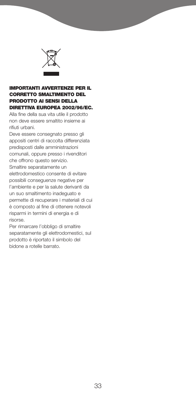

### **IMPORTANTI AVVERTENZE PER IL CORRETTO SMALTIMENTO DEL PRODOTTO AI SENSI DELLA DIRETTIVA EUROPEA 2002/96/EC.**

Alla fine della sua vita utile il prodotto non deve essere smaltito insieme ai rifiuti urbani.

Deve essere consegnato presso gli appositi centri di raccolta differenziata predisposti dalle amministrazioni comunali, oppure presso i rivenditori che offrono questo servizio. Smaltire separatamente un elettrodomestico consente di evitare possibili conseguenze negative per l'ambiente e per la salute derivanti da un suo smaltimento inadeguato e permette di recuperare i materiali di cui è composto al fine di ottenere notevoli risparmi in termini di energia e di risorse.

Per rimarcare l'obbligo di smaltire separatamente gli elettrodomestici, sul prodotto è riportato il simbolo del bidone a rotelle barrato.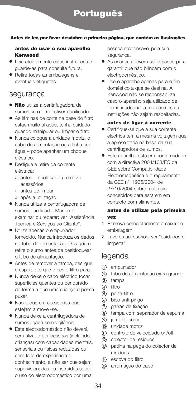### **Antes de ler, por favor desdobre a primeira página, que contém as ilustrações**

### **antes de usar o seu aparelho Kenwood**

- **●** Leia atentamente estas instruções e guarde-as para consulta futura.
- **●** Retire todas as embalagens e eventuais etiquetas.

### segurança

- **● Não** utilize a centrifugadora de sumos se o filtro estiver danificado.
- **●** As lâminas de corte na base do filtro estão muito afiadas, tenha cuidado quando manipular ou limpar o filtro.
- **●** Nunca coloque a unidade motriz, o cabo de alimentação ou a ficha em água – pode apanhar um choque eléctrico.
- **●** Desligue e retire da corrente eléctrica:
	- **●** antes de colocar ou remover acessórios
	- **●** antes de limpar
	- **●** após a utilização.
- **●** Nunca utilize a centrifugadora de sumos danificada. Mande-o examinar ou reparar: ver "Assistência Técnica e Serviços ao Cliente".
- **●** Utilize apenas o empurrador fornecido. Nunca introduza os dedos no tubo de alimentação. Desligue e retire o sumo antes de desbloquear o tubo de alimentação.
- **●** Antes de remover a tampa, desligue e espere até que o cesto filtro pare.
- **●** Nunca deixe o cabo eléctrico tocar superfícies quentes ou pendurado de forma a que uma criança o possa puxar.
- **●** Não toque em acessórios que estejam a mover-se.
- **●** Nunca deixe a centrifugadora de sumos ligada sem vigilância.
- **●** Este electrodoméstico não deverá ser utilizado por pessoas (incluindo crianças) com capacidades mentais, sensoriais ou físicas reduzidas ou com falta de experiência e conhecimento, a não ser que sejam supervisionadas ou instruídas sobre o uso do electrodoméstico por uma

pessoa responsável pela sua segurança.

- **●** As crianças devem ser vigiadas para garantir que não brincam com o electrodoméstico.
- **●** Use o aparelho apenas para o fim doméstico a que se destina. A Kenwood não se responsabiliza caso o aparelho seja utilizado de forma inadequada, ou caso estas instruções não sejam respeitadas.

### **antes de ligar à corrente**

- **●** Certifique-se que a sua corrente eléctrica tem a mesma voltagem que a apresentada na base da sua centrifugadora de sumos.
- **●** Este aparelho está em conformidade com a directiva 2004/108/EC da CEE sobre Compatibilidade Electromagnética e o regulamento da CEE nº. 1935/2004 de 27/10/2004 sobre materiais concebidos para estarem em contacto com alimentos.

### **antes de utilizar pela primeira vez**

- 1 Remova completamente a caixa de embalagem.
- 2 Lave os acessórios: ver "cuidados e limpeza".

# legenda

- empurrador
- tubo de alimentação extra grande
- (3) tampa
- 4 filtro
- (5) porta-filtro
- bico anti-pingo
- $(7)$ garras de fixação
- tampa com separador de espuma
- **(9)** jarro de sumo
- unidade motriz
- controlo de velocidade on/off
- colector de resíduos
- patilha na pega do colector de resíduos
- (4) escova do filtro
- (15 arrumação do cabo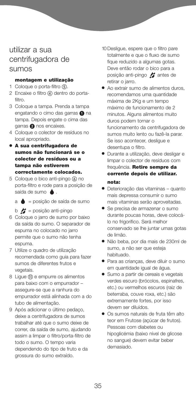### utilizar a sua centrifugadora de sumos

#### **montagem e utilização**

- 1 Coloque o porta-filtro (5).
- 2 Encaixe o filtro (4) dentro do portafiltro.
- 3 Coloque a tampa. Prenda a tampa engatando o cimo das garras  $\bigcirc$  na tampa. Depois engate o cima das garras **2** nos encaixes.
- 4 Coloque o colector de resíduos no local apropriado.
- **● A sua centrifugadora de sumos não funcionará se o colector de resíduos ou a tampa não estiverem correctamente colocados.**
- 5 Coloque o bico anti-pingo (6) no porta-filtro e rode para a posição de saída de sumo  $\triangle$ .
	- $a \bullet$  = posição de saída de sumo

b  $\mathbf{B} = \mathbf{p}$ osição anti-pingo

- 6 Coloque o jarro de sumo por baixo da saída do sumo. O separador de espuma no colocado no jarro permite que o sumo não tenha espuma.
- 7 Utilize o quadro de utilização recomendada como guia para fazer sumos de diferentes frutos e vegetais.
- 8 Ligue (ii) e empurre os alimentos para baixo com o empurrador – assegure-se que a ranhura do empurrador está alinhada com a do tubo de alimentação.
- 9 Após adicionar o último pedaço, deixe a centrifugadora de sumos trabalhar até que o sumo deixe de correr, da saída de sumo, ajudando assim a limpar o filtro/porta-filtro de todo o sumo. O tempo varia dependendo do tipo de fruto e da grossura do sumo extraído.
- 10Desligue, espere que o filtro pare totalmente e que o fluxo de sumo fique reduzido a algumas gotas. Deve então rodar o bico para a posição anti-pingo **anti-pingo** retirar o jarro.
- **●** Ao extrair sumo de alimentos duros, recomendamos uma quantidade máxima de 2Kg e um tempo máximo de funcionamento de 2 minutos. Alguns alimentos muito duros podem tornar o funcionamento da centrifugadora de sumos muito lento ou fazê-la parar. Se isso acontecer, desligue e desentupa o filtro.
- **●** Durante a utilização, deve desligar e limpar o colector de resíduos com frequência. **Retire sempre da corrente depois de utilizar. nota:**
- **●** Deterioração das vitaminas quanto mais depressa consumir o sumo mais vitaminas serão aproveitadas.
- **●** Se precisa de armazenar o sumo durante poucas horas, deve colocálo no frigorífico. Será melhor conservado se lhe juntar umas gotas de limão.
- **●** Não beba, por dia mais de 230ml de sumo, a não ser que esteja habituado.
- **●** Para as crianças, deve diluir o sumo em quantidade igual de água.
- **●** Sumo a partir de cereais e vegetais verdes escuro (brócolos, espinafres, etc.) ou vermelhos escuros (raiz de beterraba, couve roxa, etc.) são extremamente fortes, por isso devem ser diluídos.
- **●** Os sumos naturais de fruta têm alto teor em Frutose (açúcar de frutos). Pessoas com diabetes ou hipoglicémia (baixo nível de glicose no sangue) devem evitar beber demasiado.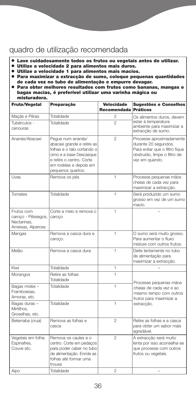# quadro de utilização recomendada

- **● Lave cuidadosamente todos os frutos ou vegetais antes de utilizar.**
- **● Utilize a velocidade 2 para alimentos mais duros.**
- **● Utilize a velocidade 1 para alimentos mais macios.**
- **● Para maximizar a extracção de sumo, coloque pequenas quantidades de cada vez no tubo de alimentação e empurre devagar.**
- **● Para obter melhores resultados com frutos como bananas, mangas e bagas macias, é preferível utilizar uma varinha mágica ou misturadora.**

| <b>Fruto/Vegetal</b>                                                 | Preparação                                                                                                                                                                          | <b>Velocidade</b><br><b>Recomendada</b> | <b>Sugestões e Conselhos</b><br><b>Práticos</b>                                                                                      |
|----------------------------------------------------------------------|-------------------------------------------------------------------------------------------------------------------------------------------------------------------------------------|-----------------------------------------|--------------------------------------------------------------------------------------------------------------------------------------|
|                                                                      | Totalidade                                                                                                                                                                          | $\overline{2}$                          |                                                                                                                                      |
| Maçãs e Pêras                                                        |                                                                                                                                                                                     |                                         | Os alimentos duros, devem<br>estar à temperatura                                                                                     |
| Tubérculos -<br>cenouras                                             | Totalidade                                                                                                                                                                          | $\mathfrak{p}$                          | ambiente para maximizar a<br>extracção de sumo.                                                                                      |
| Ananás/Abacaxi                                                       | Peque num ananás/<br>abacaxi grande e retire as<br>folhas e o talo cortando o<br>cimo e a base Descasque<br>e retire o centro. Corte<br>em rodelas e depois em<br>pequenos quartos. | $\overline{2}$                          | Processe aproximadamente<br>durante 20 segundos.<br>Para evitar que o filtro fique<br>obstruído, limpe o filtro de<br>vez em quando. |
| <b>Uvas</b>                                                          | Remova os pés                                                                                                                                                                       | 1                                       | Processe pequenas mãos<br>cheias de cada vez para<br>maximizar a extracção.                                                          |
| Tomates                                                              | Totalidade                                                                                                                                                                          | 1                                       | Será produzido um sumo<br>grosso em vez de um sumo<br>macio.                                                                         |
| Frutos com<br>caroço - Pêssegos,<br>Nectarinas,<br>Ameixas, Alperces | Corte a meio e remova o<br>caroço                                                                                                                                                   | 1                                       |                                                                                                                                      |
| Mangas                                                               | Remova a casca dura e<br>caroco.                                                                                                                                                    | $\mathbf{1}$                            | O sumo será muito grosso.<br>Para aumentar o fluxo<br>misture com outros frutos.                                                     |
| Melão                                                                | Remova a casca dura                                                                                                                                                                 | 1                                       | Deite lentamente no tubo<br>de alimentação para<br>maximizar a extracção.                                                            |
| Kiwi                                                                 | Totalidade                                                                                                                                                                          | 1                                       |                                                                                                                                      |
| Morangos                                                             | Retire as folhas<br>Totalidade                                                                                                                                                      | $\mathbf{1}$                            | Processe pequenas mãos                                                                                                               |
| Bagas moles -<br>Framboesas,<br>Amoras, etc.                         | Totalidade                                                                                                                                                                          | $\mathbf{1}$                            | cheias de cada vez e ao<br>mesmo tempo com outros<br>frutos para maximizar a                                                         |
| Bagas duras -<br>Mirtilhos.<br>Groselhas, etc.                       | Totalidade                                                                                                                                                                          | 1                                       | extracção.                                                                                                                           |
| Beterraba (crua)                                                     | Remova as folhas e<br>casca                                                                                                                                                         | $\mathfrak{D}$                          | Retire as folhas e a casca<br>para obter um sabor mais<br>agradável.                                                                 |
| Vegetais em folha:<br>Espinafres,<br>Couve etc.                      | Remova os caules e o<br>centro. Corte em pedaços<br>para poder caber no tubo<br>de alimentação. Enrole as<br>folhas até formar uma<br>trouxa                                        | $\overline{2}$                          | A extracção será muito<br>lenta por isso aconselha-se<br>que processe com outros<br>frutos ou vegetais.                              |
| Aipo                                                                 | Totalidade                                                                                                                                                                          | $\overline{2}$                          |                                                                                                                                      |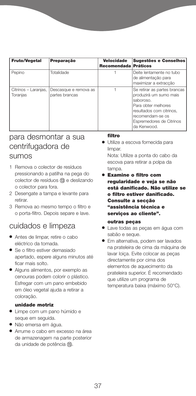| <b>Fruto/Vegetal</b>             | Preparação                              | <b>Velocidade</b><br>Recomendada Práticos | <b>Sugestões e Conselhos</b>                                                                                                                                                          |
|----------------------------------|-----------------------------------------|-------------------------------------------|---------------------------------------------------------------------------------------------------------------------------------------------------------------------------------------|
| Pepino                           | Totalidade                              |                                           | Deite lentamente no tubo<br>de alimentação para<br>maximizar a extracção                                                                                                              |
| Citrinos - Laranjas,<br>Toranjas | Descasque e remova as<br>partes brancas |                                           | Se retirar as partes brancas<br>produzirá um sumo mais<br>saboroso.<br>Para obter melhores<br>resultados com citrinos,<br>recomendam-se os<br>Espremedores de Citrinos<br>da Kenwood. |

## para desmontar a sua centrifugadora de sumos

- 1 Remova o colector de resíduos pressionando a patilha na pega do colector de resíduos (3) e deslizando o colector para fora.
- 2 Desengate a tampa e levante para retirar.
- 3 Remova ao mesmo tempo o filtro e o porta-filtro. Depois separe e lave.

## cuidados e limpeza

- **●** Antes de limpar, retire o cabo eléctrico da tomada.
- **●** Se o filtro estiver demasiado apertado, espere alguns minutos até ficar mais solto.
- **●** Alguns alimentos, por exemplo as cenouras podem colorir o plástico. Esfregar com um pano embebido em óleo vegetal ajuda a retirar a coloração.

### **unidade motriz**

- **●** Limpe com um pano húmido e seque em seguida.
- **●** Não emersa em água.
- **●** Arrume o cabo em excesso na área de armazenagem na parte posterior da unidade de potência (i5).

#### **filtro**

**●** Utilize a escova fornecida para limpar.

Nota: Utilize a ponta do cabo da escova para retirar a polpa da tampa.

**● Examine o filtro com regularidade e veja se não está danificado. Não utilize se o filtro estiver danificado. Consulte a secção "assistência técnica e serviços ao cliente".**

### **outras peças**

- **●** Lave todas as peças em água com sabão e seque.
- **●** Em alternativa, podem ser lavados na prateleira de cima da máquina de lavar loiça. Evite colocar as peças directamente por cima dos elementos de aquecimento da prateleira superior. É recomendado que utilize um programa de temperatura baixa (máximo 50°C).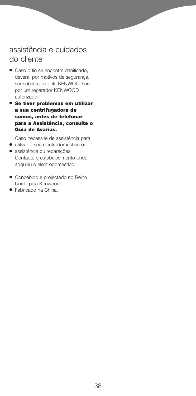# assistência e cuidados do cliente

- **●** Caso o fio se encontre danificado, deverá, por motivos de segurança, ser substituído pela KENWOOD ou por um reparador KENWOOD autorizado.
- **● Se tiver problemas em utilizar a sua centrifugadora de sumos, antes de telefonar para a Assistência, consulte o Guia de Avarias.**

Caso necessite de assistência para:

- **●** utilizar o seu electrodoméstico ou
- **●** assistência ou reparações Contacte o estabelecimento onde adquiriu o electrodoméstico.
- **●** Concebido e projectado no Reino Unido pela Kenwood.
- **●** Fabricado na China.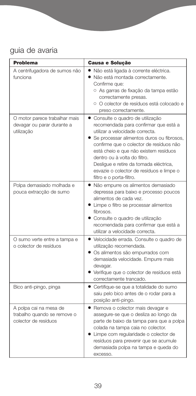# guia de avaria

| <b>Problema</b>                                                               | Causa e Solução                                                                                                                                                                                                                                                                                                                                                                                |
|-------------------------------------------------------------------------------|------------------------------------------------------------------------------------------------------------------------------------------------------------------------------------------------------------------------------------------------------------------------------------------------------------------------------------------------------------------------------------------------|
| A centrifugadora de sumos não<br>funciona                                     | · Não está ligada à corrente eléctrica.<br>· Não está montada correctamente.<br>Confirme que:<br>o As garras de fixação da tampa estão<br>correctamente presas.<br>○ O colector de resíduos está colocado e<br>preso correctamente.                                                                                                                                                            |
| O motor parece trabalhar mais<br>devagar ou parar durante a<br>utilização     | Consulte o quadro de utilização<br>recomendada para confirmar que está a<br>utilizar a velocidade correcta.<br>Se processar alimentos duros ou fibrosos,<br>confirme que o colector de resíduos não<br>está cheio e que não existem resíduos<br>dentro ou à volta do filtro.<br>Deslique e retire da tomada eléctrica,<br>esvazie o colector de resíduos e limpe o<br>filtro e o porta-filtro. |
| Polpa demasiado molhada e<br>pouca extracção de sumo                          | • Não empurre os alimentos demasiado<br>depressa para baixo e processo poucos<br>alimentos de cada vez.<br>• Limpe o filtro se processar alimentos<br>fibrosos.<br>• Consulte o quadro de utilização<br>recomendada para confirmar que está a<br>utilizar a velocidade correcta.                                                                                                               |
| O sumo verte entre a tampa e<br>o colector de resíduos                        | · Velocidade errada. Consulte o quadro de<br>utilização recomendada.<br>· Os alimentos são empurrados com<br>demasiada velocidade. Empurre mais<br>devagar.<br>• Verifique que o colector de resíduos está<br>correctamente trancado.                                                                                                                                                          |
| Bico anti-pingo, pinga                                                        | • Certifique-se que a totalidade do sumo<br>saiu pelo bico antes de o rodar para a<br>posição anti-pingo.                                                                                                                                                                                                                                                                                      |
| A polpa cai na mesa de<br>trabalho quando se remove o<br>colector de resíduos | · Remova o colector mais devagar e<br>assegure-se que o desliza ao longo da<br>parte de baixo da tampa para que a polpa<br>colada na tampa caia no colector.<br>• Limpe com regularidade o colector de<br>resíduos para prevenir que se acumule<br>demasiada polpa na tampa e queda do<br>excesso.                                                                                             |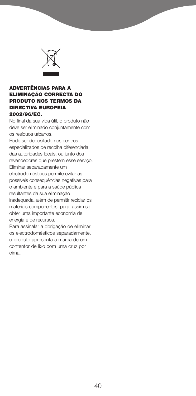

### **ADVERTÊNCIAS PARA A ELIMINAÇÃO CORRECTA DO PRODUTO NOS TERMOS DA DIRECTIVA EUROPEIA 2002/96/EC.**

No final da sua vida útil, o produto não deve ser eliminado conjuntamente com os resíduos urbanos.

Pode ser depositado nos centros especializados de recolha diferenciada das autoridades locais, ou junto dos revendedores que prestem esse serviço. Eliminar separadamente um electrodomésticos permite evitar as possíveis consequências negativas para o ambiente e para a saúde pública resultantes da sua eliminação inadequada, além de permitir reciclar os materiais componentes, para, assim se obter uma importante economia de energia e de recursos.

Para assinalar a obrigação de eliminar os electrodomésticos separadamente, o produto apresenta a marca de um contentor de lixo com uma cruz por cima.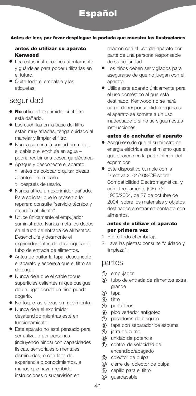### **Antes de leer, por favor despliegue la portada que muestra las ilustraciones**

### **antes de utilizar su aparato Kenwood**

- **●** Lea estas instrucciones atentamente y guárdelas para poder utilizarlas en el futuro.
- **●** Quite todo el embalaje y las etiquetas.

### seguridad

- **● No** utilice el exprimidor si el filtro está dañado.
- **●** Las cuchillas en la base del filtro están muy afiladas, tenga cuidado al manejar y limpiar el filtro.
- **●** Nunca sumerja la unidad de motor, el cable o el enchufe en agua – podría recibir una descarga eléctrica.
- **●** Apague y desconecte el aparato:
	- **●** antes de colocar o quitar piezas
		- **●** antes de limpiarlo
		- **●** después de usarlo.
- **●** Nunca utilice un exprimidor dañado. Para solicitar que lo revisen o lo reparen: consulte "servicio técnico y atención al cliente".
- **●** Utilice únicamente el empujador suministrado. Nunca meta los dedos en el tubo de entrada de alimentos. Desenchufe y desmonte el exprimidor antes de desbloquear el tubo de entrada de alimentos.
- **●** Antes de quitar la tapa, desconecte el aparato y espere a que el filtro se detenga.
- **●** Nunca deje que el cable toque superficies calientes ni que cuelgue de un lugar donde un niño pueda cogerlo.
- **●** No toque las piezas en movimiento.
- **●** Nunca deje el exprimidor desatendido mientras esté en funcionamiento.
- **●** Este aparato no está pensado para ser utilizado por personas (incluyendo niños) con capacidades físicas, sensoriales o mentales disminuidas, o con falta de experiencia o conocimientos, a menos que hayan recibido instrucciones o supervisión en

relación con el uso del aparato por parte de una persona responsable de su seguridad.

- **●** Los niños deben ser vigilados para asegurarse de que no juegan con el aparato.
- **●** Utilice este aparato únicamente para el uso doméstico al que está destinado. Kenwood no se hará cargo de responsabilidad alguna si el aparato se somete a un uso inadecuado o si no se siguen estas instrucciones.

### **antes de enchufar el aparato**

- **●** Asegúrese de que el suministro de energía eléctrica sea el mismo que el que aparece en la parte inferior del exprimidor.
- **●** Este dispositivo cumple con la Directiva 2004/108/CE sobre Compatibilidad Electromagnética, y con el reglamento (CE) nº 1935/2004, de 27 de octubre de 2004, sobre los materiales y objetos destinados a entrar en contacto con alimentos.

### **antes de utilizar el aparato por primera vez**

- 1 Retire todo el embalaje.
- 2 Lave las piezas: consulte "cuidado y limpieza".

### partes

- empujador
- tubo de entrada de alimentos extra arande
- (3) tapa
- 4) filtro
- portafiltros
- pico vertedor antigoteo
- $(7)$ pasadores de bloqueo
- tapa con separador de espuma
- (9) jarra de zumo
- unidad de potencia
- control de velocidad de encendido/apagado
- (12) colector de pulpa
- cierre del colector de pulpa
- cepillo para el filtro
- (<sub>15</sub>) quardacable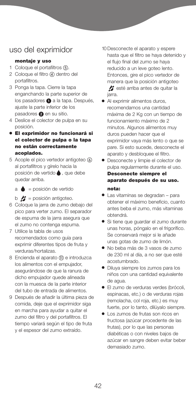### uso del exprimidor

### **montaje y uso**

- 1 Coloque el portafiltros (5).
- 2 Coloque el filtro 4 dentro del portafiltros.
- 3 Ponga la tapa. Cierre la tapa enganchando la parte superior de los pasadores  $\bigcirc$  a la tapa. Después, ajuste la parte inferior de los pasadores @ en su sitio.
- 4 Deslice el colector de pulpa en su posición.
- **● El exprimidor no funcionará si el colector de pulpa o la tapa no están correctamente acoplados.**
- 5 Acople el pico vertedor antigoteo al portafiltros y gírelo hacia la posición de vertido , que debe quedar arriba.
	- $a \triangleq$  = posición de vertido
	- $b \nvert$  = posición antigoteo.
- 6 Coloque la jarra de zumo debajo del pico para verter zumo. El separador de espuma de la jarra asegura que el zumo no contenga espuma.
- 7 Utilice la tabla de usos recomendados como guía para exprimir diferentes tipos de fruta y verduras/hortalizas.
- 8 Encienda el aparato (ii) e introduzca los alimentos con el empujador, asegurándose de que la ranura de dicho empujador quede alineada con la muesca de la parte interior del tubo de entrada de alimentos.
- 9 Después de añadir la última pieza de comida, deje que el exprimidor siga en marcha para ayudar a quitar el zumo del filtro y del portafiltros. El tiempo variará según el tipo de fruta y el espesor del zumo extraído.

10Desconecte el aparato y espere hasta que el filtro se haya detenido y el flujo final del zumo se haya reducido a un leve goteo lento. Entonces, gire el pico vertedor de manera que la posición antigoteo

esté arriba antes de quitar la jarra.

- **●** Al exprimir alimentos duros, recomendamos una cantidad máxima de 2 Kg con un tiempo de funcionamiento máximo de 2 minutos. Algunos alimentos muy duros pueden hacer que el exprimidor vaya más lento o que se pare. Si esto sucede, desconecte el aparato y desbloquee el filtro.
- **●** Desconecte y limpie el colector de pulpa regularmente durante el uso. **Desconecte siempre el aparato después de su uso. nota:**
- **●** Las vitaminas se degradan para obtener el máximo beneficio, cuanto antes beba el zumo, más vitaminas obtendrá.
- **●** Si tiene que guardar el zumo durante unas horas, póngalo en el frigorífico. Se conservará mejor si le añade unas gotas de zumo de limón.
- **●** No beba más de 3 vasos de zumo de 230 ml al día, a no ser que esté acostumbrado.
- **●** Diluya siempre los zumos para los niños con una cantidad equivalente de agua.
- **●** El zumo de verduras verdes (brócoli, espinacas, etc.) o de verduras rojas (remolacha, col roja, etc.) es muy fuerte, por lo tanto, dilúyalo siempre.
- **●** Los zumos de frutas son ricos en fructosa (azúcar procedente de las frutas), por lo que las personas diabéticas o con niveles bajos de azúcar en sangre deben evitar beber demasiado zumo.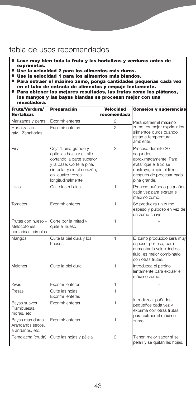### tabla de usos recomendados

- **● Lave muy bien toda la fruta <sup>y</sup> las hortalizas <sup>y</sup> verduras antes de exprimirlas.**
- **● Use la velocidad 2 para los alimentos más duros.**
- **● Use la velocidad 1 para los alimentos más blandos.**
- **● Para extraer el máximo zumo, ponga cantidades pequeñas cada vez**
- en el tubo de entrada de alimentos y empuje lentamente.<br>● Para obtener los mejores resultados, las frutas como los plátanos, **los mangos y las bayas blandas se procesan mejor con una mezcladora.**

| Fruta/Verdura/<br><b>Hortalizas</b>                        | Preparación                                                                                                                                                                            | <b>Velocidad</b><br>recomendada | <b>Consejos y sugerencias</b>                                                                                                                                |
|------------------------------------------------------------|----------------------------------------------------------------------------------------------------------------------------------------------------------------------------------------|---------------------------------|--------------------------------------------------------------------------------------------------------------------------------------------------------------|
| Manzanas y peras                                           | Exprimir enteras                                                                                                                                                                       | 2                               | Para extraer el máximo                                                                                                                                       |
| Hortalizas de<br>raíz - Zanahorias                         | Exprimir enteras                                                                                                                                                                       | $\mathfrak{p}$                  | zumo, es mejor exprimir los<br>alimentos duros cuando<br>están a temperatura<br>ambiente.                                                                    |
| Piña                                                       | Coja 1 piña grande y<br>quite las hojas y el tallo<br>cortando la parte superior<br>y la base. Corte la piña,<br>sin pelar y sin el corazón,<br>en cuatro trozos<br>longitudinalmente. | $\mathfrak{D}$                  | Procese durante 20<br>segundos<br>aproximadamente. Para<br>evitar que el filtro se<br>obstruya, limpie el filtro<br>después de procesar cada<br>piña grande. |
| Uvas                                                       | Quite los rabillos                                                                                                                                                                     | 1                               | Procese puñados pequeños<br>cada vez para extraer el<br>máximo zumo.                                                                                         |
| Tomates                                                    | Exprimir enteros                                                                                                                                                                       | 1                               | Se producirá un zumo<br>espeso y pulposo en vez de<br>un zumo suave.                                                                                         |
| Frutas con hueso -<br>Melocotones.<br>nectarinas, ciruelas | Corte por la mitad y<br>quite el hueso                                                                                                                                                 | 1                               |                                                                                                                                                              |
| Mangos                                                     | Quite la piel dura y los<br>huesos                                                                                                                                                     | 1                               | El zumo producido será muy<br>espeso, por eso, para<br>aumentar la velocidad de<br>flujo, es mejor combinarlo<br>con otras frutas.                           |
| Melones                                                    | Quite la piel dura                                                                                                                                                                     | $\mathbf{1}$                    | Introduzca el pepino<br>lentamente para extraer el<br>máximo zumo.                                                                                           |
| Kiwis                                                      | Exprimir enteros                                                                                                                                                                       | 1                               |                                                                                                                                                              |
| Fresas                                                     | Quite las hoias<br>Exprimir enteras                                                                                                                                                    | 1                               | Introduzca puñados                                                                                                                                           |
| Bayas suaves -<br>Frambuesas.<br>moras, etc.               | Exprimir enteras                                                                                                                                                                       | $\mathbf{1}$                    | pequeños cada vez y<br>exprima con otras frutas<br>para extraer el máximo                                                                                    |
| Bayas más duras -<br>Arándanos secos,<br>arándanos, etc.   | Exprimir enteras                                                                                                                                                                       | 1                               | zumo.                                                                                                                                                        |
| Remolacha (cruda)                                          | Quite las hojas y pélela                                                                                                                                                               | $\mathfrak{p}$                  | Tienen mejor sabor si se<br>pelan y se quitan las hojas.                                                                                                     |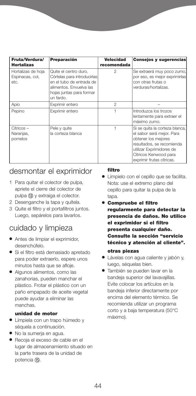| Fruta/Verdura/<br><b>Hortalizas</b>           | <b>Preparación</b>                                                                                                                                   | <b>Velocidad</b><br>recomendada | <b>Consejos y sugerencias</b>                                                                                                                                                                     |
|-----------------------------------------------|------------------------------------------------------------------------------------------------------------------------------------------------------|---------------------------------|---------------------------------------------------------------------------------------------------------------------------------------------------------------------------------------------------|
| Hortalizas de hoja<br>Espinacas, col,<br>etc. | Quite el centro duro.<br>Córtelas para introducirlas<br>en el tubo de entrada de<br>alimentos. Envuelva las<br>hojas juntas para formar<br>un fardo. | $\mathfrak{D}$                  | Se extraerá muy poco zumo,<br>por eso, es mejor exprimirlas<br>con otras frutas o<br>verduras/hortalizas.                                                                                         |
| Apio                                          | Exprimir entero                                                                                                                                      | 2                               |                                                                                                                                                                                                   |
| Pepino                                        | Exprimir entero                                                                                                                                      |                                 | Introduzca los trozos<br>lentamente para extraer el<br>máximo zumo.                                                                                                                               |
| Cítricos -<br>Naranjas,<br>pomelos            | Pele y quite<br>la corteza blanca                                                                                                                    |                                 | Si se quita la corteza blanca,<br>el sabor será mejor. Para<br>obtener los mejores<br>resultados, se recomienda<br>utilizar Exprimidores de<br>Cítricos Kenwood para<br>exprimir frutas cítricas. |

# desmontar el exprimidor

- 1 Para quitar el colector de pulpa, apriete el cierre del colector de pulpa (3) y extraiga el colector.
- 2 Desenganche la tapa y quítela.
- 3 Quite el filtro y el portafiltros juntos. Luego, sepárelos para lavarlos.

# cuidado y limpieza

- **●** Antes de limpiar el exprimidor, desenchúfelo.
- **●** Si el filtro está demasiado apretado para poder extraerlo, espere unos minutos hasta que se afloje.
- **●** Algunos alimentos, como las zanahorias, pueden manchar el plástico. Frotar el plástico con un paño empapado de aceite vegetal puede ayudar a eliminar las manchas.

### **unidad de motor**

- **●** Límpiela con un trapo húmedo y séquela a continuación.
- **●** No la sumerja en agua.
- **●** Recoja el exceso de cable en el lugar de almacenamiento situado en la parte trasera de la unidad de potencia (15).

#### **filtro**

- **●** Límpielo con el cepillo que se facilita. Nota: use el extremo plano del cepillo para quitar la pulpa de la tapa.
- **● Compruebe el filtro regularmente para detectar la presencia de daños. No utilice el exprimidor si el filtro presenta cualquier daño. Consulte la sección "servicio técnico y atención al cliente".**

### **otras piezas**

- **●** Lávelas con agua caliente y jabón y, luego, séquelas bien.
- **●** También se pueden lavar en la bandeja superior del lavavajillas. Evite colocar los artículos en la bandeja inferior directamente por encima del elemento térmico. Se recomienda utilizar un programa corto y a baja temperatura (50°C máximo).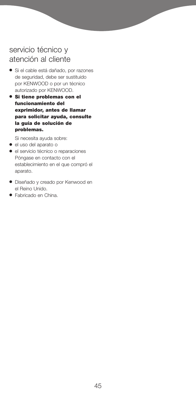# servicio técnico y atención al cliente

- **●** Si el cable está dañado, por razones de seguridad, debe ser sustituido por KENWOOD o por un técnico autorizado por KENWOOD.
- **● Si tiene problemas con el funcionamiento del exprimidor, antes de llamar para solicitar ayuda, consulte la guía de solución de problemas.**

Si necesita ayuda sobre:

- **●** el uso del aparato o
- **●** el servicio técnico o reparaciones Póngase en contacto con el establecimiento en el que compró el aparato.
- **●** Diseñado y creado por Kenwood en el Reino Unido.
- **●** Fabricado en China.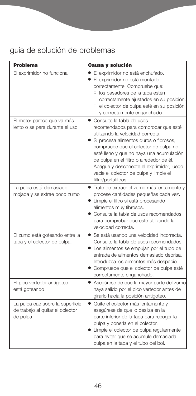# guía de solución de problemas

| <b>Problema</b>                                                                  | Causa y solución                                                                                                                                                                                                                                                                                                                                                                                            |
|----------------------------------------------------------------------------------|-------------------------------------------------------------------------------------------------------------------------------------------------------------------------------------------------------------------------------------------------------------------------------------------------------------------------------------------------------------------------------------------------------------|
| El exprimidor no funciona                                                        | • El exprimidor no está enchufado.<br>El exprimidor no está montado<br>correctamente. Compruebe que:<br>o los pasadores de la tapa estén<br>correctamente ajustados en su posición.<br>o el colector de pulpa esté en su posición<br>y correctamente enganchado.                                                                                                                                            |
| El motor parece que va más<br>lento o se para durante el uso                     | $\bullet$ Consulte la tabla de usos<br>recomendados para comprobar que esté<br>utilizando la velocidad correcta.<br>• Si procesa alimentos duros o fibrosos,<br>compruebe que el colector de pulpa no<br>esté lleno y que no haya una acumulación<br>de pulpa en el filtro o alrededor de él.<br>Apague y desconecte el exprimidor, luego<br>vacíe el colector de pulpa y limpie el<br>filtro/portafiltros. |
| La pulpa está demasiado<br>mojada y se extrae poco zumo                          | Trate de extraer el zumo más lentamente y<br>procese cantidades pequeñas cada vez.<br>· Limpie el filtro si está procesando<br>alimentos muy fibrosos.<br>Consulte la tabla de usos recomendados<br>para comprobar que esté utilizando la<br>velocidad correcta.                                                                                                                                            |
| El zumo está goteando entre la<br>tapa y el colector de pulpa.                   | • Se está usando una velocidad incorrecta.<br>Consulte la tabla de usos recomendados.<br>• Los alimentos se empujan por el tubo de<br>entrada de alimentos demasiado deprisa.<br>Introduzca los alimentos más despacio.<br>• Compruebe que el colector de pulpa esté<br>correctamente enganchado.                                                                                                           |
| El pico vertedor antigoteo<br>está goteando                                      | · Asegúrese de que la mayor parte del zumo<br>haya salido por el pico vertedor antes de<br>girarlo hacia la posición antigoteo.                                                                                                                                                                                                                                                                             |
| La pulpa cae sobre la superficie<br>de trabajo al quitar el colector<br>de pulpa | Quite el colector más lentamente y<br>asegúrese de que lo desliza en la<br>parte inferior de la tapa para recoger la<br>pulpa y ponerla en el colector.<br>• Limpie el colector de pulpa regularmente<br>para evitar que se acumule demasiada<br>pulpa en la tapa y el tubo del bol.                                                                                                                        |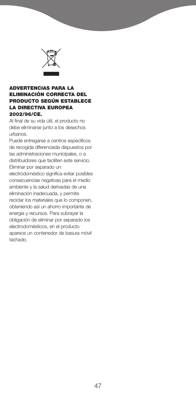

### **ADVERTENCIAS PARA LA ELIMINACIÓN CORRECTA DEL PRODUCTO SEGÚN ESTABLECE LA DIRECTIVA EUROPEA 2002/96/CE.**

Al final de su vida útil, el producto no debe eliminarse junto a los desechos urbanos.

Puede entregarse a centros específicos de recogida diferenciada dispuestos por las administraciones municipales, o a distribuidores que faciliten este servicio. Eliminar por separado un electrodoméstico significa evitar posibles consecuencias negativas para el medio ambiente y la salud derivadas de una eliminación inadecuada, y permite reciclar los materiales que lo componen, obteniendo así un ahorro importante de energía y recursos. Para subrayar la obligación de eliminar por separado los electrodomésticos, en el producto aparece un contenedor de basura móvil tachado.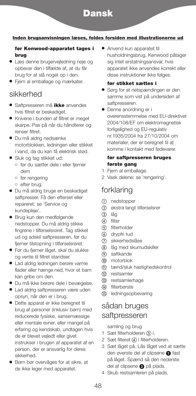

#### **Inden brugsanvisningen læses, foldes forsiden med illustrationerne ud**

### **før Kenwood-apparatet tages i brug**

- **●** Læs denne brugervejledning nøje og opbevar den i tilfælde af, at du får brug for at slå noget op i den.
- **●** Fjern al emballage og mærkater.

### sikkerhed

- **●** Saftpresseren må **ikke** anvendes hvis filtret er beskadiget.
- **●** Knivene i bunden af filtret er meget skarpe. Pas på når du håndterer og renser filtret.
- **●** Du må aldrig nedsænke motorblokken, ledningen eller stikket i vand, da du kan få elektrisk stød.
- **●** Sluk og tag stikket ud:
	- **●** før du sætter dele i eller fjerner dem
	- **●** før rengøring
	- **●** efter brug.
- **●** Du må aldrig bruge en beskadiget saftpresser. Få den efterset eller repareret: se 'Service og kundepleje'.
- **●** Brug kun den medfølgende nedstopper. Du må aldrig stikke fingrene i tilførselsrøret. Tag stikket ud og adskil saftpresseren, før du fjerner tilstopning i tilførselsrøret.
- **●** Før du fjerner låget, skal du slukke og vente til filtret standser.
- **●** Lad aldrig ledningen berøre varme flader eller hænge ned, hvor et barn kan gribe om den.
- **●** Du må ikke berøre dele i bevægelse.
- **●** Lad aldrig saftpresseren være uden opsyn, når den er i brug.
- **●** Dette apparat er ikke beregnet til brug af personer (inklusiv børn) med reducerede fysiske, sansemæssige eller mentale evner, eller mangel på erfaring og kendskab, undtagen hvis de er blevet vejledt eller givet instrukser i brugen af apparatet af en person, der er ansvarlig for deres sikkerhed.
- **●** Børn bør overvåges for at sikre, at de ikke leger med apparatet.

**●** Anvend kun apparatet til husholdningsbrug. Kenwood påtager sig intet erstatningsansvar, hvis apparatet ikke anvendes korrekt eller disse instruktioner ikke følges.

#### **før stikket sættes i**

- **●** Sørg for at netspændingen er den samme som vist på undersiden af saftpresseren.
- **●** Denne anordning er i overensstemmelse med EU-direktivet 2004/108/EF om elektromagnetisk forligelighed og EU-regulativ nr.1935/2004 fra 27/10/2004 om materialer, der er beregnet til at komme i kontakt med fødevarer.

#### **før saftpresseren bruges første gang**

- 1 Fiern al emballage.
- 2 Vask delene: se 'rengøring'.

# forklaring

- nedstopper
- ekstra langt tilførselsrør
- (3) låg
- 4 filter
- (5) filterholder
- drypfri tud
- sikkerhedslåse
- låg med skumudskiller
- saftkande
- motorblok
- tænd/sluk hastighedskontrol
- (12) restsamler
- (13) restsamlerhage
- (4) filterbørste
- (i5) ledningsopbevaring

## sådan bruges saftpresseren

samling og brug

- 1 Sæt filterholderen (5) i.
- 2 Sæt filteret (4) i filterholderen.
- 3 Sæt låget på. Lås låget ved at sætte den øverste del af clipsene **O** fast på låget. Spænd så den nederste del af clipsene **2** på plads.
- 4 Skub restsamleren på plads.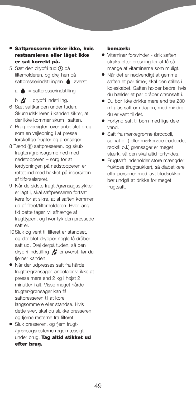- **● Saftpresseren virker ikke, hvis restsamleren eller låget ikke er sat korrekt på.**
- 5 Sæt den drypfri tud ⑥ på filterholderen, og drej hen på saftpresserindstillingen **o**verst.

 $a \triangleq$  = saftpresserindstilling

- b  $\mathcal{L}$  = drypfri indstilling.
- 6 Sæt saftkanden under tuden. Skumudskilleren i kanden sikrer, at der ikke kommer skum i saften.
- 7 Brug oversigten over anbefalet brug som en vejledning i at presse forskellige frugter og grønsager.
- 8 Tænd (ii) saftpresseren, og skub frugten/grønsagerne ned med nedstopperen – sørg for at fordybningen på nedstopperen er rettet ind med hakket på indersiden af tilførselsrøret.
- 9 Når de sidste frugt-/grønsagsstykker er lagt i, skal saftpresseren fortsat køre for at sikre, at al saften kommer ud af filtret/filterholderen. Hvor lang tid dette tager, vil afhænge af frugttypen, og hvor tyk den pressede saft er.
- 10Sluk og vent til filteret er standset, og der blot drypper nogle få dråber saft ud. Drej derpå tuden, så den drypfri indstilling **f** er øverst, før du fierner kanden.
- **●** Når der udpresses saft fra hårde frugter/grønsager, anbefaler vi ikke at presse mere end 2 kg i højst 2 minutter i alt. Visse meget hårde frugter/grønsager kan få saftpresseren til at køre langsommere eller standse. Hvis dette sker, skal du slukke presseren og fjerne resterne fra filteret.
- **●** Sluk presseren, og fjern frugt- /grønsagsresterne regelmæssigt under brug. **Tag altid stikket ud efter brug.**

#### **bemærk:**

- **●** Vitaminer forsvinder drik saften straks efter presning for at få så mange af vitaminerne som muligt.
- **●** Når det er nødvendigt at gemme saften et par timer, skal den stilles i køleskabet. Saften holder bedre, hvis du hælder et par dråber citronsaft i.
- **●** Du bør ikke drikke mere end tre 230 ml glas saft om dagen, med mindre du er vant til det.
- **●** Fortynd saft til børn med lige dele vand.
- **●** Saft fra mørkegrønne (broccoli, spinat o.l.) eller mørkerøde (rødbede, rødkål o.l.) grønsager er meget stærk, så den skal altid fortyndes.
- **●** Frugtsaft indeholder store mængder fruktose (frugtsukker), så diabetikere eller personer med lavt blodsukker bør undgå at drikke for meget frugtsaft.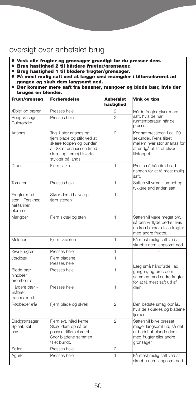# oversigt over anbefalet brug

- **● Vask alle frugter og grønsager grundigt før du presser dem.**
- **● Brug hastighed 2 til hårdere frugter/grønsager.**
- **● Brug hastighed 1 til blødere frugter/grønsager.**
- **● Få mest mulig saft ved at lægge små mængder i tilførselsrøret ad gangen og skub dem langsomt ned.**
- **● Der kommer mere saft fra bananer, mangoer og bløde bær, hvis der bruges en blender.**

| Frugt/grønsag                                             | <b>Forberedelse</b>                                                                                                                                       | <b>Anbefalet</b><br>hastighed | Vink og tips                                                                                                                     |  |
|-----------------------------------------------------------|-----------------------------------------------------------------------------------------------------------------------------------------------------------|-------------------------------|----------------------------------------------------------------------------------------------------------------------------------|--|
| Æbler og pærer                                            | Presses hele                                                                                                                                              | 2                             | Hårde frugter giver mere                                                                                                         |  |
| Rodgrønsager -<br>Gulerødder                              | Presses hele                                                                                                                                              | $\mathfrak{p}$                | saft, hvis de har<br>rumtemperatur, når de<br>presses.                                                                           |  |
| Ananas                                                    | Tag 1 stor ananas og<br>fjern blade og stilk ved at<br>skære toppen og bunden<br>af. Skær ananassen (med<br>skræl og kerne) i kvarte<br>stykker på langs. | $\overline{2}$                | Kør saftpresseren i ca. 20<br>sekunder. Rens filtret<br>mellem hver stor ananas for<br>at undgå at filtret bliver<br>tilstoppet. |  |
| Druer                                                     | Fjern stilke                                                                                                                                              | 1                             | Pres små håndfulde ad<br>gangen for at få mest mulig<br>saft.                                                                    |  |
| Tomater                                                   | Presses hele                                                                                                                                              | $\mathbf{1}$                  | Saften vil være klumpet og<br>tykkere end anden saft.                                                                            |  |
| Frugter med<br>sten - Ferskner,<br>nektariner.<br>blommer | Skær dem i halve og<br>fjern stenen                                                                                                                       | 1                             |                                                                                                                                  |  |
| Mangoer                                                   | Fjern skræl og sten                                                                                                                                       | 1                             | Saften vil være meget tyk,<br>så den vil flyde bedre, hvis<br>du kombinerer disse frugter<br>med andre frugter.                  |  |
| Meloner                                                   | Fjern skrællen                                                                                                                                            | 1                             | Få mest mulig saft ved at<br>skubbe dem langsomt ned.                                                                            |  |
| Kiwi Frugter                                              | Presses hele                                                                                                                                              | 1                             |                                                                                                                                  |  |
| Jordbær                                                   | Fiern bladene<br>Presses hele                                                                                                                             | $\mathbf{1}$                  | Læg små håndfulde i ad                                                                                                           |  |
| Bløde bær -<br>hindbær.<br>brombær o.l.                   | Presses hele                                                                                                                                              | 1                             | gangen, og pres dem<br>sammen med andre frugter<br>for at få mest saft ud af                                                     |  |
| Hårdere bær -<br>Blåbær.<br>tranebær o.l.                 | Presses hele                                                                                                                                              | 1                             | dem                                                                                                                              |  |
| Rødbeder (rå)                                             | Fjern blade og skræl                                                                                                                                      | $\overline{2}$                | Den bedste smag opnås,<br>hvis de skrælles og bladene<br>fjernes.                                                                |  |
| Bladgrønsager<br>Spinat, kål<br>OSV.                      | Fjern evt. hård kerne.<br>Skær dem op så de<br>passer i tilførselsrøret.<br>Snor bladene sammen<br>til et bundt.                                          | $\overline{2}$                | Saften vil blive presset<br>meget langsomt ud, så det<br>er bedst at blande dem<br>med frugter eller andre<br>grønsager.         |  |
| Selleri                                                   | Presses hele                                                                                                                                              | $\overline{2}$                |                                                                                                                                  |  |
| Agurk                                                     | Presses hele                                                                                                                                              | 1                             | Få mest mulig saft ved at<br>skubbe dem langsomt ned.                                                                            |  |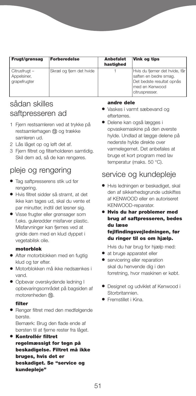| Frugt/grønsag                               | <b>Forberedelse</b>      | <b>Anbefalet</b><br>hastighed | Vink og tips                                                                                                             |
|---------------------------------------------|--------------------------|-------------------------------|--------------------------------------------------------------------------------------------------------------------------|
| Citrusfrugt-<br>Appelsiner,<br>grapefrugter | Skræl og fjern det hvide |                               | Hvis du fjerner det hvide, får<br>saften en bedre smag.<br>Det bedste resultat opnås<br>med en Kenwood<br>citruspresser. |

# sådan skilles saftpresseren ad

- 1 Fjern restsamleren ved at trykke på restsamlerhagen (3) og trække samleren ud.
- 2 Lås låget op og løft det af.
- 3 Fjern filtret og filterholderen samtidig. Skil dem ad, så de kan rengøres.

# pleje og rengøring

- **●** Tag saftpresserens stik ud før rengøring.
- **●** Hvis filtret sidder så stramt, at det ikke kan tages ud, skal du vente et par minutter, indtil det løsner sig.
- **●** Visse frugter eller grønsager som f.eks. gulerødder misfarver plastic. Misfarvninger kan fjernes ved at gnide dem med en klud dyppet i vegetabilsk olie.

#### **motorblok**

- **●** Aftør motorblokken med en fugtig klud og tør efter.
- **●** Motorblokken må ikke nedsænkes i vand.
- **●** Opbevar overskydende ledning I opbevaringsområdet på bagsiden af motorenheden (B).

#### **filter**

- **●** Rengør filtret med den medfølgende børste. Bemærk: Brug den flade ende af børsten til at fjerne rester fra låget.
- **● Kontrollér filtret regelmæssigt for tegn på beskadigelse. Filtret må ikke bruges, hvis det er beskadiget. Se "service og kundepleje"**

### **andre dele**

- **●** Vaskes i varmt sæbevand og eftertørres.
- **●** Delene kan også lægges i opvaskemaskine på den øverste hylde. Undlad at lægge delene på nederste hylde direkte over varmelegemet. Det anbefales at bruge et kort program med lav temperatur (maks. 50 °C).

# service og kundepleje

- **●** Hvis ledningen er beskadiget, skal den af sikkerhedsgrunde udskiftes af KENWOOD eller en autoriseret KENWOOD-reparatør.
- **● Hvis du har problemer med brug af saftpresseren, bedes du læse fejlfindingsvejledningen, før du ringer til os om hjælp.**

Hvis du har brug for hjælp med:

- **●** at bruge apparatet eller
- **●** servicering eller reparation skal du henvende dig i den forretning, hvor maskinen er købt.
- **●** Designet og udviklet af Kenwood i Storbritannien.
- **●** Fremstillet i Kina.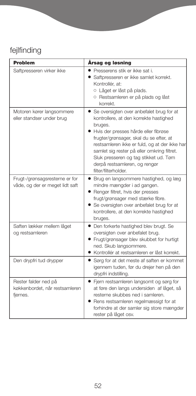# fejlfinding

| Problem                                                            | Årsag og løsning                                                                                                                                                                                                                                                                                                                                                                                  |
|--------------------------------------------------------------------|---------------------------------------------------------------------------------------------------------------------------------------------------------------------------------------------------------------------------------------------------------------------------------------------------------------------------------------------------------------------------------------------------|
| Saftpresseren virker ikke                                          | • Presserens stik er ikke sat i.<br>• Saftpresseren er ikke samlet korrekt.<br>Kontrollér, at:<br>O Låget er låst på plads.<br>O Restsamleren er på plads og låst<br>korrekt.                                                                                                                                                                                                                     |
| Motoren kører langsommere<br>eller standser under brug             | Se oversigten over anbefalet brug for at<br>$\bullet$<br>kontrollere, at den korrekte hastighed<br>bruges.<br>· Hvis der presses hårde eller fibrøse<br>frugter/grønsager, skal du se efter, at<br>restsamleren ikke er fuld, og at der ikke har<br>samlet sig rester på eller omkring filtret.<br>Sluk presseren og tag stikket ud. Tøm<br>derpå restsamleren, og rengør<br>filter/filterholder. |
| Frugt-/grønsagsresterne er for<br>våde, og der er meget lidt saft  | · Brug en langsommere hastighed, og læg<br>mindre mængder i ad gangen.<br>• Rengør filtret, hvis der presses<br>frugt/grønsager med stærke fibre.<br>Se oversigten over anbefalet brug for at<br>kontrollere, at den korrekte hastighed<br>bruges.                                                                                                                                                |
| Saften lækker mellem låget<br>og restsamleren                      | • Den forkerte hastighed blev brugt. Se<br>oversigten over anbefalet brug.<br>• Frugt/grønsager blev skubbet for hurtigt<br>ned. Skub langsommere.<br>• Kontrollér at restsamleren er låst korrekt.                                                                                                                                                                                               |
| Den drypfri tud drypper                                            | • Sørg for at det meste af saften er kommet<br>igennem tuden, før du drejer hen på den<br>drypfri indstilling.                                                                                                                                                                                                                                                                                    |
| Rester falder ned på<br>køkkenbordet, når restsamleren<br>fjernes. | • Fjern restsamleren langsomt og sørg for<br>at føre den langs undersiden af låget, så<br>resterne skubbes ned i samleren.<br>Rens restsamleren regelmæssigt for at<br>forhindre at der samler sig store mængder<br>rester på låget osv.                                                                                                                                                          |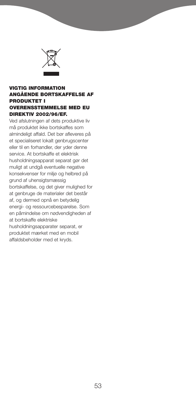

#### **VIGTIG INFORMATION ANGÅENDE BORTSKAFFELSE AF PRODUKTET I OVERENSSTEMMELSE MED EU DIREKTIV 2002/96/EF.**

Ved afslutningen af dets produktive liv må produktet ikke bortskaffes som almindeligt affald. Det bør afleveres på et specialiseret lokalt genbrugscenter eller til en forhandler, der yder denne service. At bortskaffe et elektrisk husholdningsapparat separat gør det muligt at undgå eventuelle negative konsekvenser for miljø og helbred på grund af uhensigtsmæssig bortskaffelse, og det giver mulighed for at genbruge de materialer det består af, og dermed opnå en betydelig energi- og ressourcebesparelse. Som en påmindelse om nødvendigheden af at bortskaffe elektriske husholdningsapparater separat, er produktet mærket med en mobil affaldsbeholder med et kryds.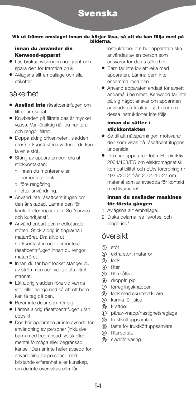# **Svenska**

# **Vik ut främre omslaget innan du börjar läsa, så att du kan följa med på bilderna.**

### **innan du använder din Kenwood-apparat**

- **●** Läs bruksanvisningen noggrant och spara den för framtida bruk.
- **●** Avlägsna allt emballage och alla etiketter.

# säkerhet

- **● Använd inte** råsaftcentrifugen om filtret är skadat.
- **●** Knivbladen på filtrets bas är mycket vassa. Var försiktig när du hanterar och rengör filtret.
- **●** Doppa aldrig drivenheten, sladden eller stickkontakten i vatten – du kan få en elstöt.
- **●** Stäng av apparaten och dra ut stickkontakten:
	- **●** innan du monterar eller demonterar delar
	- **●** före rengöring
	- **●** efter användning.
- **●** Använd inte råsaftcentrifugen om den är skadad. Lämna den för kontroll eller reparation. Se "service och kundtjänst".
- **●** Använd enbart den medföljande stöten. Stick aldrig in fingrarna i matarröret. Dra alltid ut stickkontakten och demontera råsaftcentrifugen innan du rengör matarröret.
- **●** Innan du tar bort locket stänger du av strömmen och väntar tills filtret stannat.
- **●** Låt aldrig sladden röra vid varma ytor eller hänga ned så att ett barn kan få tag på den.
- **●** Berör inte delar som rör sig.
- **●** Lämna aldrig råsaftcentrifugen utan uppsikt.
- **●** Den här apparaten är inte avsedd för användning av personer (inklusive barn) med begränsad fysisk eller mental förmåga eller begränsad känsel. Den är inte heller avsedd för användning av personer med bristande erfarenhet eller kunskap, om de inte övervakas eller får

instruktioner om hur apparaten ska användas av en person som ansvarar för deras säkerhet.

- **●** Barn får inte lov att leka med apparaten. Lämna dem inte ensamma med den.
- **●** Använd apparaten endast för avsett ändamål i hemmet. Kenwood tar inte på sig något ansvar om apparaten används på felaktigt sätt eller om dessa instruktioner inte följs.

### **innan du sätter i stickkontakten**

- **●** Se till att nätspänningen motsvarar den som visas på råsaftcentrifugens undersida.
- **●** Den här apparaten följer EU-direktiv 2004/108/EG om elektromagnetisk kompatibilitet och EU:s förordning nr 1935/2004 från 2004-10-27 om material som är avsedda för kontakt med livsmedel.

### **innan du använder maskinen för första gången**

- 1 Avlägsna allt emballage.
- 2 Diska delarna: se "skötsel och rengöring".

## översikt

- stöt
- extra stort matarrör
- 3) lock
- 4 filter
- (5) filterhållare
- droppfri pip
- förreglingsknäppen
- (8) lock med skumavskiliare
- kanna för juice
- (10) kraftdel
- på/av-knapp/hastighetsreglage
- (2) fruktköttuppsamlare
- fäste för fruktköttuppsamlare
- (4) filterborste
- sladdförvaring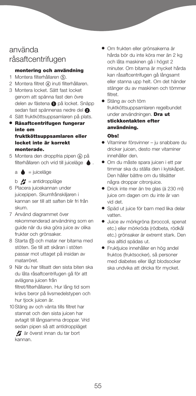# använda råsaftcentrifugen

### **montering och användning**

- 1 Montera filterhållaren (5).
- 2 Montera filtret (4) inuti filterhållaren.
- 3 Montera locket. Sätt fast locket genom att spänna fast den övre delen av fästena  $\bigcirc$  på locket. Snäpp sedan fast spännenas nedre del **2**.
- 4 Sätt fruktköttsuppsamlaren på plats.
- **● Råsaftcentrifugen fungerar inte om fruktköttsuppsamlaren eller locket inte är korrekt monterade.**
- 5 Montera den droppfria pipen ⑥ på filterhållaren och vrid till juiceläge .
	- $a \bullet =$  juiceläge
	- $b$   $\hat{B}$  = antidroppläge
- 6 Placera juicekannan under juicepipen. Skumfrånskiljaren i kannan ser till att saften blir fri från skum.
- 7 Använd diagrammet över rekommenderad användning som en guide när du ska göra juice av olika frukter och grönsaker.
- 8 Starta (ii) och matar ner bitarna med stöten. Se till att skåran i stöten passar mot uttaget på insidan av matarröret.
- 9 När du har tillsatt den sista biten ska du låta råsaftcentrifugen gå för att avlägsna juicen från filtret/filterhållaren. Hur lång tid som krävs beror på livsmedelstypen och hur tjock juicen är.
- 10Stäng av och vänta tills filtret har stannat och den sista juicen har avtagit till långsamma droppar. Vrid sedan pipen så att antidroppläget

är överst innan du tar bort kannan.

- **●** Om frukten eller grönsakerna är hårda bör du inte köra mer än 2 kg och låta maskinen gå i högst 2 minuter. Om bitarna är mycket hårda kan råsaftcentrifugen gå långsamt eller stanna upp helt. Om det händer stänger du av maskinen och tömmer filtret.
- **●** Stäng av och töm fruktköttsuppsamlaren regelbundet under användningen. **Dra ut stickkontakten efter användning.**

#### **Obs!**

- **●** Vitaminer försvinner ju snabbare du dricker juicen, desto mer vitaminer innehåller den.
- **●** Om du måste spara juicen i ett par timmar ska du ställa den i kylskåpet. Den håller bättre om du tillsätter några droppar citronjuice.
- **●** Drick inte mer än tre glas (á 230 ml) juice om dagen om du inte är van vid det.
- **●** Späd ut juice för barn med lika delar vatten.
- **●** Juice av mörkgröna (broccoli, spenat etc.) eller mörkröda (rödbeta, rödkål etc.) grönsaker är extremt stark. Den ska alltid spädas ut.
- **●** Fruktjuice innehåller en hög andel fruktos (fruktsocker), så personer med diabetes eller lågt blodsocker ska undvika att dricka för mycket.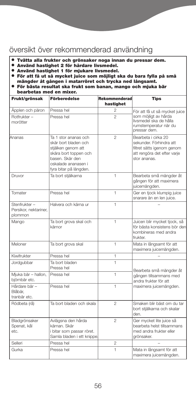# översikt över rekommenderad användning

- **● Tvätta alla frukter och grönsaker noga innan du pressar dem.**
- **● Använd hastighet 2 för hårdare livsmedel.**
- **● Använd hastighet 1 för mjukare livsmedel.**
- **● För att få ut så mycket juice som möjligt ska du bara fylla på små mängder åt gången i matarröret och trycka ned långsamt.**
- **● För bästa resultat ska frukt som banan, mango och mjuka bär bearbetas med en mixer.**

| Frukt/grönsak                                    | <b>Förberedelse</b>                                                                                                                                             | Rekommenderad<br>hastighet | Tips                                                                                                                        |
|--------------------------------------------------|-----------------------------------------------------------------------------------------------------------------------------------------------------------------|----------------------------|-----------------------------------------------------------------------------------------------------------------------------|
| Äpplen och päron                                 | Pressa hel                                                                                                                                                      | 2                          | För att få ut så mycket juice                                                                                               |
| Rotfrukter -<br>morötter                         | Pressa hel                                                                                                                                                      | $\mathfrak{D}$             | som möjligt av hårda<br>livsmedel ska de hålla<br>rumstemperatur när du<br>pressar dem.                                     |
| Ananas                                           | Ta 1 stor ananas och<br>skär bort bladen och<br>stjälken genom att<br>skära bort toppen och<br>basen. Skär den<br>oskalade ananasen i<br>fyra bitar på längden. | $\overline{2}$             | Bearbeta i cirka 20<br>sekunder. Förhindra att<br>filtret sätts igenom genom<br>att rengöra det efter varje<br>stor ananas. |
| Druvor                                           | Ta bort stjälkarna                                                                                                                                              | 1                          | Bearbeta små mängder åt<br>gången för att maximera<br>juicemängden.                                                         |
| Tomater                                          | Pressa hel                                                                                                                                                      | 1                          | Ger en tjock klumpig juice<br>snarare än en len juice.                                                                      |
| Stenfrukter-<br>Persikor, nektariner,<br>plommon | Halvera och kärna ur                                                                                                                                            | 1                          |                                                                                                                             |
| Mango                                            | Ta bort grova skal och<br>kärnor                                                                                                                                | 1                          | Juicen blir mycket tjock, så<br>för bästa konsistens bör denl<br>kombineras med andra<br>frukter.                           |
| Meloner                                          | Ta bort grova skal                                                                                                                                              | $\mathbf{1}$               | Mata in långsamt för att<br>maximera juicemängden.                                                                          |
| Kiwifrukter                                      | Pressa hel                                                                                                                                                      | 1                          |                                                                                                                             |
| Jordgubbar                                       | Ta bort bladen<br>Pressa hel                                                                                                                                    | 1                          | Bearbeta små mängder åt                                                                                                     |
| Mjuka bär - hallon,<br>björnbär etc.             | Pressa hel                                                                                                                                                      | $\mathbf{1}$               | gången tillsammans med<br>andra frukter för att                                                                             |
| Hårdare bär -<br>Blåbär.<br>tranbär etc.         | Pressa hel                                                                                                                                                      | 1                          | maximera juicemängden.                                                                                                      |
| Rödbeta (rå)                                     | Ta bort bladen och skala                                                                                                                                        | $\mathfrak{D}$             | Smaken blir bäst om du tar<br>bort stjälkarna och skalar<br>den.                                                            |
| Bladgrönsaker<br>Spenat, kål<br>etc.             | Avlägsna den hårda<br>kärnan, Skär<br>i bitar som passar röret.<br>Samla bladen i ett knippe.                                                                   | $\overline{2}$             | Ger mycket lite juice så<br>bearbeta helst tillsammans<br>med andra frukter eller<br>grönsaker.                             |
| Selleri                                          | Pressa hel                                                                                                                                                      | $\overline{2}$             |                                                                                                                             |
| Gurka                                            | Pressa hel                                                                                                                                                      | $\mathbf{1}$               | Mata in långsamt för att<br>maximera juicemängden.                                                                          |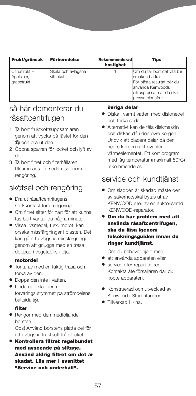| Frukt/grönsak                             | Förberedelse                    | Rekommenderad<br>hastighet | Tips                                                                                                                                                  |
|-------------------------------------------|---------------------------------|----------------------------|-------------------------------------------------------------------------------------------------------------------------------------------------------|
| Citrusfrukt -<br>Apelsiner,<br>grapefrukt | Skala och avlägsna<br>vitt skal |                            | IOm du tar bort det vita blir<br>smaken bättre.<br>lFör bästa resultat bör du<br>lanvända Kenwoods<br>citruspressar när du ska<br>pressa citrusfrukt. |

# så här demonterar du råsaftcentrfugen

- 1 Ta bort fruktköttsuppsamlaren genom att trycka på fästet för den (13) och dra ut den.
- 2 Öppna spärren för locket och lyft av det.
- 3 Ta bort filtret och filterhållaren tillsammans. Ta sedan isär dem för rengöring.

# skötsel och rengöring

- **●** Dra ut råsaftcentrifugens stickkontakt före rengöring.
- **●** Om filtret sitter för hårt för att kunna tas bort väntar du några minuter.
- **●** Vissa livsmedel, t.ex. morot, kan orsaka missfärgningar i plasten. Det kan gå att avlägsna missfärgningar genom att gnugga med en trasa doppad i vegetabilisk olja.

### **motordel**

- **●** Torka av med en fuktig trasa och torka av den.
- **●** Doppa den inte i vatten.
- **●** Linda upp sladden i förvaringsutrymmet på strömdelens baksida (15).

### **filter**

**●** Rengör med den medföljande borsten.

Obs! Använd borstens platta del för att avlägsna fruktkött från locket.

**● Kontrollera filtret regelbundet med avseende på slitage. Använd aldrig filtret om det är skadat. Läs mer i avsnittet "Service och underhåll".**

#### **övriga delar**

- **●** Diska i varmt vatten med diskmedel och torka sedan.
- **●** Alternativt kan de tåla diskmaskin och diskas då i den övre korgen. Undvik att placera delar på den nedre korgen rakt ovanför värmeelementet. Ett kort program med låg temperatur (maximalt 50°C) rekommenderas.

## service och kundtjänst

- **●** Om sladden är skadad måste den av säkerhetsskäl bytas ut av KENWOOD eller av en auktoriserad KENWOOD-reparatör.
- **● Om du har problem med att använda råsaftcentrifugen, ska du läsa igenom felsökningsguiden innan du ringer kundtjänst.**

Om du behöver hjälp med:

- **●** att använda apparaten eller
- **●** service eller reparationer Kontakta återförsäljaren där du köpte apparaten.
- **●** Konstruerad och utvecklad av Kenwood i Storbritannien.
- **●** Tillverkad i Kina.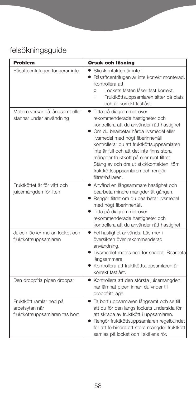# felsökningsguide

| <b>Problem</b>                                                              | <b>Orsak och lösning</b>                                                                                                                                                                                                                                                                                                                                                                                                         |
|-----------------------------------------------------------------------------|----------------------------------------------------------------------------------------------------------------------------------------------------------------------------------------------------------------------------------------------------------------------------------------------------------------------------------------------------------------------------------------------------------------------------------|
| Råsaftcentrifugen fungerar inte                                             | Stickkontakten är inte i.<br>· Råsaftcentrifugen är inte korrekt monterad.<br>Kontrollera att:<br>Lockets fästen låser fast korrekt.<br>$\circ$<br>Fruktköttsuppsamlaren sitter på plats<br>$\circ$<br>och är korrekt fastlåst.                                                                                                                                                                                                  |
| Motorn verkar gå långsamt eller<br>stannar under användning                 | Titta på diagrammet över<br>rekommenderade hastigheter och<br>kontrollera att du använder rätt hastighet.<br>Om du bearbetar hårda livsmedel eller<br>livsmedel med högt fiberinnehåll<br>kontrollerar du att fruktköttsuppsamlaren<br>inte är full och att det inte finns stora<br>mängder fruktkött på eller runt filtret.<br>Stäng av och dra ut stickkontakten. töm<br>fruktköttsuppsamlaren och rengör<br>filtret/hållaren. |
| Fruktköttet är för vått och<br>juicemängden för liten                       | • Använd en långsammare hastighet och<br>bearbeta mindre mängder åt gången.<br>• Rengör filtret om du bearbetar livsmedel<br>med högt fiberinnehåll.<br>· Titta på diagrammet över<br>rekommenderade hastigheter och<br>kontrollera att du använder rätt hastighet.                                                                                                                                                              |
| Juicen läcker mellan locket och<br>fruktköttsuppsamlaren                    | · Fel hastighet används. Läs mer i<br>översikten över rekommenderad<br>användning.<br>Livsmedlet matas ned för snabbt. Bearbeta<br>långsammare.<br>• Kontrollera att fruktköttsuppsamlaren är<br>korrekt fastlåst.                                                                                                                                                                                                               |
| Den droppfria pipen droppar                                                 | • Kontrollera att den största juicemängden<br>har lämnat pipen innan du vrider till<br>droppfritt läge.                                                                                                                                                                                                                                                                                                                          |
| Fruktkött ramlar ned på<br>arbetsytan när<br>fruktköttsuppsamlaren tas bort | · Ta bort uppsamlaren långsamt och se till<br>att du för den längs lockets undersida för<br>att skrapa av fruktkött i uppsamlaren.<br>· Rengör fruktköttsuppsamlaren regelbundet<br>för att förhindra att stora mängder fruktkött<br>samlas på locket och i skålens rör.                                                                                                                                                         |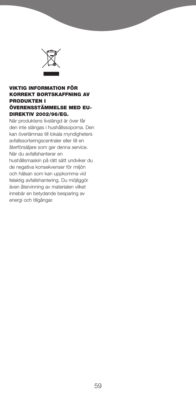

### **VIKTIG INFORMATION FÖR KORREKT BORTSKAFFNING AV PRODUKTEN I ÖVERENSSTÄMMELSE MED EU-DIREKTIV 2002/96/EG.**

När produktens livslängd är över får den inte slängas i hushållssoporna. Den kan överlämnas till lokala myndigheters avfallssorteringscentraler eller till en återförsäljare som ger denna service. När du avfallshanterar en hushållsmaskin på rätt sätt undviker du de negativa konsekvenser för miljön och hälsan som kan uppkomma vid felaktig avfallshantering. Du möjliggör även återvinning av materialen vilket innebär en betydande besparing av energi och tillgångar.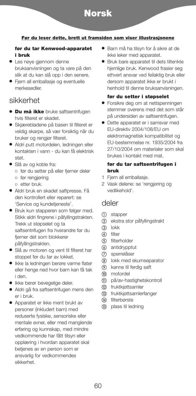# **Norsk**

### **Før du leser dette, brett ut framsiden som viser illustrasjonene**

### **før du tar Kenwood-apparatet i bruk**

- **●** Les nøye gjennom denne bruksanvisningen og ta vare på den slik at du kan slå opp i den senere.
- **●** Fjern all emballasje og eventuelle merkesedler.

### sikkerhet

- **● Du må ikke** bruke saftsentrifugen hvis filteret er skadet.
- **●** Skjærebladene på basen til filteret er veldig skarpe, så vær forsiktig når du bruker og rengjør filteret.
- **●** Aldri putt motordelen, ledningen eller kontakten i vann - du kan få elektrisk støt.
- **●** Slå av og koble fra:
	- **●** før du setter på eller fjerner deler
	- **●** før rengjøring
	- **●** etter bruk.
- **●** Aldri bruk en skadet saftpresse. Få den kontrollert eller reparert: se 'Service og kundetjeneste'.
- **●** Bruk kun stapperen som følger med. Stikk aldri fingrene i påfyllingstrakten. Trekk ut støpselet og ta saftsentrifugen fra hverandre før du fjerner det som blokkerer påfyllingstrakten.
- **●** Slå av motoren og vent til filteret har stoppet før du tar av lokket.
- **●** Ikke la ledningen berøre varme flater eller henge ned hvor barn kan få tak i den.
- **●** Ikke berør bevegelige deler.
- **●** Aldri gå fra saftsentrifugen mens den er i bruk.
- **●** Apparatet er ikke ment brukt av personer (inkludert barn) med reduserte fysiske, sensoriske eller mentale evner, eller med manglende erfaring og kunnskap, med mindre vedkommende har fått tilsyn eller opplæring i hvordan apparatet skal betjenes av en person som er ansvarlig for vedkommendes sikkerhet.
- **●** Barn må ha tilsyn for å sikre at de ikke leker med apparatet.
- **●** Bruk bare apparatet til dets tiltenkte hjemlige bruk. Kenwood frasier seg ethvert ansvar ved feilaktig bruk eller dersom apparatet ikke er brukt i henhold til denne bruksanvisningen.

### **før du setter i støpselet**

- **●** Forsikre deg om at nettspenningen stemmer overens med det som står på undersiden av saftsentrifugen.
- **●** Dette apparatet er i samsvar med EU-direktiv 2004/108/EU om elektromagnetisk kompatibilitet og EU-bestemmelse nr. 1935/2004 fra 27/10/2004 om materialer som skal brukes i kontakt med mat.

### **før du tar saftsentrifugen i bruk**

- 1 Fjern all emballasje.
- 2 Vask delene: se 'rengjøring og vedlikehold'.

### deler

- stapper
- ekstra stor påfyllingstrakt
- (3) lokk
- (4) filter
- (5) filterholder
- antidrypptut
- $(7)$ sperrelåser
- lokk med skumseparator
- kanne til ferdig saft
- motordel
- på/av-hastighetskontroll
- (12) fruktkjøttsamler
- fruktkjøttsamlerfanger
- (14) filterbørste
- plass til ledning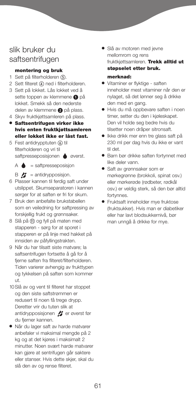## slik bruker du saftsentrifugen

#### **montering og bruk**

- 1 Sett på filterholderen (5).
- 2 Sett filteret (4) ned i filterholderen.
- 3 Sett på lokket. Lås lokket ved å sette toppen av klemmene  $\bigcirc$  på lokket. Smekk så den nederste delen av klemmene 2 på plass.
- 4 Skyv fruktkjøttsamleren på plass.
- **● Saftsentrifugen virker ikke hvis enten fruktkjøttsamleren eller lokket ikke er låst fast.**
- 5 Fest antidrypptuten  $\omega$  til filterholderen og vri til saftpresseposisjonen øverst.

 $A \bullet =$  saftpresseposisjon

 $\mathbf{B}$   $\mathbf{B}$  = antidrypposisjon.

- 6 Plasser kannen til ferdig saft under utslippet. Skumseparatoren i kannen sørger for at saften er fri for skum.
- 7 Bruk den anbefalte brukstabellen som en veiledning for saftpressing av forskjellig frukt og grønnsaker.
- 8 Slå på (ii) og fyll på maten med stapperen - sørg for at sporet i stapperen er på linje med hakket på innsiden av påfyllingstrakten.
- 9 Når du har tilsatt siste matvare; la saftsentrifugen fortsette å gå for å fjerne saften fra filteret/filterholderen. Tiden varierer avhengig av frukttypen og tykkelsen på saften som kommer ut.
- 10Slå av og vent til filteret har stoppet og den siste saftstrømmen er redusert til noen få trege drypp. Deretter vrir du tuten slik at antidrypposisjonen **for** er øverst før du fjerner kannen.
- **●** Når du lager saft av harde matvarer anbefaler vi maksimal mengde på 2 kg og at det kjøres i maksimalt 2 minutter. Noen svært harde matvarer kan gjøre at sentrifugen går saktere eller stanser. Hvis dette skjer, skal du slå den av og rense filteret.

**●** Slå av motoren med jevne mellomrom og rens fruktkjøttsamleren. **Trekk alltid ut støpselet etter bruk.**

### **merknad:**

- **●** Vitaminer er flyktige saften inneholder mest vitaminer når den er nylaget, så det lønner seg å drikke den med en gang.
- **●** Hvis du må oppbevare saften i noen timer, setter du den i kjøleskapet. Den vil holde seg bedre hvis du tilsetter noen dråper sitronsaft.
- **●** Ikke drikk mer enn tre glass saft på 230 ml per dag hvis du ikke er vant til det.
- **●** Barn bør drikke saften fortynnet med like deler vann.
- **●** Saft av grønnsaker som er mørkegrønne (brokkoli, spinat osv.) eller mørkerøde (rødbeter, rødkål osv.) er veldig sterk, så den bør alltid fortynnes.
- **●** Fruktsaft inneholder mye fruktose (fruktsukker). Hvis man er diabetiker eller har lavt blodsukkernivå, bør man unngå å drikke for mye.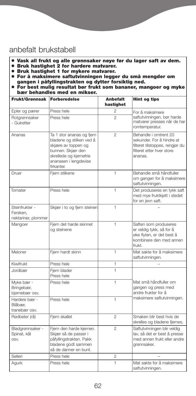# anbefalt brukstabell

- **● Vask all frukt og alle grønnsaker nøye før du lager saft av dem.**
- **● Bruk hastighet 2 for hardere matvarer.**
- **● Bruk hastighet 1 for mykere matvarer.**
- **● For å maksimere saftutvinningen legger du små mengder om gangen i påfyllingstrakten og dytter forsiktig ned.**
- **● For best mulig resultat bør frukt som bananer, mangoer og myke bær behandles med en mikser.**

| <b>Frukt/Grønnsak</b>                             | <b>Forberedelse</b>                                                                                                                                                 | Anbefalt<br>hastighet | <b>Hint og tips</b>                                                                                                           |
|---------------------------------------------------|---------------------------------------------------------------------------------------------------------------------------------------------------------------------|-----------------------|-------------------------------------------------------------------------------------------------------------------------------|
| Epler og pærer                                    | Press hele                                                                                                                                                          | 2                     | For å maksimere                                                                                                               |
| Rotgrønnsaker<br>- Gulrøtter                      | Press hele                                                                                                                                                          | $\mathfrak{p}$        | saftutvinningen, bør harde<br>matvarer presses når de har<br>romtemperatur.                                                   |
| Ananas                                            | Ta 1 stor ananas og fjern<br>bladene og stilken ved å<br>skjære av toppen og<br>bunnen. Skjær den<br>skrellede og kjernefrie<br>ananasen i lengdevise<br>firkanter. | $\overline{2}$        | Behandle i omtrent 20<br>sekunder. For å hindre at<br>filteret tilstoppes, rengjør du<br>filteret etter hver store<br>ananas. |
| Druer                                             | Fjern stilkene                                                                                                                                                      | 1                     | Behandle små håndfuller<br>om gangen for å maksimere<br>saftutvinningen.                                                      |
| Tomater                                           | Press hele                                                                                                                                                          | 1                     | Det produseres en tykk saft<br>med mye fruktkjøtt i stedet<br>for en jevn saft.                                               |
| Steinfrukter -<br>Fersken,<br>nektariner, plommer | Skjær i to og fjern steinen                                                                                                                                         | 1                     |                                                                                                                               |
| Mangoer                                           | Fjern det harde skinnet<br>og steinene                                                                                                                              | 1                     | Saften som produseres<br>er veldig tykk, så for å<br>øke flyten, er det best å<br>kombinere den med annen<br>frukt.           |
| Meloner                                           | Fjern hardt skinn                                                                                                                                                   | $\mathbf{1}$          | Mat sakte for å maksimere<br>saftutvinningen.                                                                                 |
| Kiwifrukt                                         | Press hele                                                                                                                                                          | 1                     |                                                                                                                               |
| Jordbær                                           | Fjern blader<br>Press hele                                                                                                                                          | 1                     |                                                                                                                               |
| Myke bær -<br>Bringebær,<br>bjørnebær osv.        | Press hele                                                                                                                                                          | 1                     | Mat små håndfuller om<br>gangen og press med<br>andre frukter for å                                                           |
| Hardere bær -<br>Blåbær.<br>tranebær osv.         | Press hele                                                                                                                                                          | $\mathbf{1}$          | maksimere saftutvinningen.                                                                                                    |
| Rødbeter (rå)                                     | Fjern skallet                                                                                                                                                       | $\mathfrak{D}$        | Smaken blir best hvis de<br>skrelles og bladene fjernes.                                                                      |
| Bladgrønnsaker -<br>Spinat, kål<br>OSV.           | Fjern den harde kjernen.<br>Skjær så de passer i<br>påfyllingstrakten. Pakk<br>bladene godt sammen<br>så de danner en bunt.                                         | $\overline{2}$        | Saftutvinningen blir veldig<br>lav, så det er best å presse<br>med annen frukt eller andre<br>grønnsaker.                     |
| Selleri                                           | Press hele                                                                                                                                                          | $\overline{c}$        |                                                                                                                               |
| Agurk                                             | Press hele                                                                                                                                                          | $\mathbf{1}$          | Mat sakte for å maksimere<br>saftutvinningen.                                                                                 |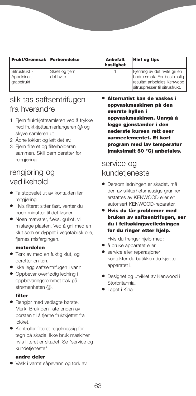| <b>Frukt/Grønnsak   Forberedelse</b>       |                              | <b>Anbefalt</b><br>hastighet | <b>Hint og tips</b>                                                                                                         |
|--------------------------------------------|------------------------------|------------------------------|-----------------------------------------------------------------------------------------------------------------------------|
| Sitrusfrukt -<br>Appelsiner,<br>grapefrukt | Skrell og fjern<br>det hvite |                              | Fjerning av det hvite gir en<br>bedre smak. For best muliq<br>Iresultat anbefales Kenwood<br>sitruspresser til sitrusfrukt. |

## slik tas saftsentrifugen fra hverandre

- 1 Fjern fruktkjøttsamleren ved å trykke ned fruktkjøttsamlerfangeren ® og skyve samleren ut.
- 2 Åpne lokket og løft det av.
- 3 Fiern filteret og filterholderen sammen. Skill dem deretter for rengjøring.

## rengjøring og vedlikehold

- **●** Ta støpselet ut av kontakten før rengjøring.
- **●** Hvis filteret sitter fast, venter du noen minutter til det løsner.
- **●** Noen matvarer, f.eks. gulrot, vil misfarge plasten. Ved å gni med en klut som er dyppet i vegetabilsk olje, fjernes misfargingen.

### **motordelen**

- **●** Tørk av med en fuktig klut, og deretter en tørr.
- **●** Ikke legg saftsentrifugen i vann.
- **●** Oppbevar overflødig ledning i oppbevaringsrommet bak på strømenheten (15).

### **filter**

- **●** Rengjør med vedlagte børste. Merk: Bruk den flate enden av børsten til å fjerne fruktkjøttet fra lokket.
- **●** Kontroller filteret regelmessig for tegn på skade. Ikke bruk maskinen hvis filteret er skadet. Se "service og kundetieneste"

#### **andre deler**

**●** Vask i varmt såpevann og tørk av.

**● Alternativt kan de vaskes i oppvaskmaskinen på den øverste hyllen i oppvaskmaskinen. Unngå å legge gjenstander i den nederste kurven rett over varmeelementet. Et kort program med lav temperatur (maksimalt 50 °C) anbefales.**

### service og kundetjeneste

- **●** Dersom ledningen er skadet, må den av sikkerhetsmessige grunner erstattes av KENWOOD eller en autorisert KENWOOD-reparatør.
- **● Hvis du får problemer med bruken av saftsentrifugen, ser du i feilsøkingsveiledningen før du ringer etter hjelp.**
	- Hvis du trenger hjelp med:
- **●** å bruke apparatet eller
- **●** service eller reparasjoner kontakter du butikken du kjøpte apparatet i.
- **●** Designet og utviklet av Kenwood i Storbritannia.
- **●** Laget i Kina.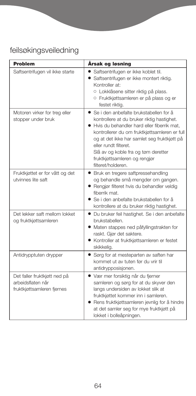# feilsøkingsveiledning

| Problem                                                                         | Årsak og løsning                                                                                                                                                                                                                                                                                                                                              |
|---------------------------------------------------------------------------------|---------------------------------------------------------------------------------------------------------------------------------------------------------------------------------------------------------------------------------------------------------------------------------------------------------------------------------------------------------------|
| Saftsentrifugen vil ikke starte                                                 | Saftsentrifugen er ikke koblet til.<br>$\bullet$<br>• Saftsentrifugen er ikke montert riktig.<br>Kontroller at:<br>O Lokklåsene sitter riktig på plass.<br>O Fruktkjøttsamleren er på plass og er<br>festet riktig.                                                                                                                                           |
| Motoren virker for treg eller<br>stopper under bruk                             | • Se i den anbefalte brukstabellen for å<br>kontrollere at du bruker riktig hastighet.<br>• Hvis du behandler hard eller fiberrik mat,<br>kontrollerer du om fruktkjøttsamleren er full<br>og at det ikke har samlet seg fruktkjøtt på<br>eller rundt filteret.<br>Slå av og koble fra og tøm deretter<br>fruktkjøttsamleren og rengjør<br>filteret/holderen. |
| Fruktkjøttet er for vått og det<br>utvinnes lite saft                           | • Bruk en tregere saftpressehandling<br>og behandle små mengder om gangen.<br>• Rengjør filteret hvis du behandler veldig<br>fiberrik mat.<br>• Se i den anbefalte brukstabellen for å<br>kontrollere at du bruker riktig hastighet.                                                                                                                          |
| Det lekker saft mellom lokket<br>og fruktkjøttsamleren                          | • Du bruker feil hastighet. Se i den anbefalte<br>brukstabellen.<br>• Maten stappes ned påfyllingstrakten for<br>raskt. Gjør det saktere.<br>• Kontroller at fruktkjøttsamleren er festet<br>skikkelig.                                                                                                                                                       |
| Antidrypptuten drypper                                                          | • Sørg for at mesteparten av saften har<br>kommet ut av tuten før du vrir til<br>antidrypposisjonen.                                                                                                                                                                                                                                                          |
| Det faller fruktkjøtt ned på<br>arbeidsflaten når<br>fruktkjøttsamleren fjernes | • Vær mer forsiktig når du fjerner<br>samleren og sørg for at du skyver den<br>langs undersiden av lokket slik at<br>fruktkjøttet kommer inn i samleren.<br>Rens fruktkjøttsamleren jevnlig for å hindre<br>at det samler seg for mye fruktkjøtt på<br>lokket i bolleåpningen.                                                                                |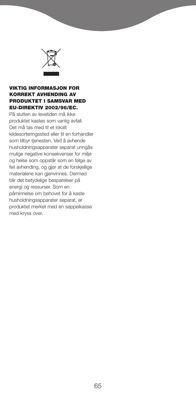

#### **VIKTIG INFORMASJON FOR KORREKT AVHENDING AV PRODUKTET I SAMSVAR MED EU-DIREKTIV 2002/96/EC.**

På slutten av levetiden må ikke produktet kastes som vanlig avfall. Det må tas med til et lokalt kildesorteringssted eller til en forhandler som tilbyr tjenesten. Ved å avhende husholdningsapparater separat unngås mulige negative konsekvenser for miljø og helse som oppstår som en følge av feil avhending, og gjør at de forskjellige materialene kan gjenvinnes. Dermed blir det betydelige besparelser på energi og ressurser. Som en påminnelse om behovet for å kaste husholdningsapparater separat, er produktet merket med en søppelkasse med kryss over.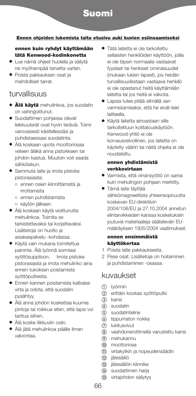# **Suomi**

### **Ennen ohjeiden lukemista taita etusivu auki kuvien esiinsaamiseksi**

### **ennen kuin ryhdyt käyttämään tätä Kenwood-kodinkonetta**

- **●** Lue nämä ohjeet huolella ja säilytä ne myöhempää tarvetta varten.
- **●** Poista pakkauksen osat ja mahdolliset tarrat.

# turvallisuus

- **● Älä käytä** mehulinkoa, jos suodatin on vahingoittunut.
- **●** Suodattimen pohjassa olevat leikkuuterät ovat hyvin teräviä. Toimi varovaisesti käsitellessäsi ja puhdistaessasi suodatinta.
- **●** Älä koskaan upota moottoriosaa veteen äläkä anna pistokkeen tai johdon kastua. Muutoin voit saada sähköiskun.
- **●** Sammuta laite ja irrota pistoke pistorasiasta:
	- **●** ennen osien kiinnittämistä ja irrottamista
	- **●** ennen puhdistamista
	- **●** käytön jälkeen.
- **●** Älä koskaan käytä vioittunutta mehulinkoa. Toimita se tarkistettavaksi tai koriattavaksi. Lisätietoja on huolto ja asiakaspalvelu -kohdassa.
- **●** Käytä vain mukana toimitettua paininta. Älä työnnä sormiasi syöttösuppiloon. Irrota pistoke pistorasiasta ja irrota mehulinko aina ennen tukoksen poistamista syöttöputkesta.
- **●** Ennen kannen poistamista katkaise virta ja odota, että suodatin pysähtyy.
- **●** Älä anna johdon koskettaa kuumia pintoja tai roikkua siten, että lapsi voi tarttua siihen.
- **●** Älä koske liikkuviin osiin.
- **●** Älä jätä mehulinkoa päälle ilman valvontaa.
- **●** Tätä laitetta ei ole tarkoitettu sellaisten henkilöiden käyttöön, joilla ei ole täysin normaalia vastaavat fyysiset tai henkiset ominaisuudet (mukaan lukien lapset), jos heidän turvallisuudestaan vastaava henkilö ei ole opastanut heitä käyttämään laitetta tai jos heitä ei valvota.
- **●** Lapsia tulee pitää silmällä sen varmistamiseksi, että he eivät leiki laitteella.
- **●** Käytä laitetta ainoastaan sille tarkoitettuun kotitalouskäytöön. Kenwood-yhtiö ei ole korvausvelvollinen, jos laitetta on käytetty väärin tai näitä ohjeita ei ole noudatettu.

### **ennen yhdistämistä verkkovirtaan**

- **●** Varmista, että virransyöttö on sama kuin mehulingon pohjaan merkitty.
- **●** Tämä laite täyttää sähkömagneettista yhteensopivuutta koskevan EU-direktiivin 2004/108/EU ja 27.10.2004 annetun elintarvikkeiden kanssa kosketuksiin joutuvia materiaaleja säätelevän EUmääräyksen 1935/2004 vaatimukset.

### **ennen ensimmäistä käyttökertaa**

- 1 Poista laite pakkauksesta.
- 2 Pese osat. Lisätietoja on hoitaminen ja puhdistaminen -osassa.

# kuvaukset

- työnnin
- erittäin kookas syöttöputki
- 3 kansi
- suodatin
- (5) suodatinteline
- (6) tippumaton nokka
- lukitusvivut
- vaahdonerottimella varustettu kansi
- mehukannu
- moottoriosa
- virtakytkin ja nopeudensäädin
- (12) jätesäiliö
- (3) jätesäiliön kiinnike
- suodattimen harja
- virtajohdon säilytys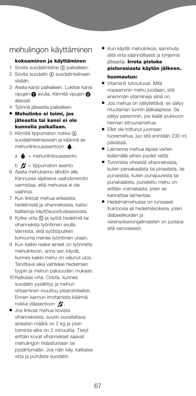### mehulingon käyttäminen

### **kokoaminen ja käyttäminen**

- 1 Sovita suodatinteline (5) paikalleen.
- 2 Sovita suodatin (4) suodatintelineen sisään.
- 3 Aseta kansi paikalleen. Lukitse kansi vipujen  $\bigcirc$  avulla. Kiinnitä vipujen  $\bigcirc$ alaosat.
- 4 Työnnä jäteastia paikalleen.
- **● Mehulinko ei toimi, jos jäteastia tai kansi ei ole kunnolla paikallaan.**
- 5 Kiinnitä tippumaton nokka suodatintelineeseen ja käännä se mehunlinkousasentoon **.** 
	- $a \triangle$  = mehunlinkousasento

 $b \nvert$  = tippumaton asento

- 6 Aseta mehukannu lähdön alle. Kannussa sijaitseva vaahdonerotin varmistaa, että mehussa ei ole vaahtoa.
- 7 Kun linkoat mehua erilaisista hedelmistä ja vihanneksista, katso lisätietoja käyttösuosituskaaviosta.
- 8 Kytke virta (1) ja syötä hedelmiä tai vihanneksia työntimen avulla. Varmista, että syöttöputken kohouma menee työntimen uraan.
- 9 Kun kaikki raaka-aineet on työnnetty mehulinkoon, anna sen käydä, kunnes kaikki mehu on valunut ulos. Tarvittava aika vaihtelee hedelmien tyypin ja mehun paksuuden mukaan.
- 10Katkaise virta. Odota, kunnes suodatin pysähtyy ja mehun virtaaminen muuttuu pisaroimiseksi. Ennen kannun irrottamista käännä nokka yläasentoon  $\mathcal{L}$ .
- **●** Jos linkoat mehua kovista vihanneksista, suurin suositeltava ainesten määrä on 2 kg ja pisin toiminta-aika on 2 minuuttia. Tietyt erittäin kovat vihannekset saavat mehulingon hidastumaan tai pysähtymään. Jos näin käy, katkaise virta ja puhdista suodatin.
- **●** Kun käytät mehulinkoa, sammuta siitä virta säännöllisesti ja tyhjennä jäteastia. **Irrota pistoke pistorasiasta käytön jälkeen. huomautus:**
- **●** Vitamiinit tuhoutuvat. Mitä nopeammin mehu juodaan, sitä enemmän vitamiineja siinä on.
- **●** Jos mehua on säilytettävä, se säilyy muutaman tunnin jääkaapissa. Se säilyy paremmin, jos lisäät joukkoon hieman sitruunamehua.
- **●** Ellet ole tottunut juomaan tuoremehua, juo sitä enintään 230 ml päivässä.
- **●** Laimenna mehua lapsia varten lisäämällä siihen puolet vettä.
- **●** Tummista vihreistä vihanneksista, kuten parsakaalista tai pinaatista, tai punaisista, kuten punajuuresta tai punakaalista, puristettu mehu on erittäin voimakasta, joten se kannattaa laimentaa.
- **●** Hedelmämehussa on runsaasti fruktoosia eli hedelmäsokeria, joten diabeetikoiden ja verensokeriongelmaisten on juotava sitä varovaisesti.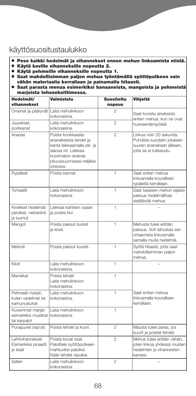# käyttösuositustaulukko

- **● Pese kaikki hedelmät ja vihannekset ennen mehun linkoamista niistä.**
- **● Käytä koville vihanneksille nopeutta 2.**
- **● Käytä pehmeille vihanneksille nopeutta 1.**
- **● Saat mahdollisimman paljon mehua työntämällä syöttöputkeen vain vähän materiaalia kerrallaan ja painamalla hitaasti.**
- **● Saat parasta menua esimerkiksi banaaneista, mangoista ja pehmeistä marjoista tehosekoittimessa.**

| Hedelmät/                                                               | Valmistelu                                                                                                                                                     | <b>Suositeltu</b> | Vihjeitä                                                                                                     |
|-------------------------------------------------------------------------|----------------------------------------------------------------------------------------------------------------------------------------------------------------|-------------------|--------------------------------------------------------------------------------------------------------------|
| vihannekset                                                             |                                                                                                                                                                | nopeus            |                                                                                                              |
| Omenat ja päärynät Laita mehulinkoon                                    | kokonaisina.                                                                                                                                                   | 2                 | Saat kovista aineksista<br>eniten mehua, kun ne ovat                                                         |
| Juurekset,<br>porkkanat                                                 | Laita mehulinkoon<br>kokonaisina.                                                                                                                              | $\mathfrak{p}$    | huoneenlämpöisiä                                                                                             |
| Ananas                                                                  | Poista kookkaasta<br>ananaksesta lehdet ja<br>kanta leikkaamalla ylä- ja<br>alaosa irti. Leikkaa<br>kuorimaton ananas<br>pituussuunnassa neljäksi<br>lohkoksi. | $\mathfrak{p}$    | Linkoa noin 20 sekuntia.<br>Puhdista suodatin jokaisen<br>suuren ananaksen jälkeen,<br>iotta se ei tukkeudu. |
| Rypäleet                                                                | Poista kannat.                                                                                                                                                 | 1                 | Saat eniten mehua<br>linkoamalla kourallisen<br>rypäleitä kerrallaan.                                        |
| Tomaatit                                                                | Laita mehulinkoon<br>kokonaisina.                                                                                                                              | 1                 | Saat tasaisen mehun sijasta<br>paksua hedelmälihaa<br>sisältävää mehua.                                      |
| Kivelliset hedelmät:<br>persikat, nektariinit<br>ja luumut              | Leikkaa kahteen osaan<br>ja poista kivi.                                                                                                                       | $\mathbf{1}$      |                                                                                                              |
| Mangot                                                                  | Poista paksut kuoret<br>ia kivet.                                                                                                                              | 1                 | Mehusta tulee erittäin<br>paksua. Voit tehostaa sen<br>virtaamista linkoamalla<br>samalla muita hedelmiä.    |
| Melonit                                                                 | Poista paksut kuoret.                                                                                                                                          | $\mathbf{1}$      | Syötä hitaasti, jotta saat<br>mahdollisimman paljon<br>mehua.                                                |
| Kiivit                                                                  | Laita mehulinkoon<br>kokonaisina.                                                                                                                              | 1                 |                                                                                                              |
| Mansikat                                                                | Poista lehdet<br>Laita mehulinkoon<br>kokonaisina.                                                                                                             | 1                 |                                                                                                              |
| Pehmeät marjat,<br>kuten vadelmat tai<br>karhunvatukat                  | Laita mehulinkoon<br>kokonaisina.                                                                                                                              | 1                 | Saat eniten mehua<br>linkoamalla kourallisen<br>kerrallaan.                                                  |
| Kovemmat marjat:<br>esimerkiksi mustikat I kokonaisina.<br>tai karpalot | Laita mehulinkoon                                                                                                                                              | $\mathbf{1}$      |                                                                                                              |
| Punajuuret (raa'at)                                                     | Poista lehdet ja kuori.                                                                                                                                        | $\overline{2}$    | Mausta tulee paras, jos<br>kuorit ja poistat lehdet.                                                         |
| Lehtivihannekset<br>Esimerkiksi pinaatti<br>ja kaali                    | Poista kovat osat.<br>Paloittele syöttöputkeen<br>mahtuviksi paloiksi.<br>Kääri lehdet nipuiksi.                                                               | $\overline{2}$    | Mehua tulee erittäin vähän.<br>joten linkoa yhdessä muiden<br>hedelmien ja vihannesten<br>kanssa.            |
| Selleri                                                                 | Laita mehulinkoon<br>kokonaisina.                                                                                                                              | $\overline{2}$    |                                                                                                              |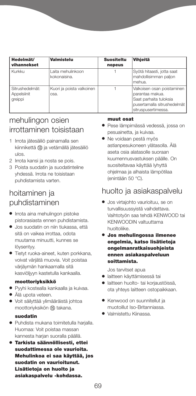| Hedelmät/<br>vihannekset                  | Valmistelu                        | <b>Suositeltu</b><br>nopeus | Vihieitä                                                                                                                      |
|-------------------------------------------|-----------------------------------|-----------------------------|-------------------------------------------------------------------------------------------------------------------------------|
| Kurkku                                    | Laita mehulinkoon<br>kokonaisina. |                             | Svötä hitaasti, jotta saat<br>mahdollisimman paljon<br>Imehua.                                                                |
| Sitrushedelmät:<br>Appelsiinit<br>greippi | Kuori ja poista valkoinen<br>osa. |                             | Valkoisen osan poistaminen<br>parantaa makua.<br>Saat parhaita tuloksia<br>pusertamalla sitrushedelmät<br>sitruspusertimessa. |

# mehulingon osien irrottaminen toisistaan

- 1 Irrota jätesäiliö painamalla sen kiinnikettä ® ja vetämällä jätesäiliö ulos.
- 2 Irrota kansi ja nosta se pois.
- 3 Poista suodatin ja suodatinteline yhdessä. Irrota ne toisistaan puhdistamista varten.

# hoitaminen ja puhdistaminen

- **●** Irrota aina mehulingon pistoke pistorasiasta ennen puhdistamista.
- **●** Jos suodatin on niin tiukassa, että sitä on vaikea irrottaa, odota muutama minuutti, kunnes se löysentyy.
- **●** Tietyt ruoka-aineet, kuten porkkana, voivat värjätä muovia. Voit poistaa värjäymän hankaamalla sitä kasviöljyyn kastetulla kankaalla.

#### **moottoriyksikkö**

- **●** Pyyhi kostealla kankaalla ja kuivaa.
- **●** Älä upota veteen.
- **●** Voit säilyttää ylimääräistä johtoa moottoriyksikön (is) takana.

#### **suodatin**

- **●** Puhdista mukana toimitetulla harjalla. Huomaa: Voit poistaa massan kannesta harjan suoralla päällä.
- **● Tarkista säännöllisesti, ettei suodattimessa ole vaurioita. Mehulinkoa ei saa käyttää, jos suodatin on vaurioitunut. Lisätietoja on huolto ja asiakaspalvelu -kohdassa.**

### **muut osat**

- **●** Pese lämpimässä vedessä, jossa on pesuainetta, ja kuivaa.
- **●** Ne voidaan pestä myös astianpesukoneen ylätasolla. Älä aseta osia alatasolle suoraan kuumennusvastuksen päälle. On suositeltavaa käyttää lyhyttä ohjelmaa ja alhaista lämpötilaa (enintään 50 °C).

# huolto ja asiakaspalvelu

- **●** Jos virtajohto vaurioituu, se on turvallisuussyistä vaihdettava. Vaihtotyön saa tehdä KENWOOD tai KENWOODIN valtuuttama huoltoliike.
- **● Jos mehulingossa ilmenee ongelmia, katso lisätietoja ongelmanratkaisuohjeista ennen asiakaspalveluun soittamista.**

Jos tarvitset apua

- **●** laitteen käyttämisessä tai
- **●** laitteen huolto- tai korjaustöissä, ota yhteys laitteen ostopaikkaan.
- **●** Kenwood on suunnitellut ja muotoillut Iso-Britanniassa.
- **●** Valmistettu Kiinassa.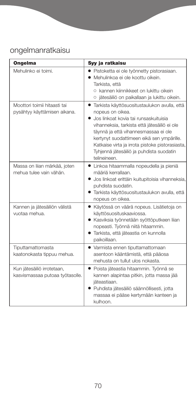# ongelmanratkaisu

| <b>Ongelma</b>                                                | Syy ja ratkaisu                                                                                                                                                                                                                                                                                                                                               |
|---------------------------------------------------------------|---------------------------------------------------------------------------------------------------------------------------------------------------------------------------------------------------------------------------------------------------------------------------------------------------------------------------------------------------------------|
| Mehulinko ei toimi.                                           | · Pistoketta ei ole työnnetty pistorasiaan.<br>• Mehulinkoa ei ole koottu oikein.<br>Tarkista, että<br>O kannen kiinnikkeet on lukittu oikein<br>o jätesäiliö on paikallaan ja lukittu oikein.                                                                                                                                                                |
| Moottori toimii hitaasti tai<br>pysähtyy käyttämisen aikana.  | Tarkista käyttösuositustaulukon avulla, että<br>nopeus on oikea.<br>Jos linkoat kovia tai runsaskuituisia<br>vihanneksia, tarkista että jätesäiliö ei ole<br>täynnä ja että vihannesmassaa ei ole<br>kertynyt suodattimeen eikä sen ympärille.<br>Katkaise virta ja irrota pistoke pistorasiasta,<br>Tyhjennä jätesäiliö ja puhdista suodatin<br>telineineen. |
| Massa on liian märkää, joten<br>mehua tulee vain vähän.       | • Linkoa hitaammalla nopeudella ja pieniä<br>määriä kerrallaan.<br>Jos linkoat erittäin kuitupitoisia vihanneksia,<br>puhdista suodatin.<br>Tarkista käyttösuositustaulukon avulla, että<br>nopeus on oikea.                                                                                                                                                  |
| Kannen ja jätesäiliön välistä<br>vuotaa mehua.                | · Käytössä on väärä nopeus. Lisätietoja on<br>käyttösuosituskaaviossa.<br>• Kasviksia työnnetään syöttöputkeen liian<br>nopeasti. Työnnä niitä hitaammin.<br>Tarkista, että jäteastia on kunnolla<br>paikoillaan.                                                                                                                                             |
| Tiputtamattomasta<br>kaatonokasta tippuu mehua.               | • Varmista ennen tiputtamattomaan<br>asentoon kääntämistä, että pääosa<br>mehusta on tullut ulos nokasta.                                                                                                                                                                                                                                                     |
| Kun jätesäiliö irrotetaan,<br>kasvismassaa putoaa työtasolle. | Poista jäteastia hitaammin. Työnnä se<br>$\bullet$<br>kannen alapintaa pitkin, jotta massa jää<br>jäteastiaan.<br>• Puhdista jätesäiliö säännöllisesti, jotta<br>massaa ei pääse kertymään kanteen ja<br>kulhoon.                                                                                                                                             |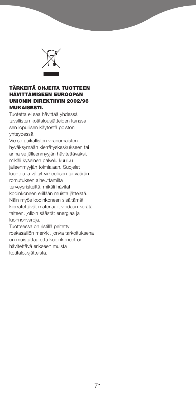

#### **TÄRKEITÄ OHJEITA TUOTTEEN HÄVITTÄMISEEN EUROOPAN UNIONIN DIREKTIIVIN 2002/96 MUKAISESTI.**

Tuotetta ei saa hävittää yhdessä tavallisten kotitalousjätteiden kanssa sen lopullisen käytöstä poiston yhteydessä.

Vie se paikallisten viranomaisten hyväksymään kierrätyskeskukseen tai anna se jälleenmyyjän hävitettäväksi, mikäli kyseinen palvelu kuuluu jälleenmyyjän toimialaan. Suojelet luontoa ja vältyt virheellisen tai väärän romutuksen aiheuttamilta terveysriskeiltä, mikäli hävität kodinkoneen erillään muista jätteistä. Näin myös kodinkoneen sisältämät kierrätettävät materiaalit voidaan kerätä talteen, jolloin säästät energiaa ja luonnonvaroja.

Tuotteessa on ristillä peitetty roskasäiliön merkki, jonka tarkoituksena on muistuttaa että kodinkoneet on hävitettävä erikseen muista kotitalousjätteistä.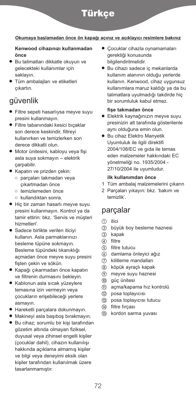

#### **Okumaya ba…lamadan önce ön kapaòı açınız ve açıklayıcı resimlere bakınız**

#### **Kenwood cihazınızı kullanmadan önce**

- Bu talimatları dikkatle okuyun ve gelecekteki kullanımlar için saklayın.
- **●** Tüm ambalajları ve etiketleri çıkartın.

### güvenlik

- **●** Filtre sepeti hasarlıysa meyve suyu presini kullanmayın.
- **●** Filtre tabanındaki kesici bıçaklar son derece keskindir, filtreyi kullanırken ve temizlerken son derece dikkatli olun.
- **●** Motor ünitesini, kabloyu veya fişi asla suya sokmayın – elektrik çarpabilir.
- **●** Kapatın ve prizden çekin:
	- **●** parçaları takmadan veya çıkartmadan önce
	- **●** temizlemeden önce
	- **●** kullandıktan sonra.
- **●** Hiç bir zaman hasarlı meyve suyu presini kullanmayın. Kontrol ya da tamir ettirin: bkz. 'Servis ve müşteri hizmetleri'.
- **●** Sadece birlikte verilen iticiyi kullanın. Asla parmaklarınızı besleme tüpüne sokmayın. Besleme tüpündeki tıkanıklığı açmadan önce meyve suyu presini fişten çekin ve sökün.
- **●** Kapağı çıkarmadan önce kapatın ve filtrenin durmasını bekleyin.
- **●** Kablonun asla sıcak yüzeylere temasına izin vermeyin veya çocukların erişebileceği yerlere asmayın.
- **●** Hareketli parçalara dokunmayın.
- **●** Makineyi asla başıboş bırakmayın.
- **●** Bu cihaz; sorumlu bir kişi tarafından gözetim altında olmayan fiziksel, duyusal veya zihinsel engelli kişiler (çocuklar dahil), cihazın kullanılışı hakkında açıklama almamış kişiler ve bilgi veya deneyimi eksik olan kişiler tarafından kullanılmak üzere tasarlanmamıştır.
- **●** Çocuklar cihazla oynamamaları gerektiği konusunda bilgilendirilmelidir.
- **●** Bu cihazı sadece iç mekanlarda kullanım alanının olduğu yerlerde kullanın. Kenwood, cihaz uygunsuz kullanımlara maruz kaldığı ya da bu talimatlara uyulmadığı takdirde hiç bir sorumluluk kabul etmez.

#### **fişe takmadan önce**

- **●** Elektrik kaynağınızın meyve suyu presinizin alt tarafında gösterilenle aynı olduğuna emin olun.
- **●** Bu cihaz Elektro Manyetik Uyumluluk ile ilgili direktifi 2004/108/EC ve gıda ile temas eden malzemeler hakkındaki EC yönetmeliği no. 1935/2004 - 27/10/2004 ile uyumludur.

#### **ilk kullanımdan önce**

- 1 Tüm ambalaj malzemelerini çıkarın
- 2 Parçaları yıkayın: bkz. 'bakım ve temizlik'.

### parçalar

- (1) itici
- büyük boy besleme haznesi
- (3) kapak
- 4 filtre
- (5) filtre tutucu
- damlama önleyici ağız
- kilitleme mandalları
- köpük ayraçlı kapak
- meyve suyu haznesi
- (iii) qüç ünitesi
- açma/kapama hız kontrolü
- (12) posa toplayıcısı
- (i3) posa toplayıcısı tutucu
- (4) filtre fırçası
- (i5) kordon sarma yuvası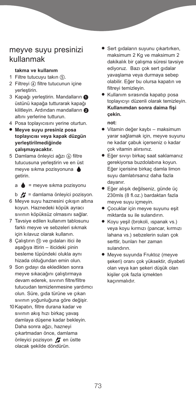### meyve suyu presinizi kullanmak

#### **takma ve kullanım**

- 1 Filtre tutucuyu takın  $(5)$ .
- 2 Filtreyi (4) filtre tutucunun içine yerleştirin.
- 3 Kapağı yerleştirin. Mandalların <sup>1</sup> üstünü kapağa tutturarak kapağı kilitleyin. Ardından mandalların @ altını yerlerine tutturun.
- 4 Posa toplayıcısını yerine oturtun.
- **● Meyve suyu presiniz posa toplayıcısı veya kapak düzgün yerleştirilmediğinde çalışmayacaktır.**
- 5 Damlama önleyici ağzı (6) filtre tutucusuna yerleştirin ve en üst meyve sıkma pozisyonuna getirin.

 $a \triangleq$  = meyve sıkma pozisyonu

 $\mathbf{b}$   $\mathbf{B}$  = damlama önleyici pozisyon.

- 6 Meyve suyu haznesini çıkışın altına koyun. Haznedeki köpük ayracı sıvının köpüksüz olmasını sağlar.
- 7 Tavsiye edilen kullanım tablosunu farklı meyve ve sebzeleri sıkmak için kılavuz olarak kullanın.
- 8 Calıştırın (îi) ve gıdaları itici ile aşağıya ittirin – iticideki pinin besleme tüpündeki olukla aynı hizada olduğundan emin olun.
- 9 Son gıdayı da ekledikten sonra meyve sıkacağını çalıştırmaya devam ederek, sıvının filtre/filtre tutucudan temizlenmesine yardımcı olun. Süre, gıda türüne ve çıkan sıvının yoğunluğuna göre değişir.
- 10Kapatın, filtre durana kadar ve sıvının akış hızı birkaç yavaş damlaya düşene kadar bekleyin. Daha sonra ağzı, hazneyi çıkartmadan önce, damlama önleyici pozisyon  $B$  en üstte olacak şekilde döndürün.
- **●** Sert gıdaların suyunu çıkartırken, maksimum 2 Kg ve maksimum 2 dakikalık bir çalışma süresi tavsiye ediyoruz. Bazı çok sert gıdalar yavaşlama veya durmaya sebep olabilir. Eğer bu olursa kapatın ve filtreyi temizleyin.
- **●** Kullanım sırasında kapatıp posa toplayıcıyı düzenli olarak temizleyin. **Kullanımdan sonra daima fişi çekin.**

#### **not:**

- **●** Vitamin değer kaybı maksimum yarar sağlamak için, meyve suyunu ne kadar çabuk içerseniz o kadar çok vitamin alırsınız.
- **●** Eğer sıvıyı birkaç saat saklamanız gerekiyorsa buzdolabına koyun. Eğer içerisine birkaç damla limon suyu damlatırsanız daha fazla dayanır.
- **●** Eğer alışık değilseniz, günde üç 230mls (8 fl.oz.) bardaktan fazla meyve suyu içmeyin.
- **●** Çocuklar için meyve suyunu eşit miktarda su ile sulandırın.
- **●** Koyu yeşil (brokoli, ıspanak vs.) veya koyu kırmızı (pancar, kırmızı lahana vs.) sebzelerin suları çok serttir, bunları her zaman sulandırın.
- **●** Meyve suyunda Fruktoz (meyve şekeri) oranı çok yüksektir, diyabeti olan veya kan şekeri düşük olan kişiler çok fazla içmekten kaçınmalıdır.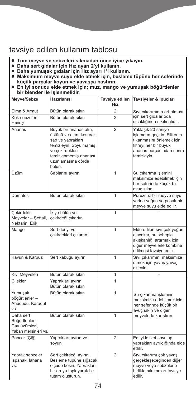## tavsiye edilen kullanım tablosu

- 
- 
- 
- Tüm meyve ve sebzeleri sıkmadan önce iyice yıkayın.<br>● Daha sert gıdalar için Hız ayarı 2'yi kullanın.<br>● Daha yumuşak gıdalar için Hız ayarı 1'i kullanın.<br>● Maksimum meyve suyu elde etmek için, besleme tüpüne her seferin
- küçük parçalar koyun ve yavaşça bastırın.<br>● En iyi sonucu elde etmek için; muz, mango ve yumuşak böğürtlenler **bir blender ile işlenmelidir.**

| Meyve/Sebze                                                          | Hazırlanışı                                                                                                                                                                   | Tavsiye edilen<br>Hız | Tavsiyeler & İpuçları                                                                                                                              |
|----------------------------------------------------------------------|-------------------------------------------------------------------------------------------------------------------------------------------------------------------------------|-----------------------|----------------------------------------------------------------------------------------------------------------------------------------------------|
| Elma & Armut                                                         | Bütün olarak sıkın                                                                                                                                                            | $\overline{2}$        | Sivi cikariminin artirilması                                                                                                                       |
| Kök sebzeleri -<br>Havuc                                             | Bütün olarak sıkın                                                                                                                                                            |                       | için sert gıdalar oda<br>sıcaklığında sıkılmalıdır.                                                                                                |
| Ananas                                                               | Büyük bir ananas alın,<br>üstünü ve altını keserek<br>sap ve yaprakları<br>temizleyin. Soyulmamış<br>ve çekirdekleri<br>temizlenmemis ananası<br>uzunlamasına dörde<br>bölün. | $\overline{2}$        | Yaklaşık 20 saniye<br>işlemden geçirin. Filtrenin<br>tıkanmasını önlemek için<br>filtreyi her bir büyük<br>ananas parcasından sonra<br>temizleyin. |
| Üzüm                                                                 | Saplarını ayırın                                                                                                                                                              | 1                     | Su çıkartma işlemini<br>maksimize edebilmek için<br>her seferinde küçük bir<br>avuç sıkın.                                                         |
| Domates                                                              | Bütün olarak sıkın                                                                                                                                                            | 1                     | Pürüzsüz bir meyve suyu<br>verine yoğun ve posalı bir<br>meyve suyu elde edilir.                                                                   |
| Cekirdekli<br>Meyveler - Şeftali,<br>Nektarin, Erik                  | İkiye bölün ve<br>çekirdeği çıkartın                                                                                                                                          | 1                     |                                                                                                                                                    |
| Mango                                                                | Sert deriyi ve<br>çekirdekleri çıkartın                                                                                                                                       | 1                     | Elde edilen sıvı çok yoğun<br>olacaktır, bu sebeple<br>akışkanlığı artırmak için<br>diğer meyvelerle kombine<br>edilmesi tavsiye edilir.           |
| Kavun & Karpuz                                                       | Sert kabuğu ayırın                                                                                                                                                            | 1                     | Sıvı çıkarımını maksimize<br>etmek için yavaş yavaş<br>ekleyin.                                                                                    |
| Kivi Meyveleri                                                       | Bütün olarak sıkın                                                                                                                                                            | 1                     |                                                                                                                                                    |
| Cilekler                                                             | Yaprakları ayırın<br>Bütün olarak sıkın                                                                                                                                       | 1                     |                                                                                                                                                    |
| Yumuşak<br>böğürtlenler -<br>Ahududu, Karadut<br>VS.                 | Bütün olarak sıkın                                                                                                                                                            | 1                     | Su çıkartma işlemini<br>maksimize edebilmek için<br>her seferinde kücük bir<br>avuç sıkın ve diğer                                                 |
| Daha sert<br>Böğürtlenler -<br>Cay üzümleri,<br>Yaban mersinleri vs. | Bütün olarak sıkın                                                                                                                                                            | 1                     | meyvelerle karıştırın.                                                                                                                             |
| Pancar (Çiğ)                                                         | Yaprakları ayırın ve<br>soyun                                                                                                                                                 | $\overline{2}$        | En iyi lezzet soyulup<br>yaprakları ayrıldığında elde<br>edilir.                                                                                   |
| Yaprak sebzeler<br>Ispanak, lahana<br>VS.                            | Sert çekirdeği ayırın.<br>Besleme tüpüne sığacak<br>ölçüde kesin. Yaprakları<br>bir araya toplayarak bir<br>tutam oluşturun.                                                  | $\overline{2}$        | Sıvı çıkarımı çok yavaş<br>gerçekleşeceğinden diğer<br>meyve veya sebzelerle<br>birlikte sıkılmaları tavsiye<br>edilir.                            |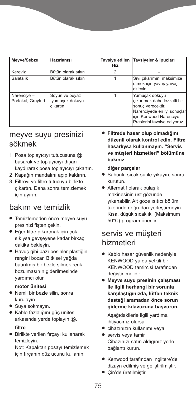| Meyve/Sebze                      | Hazırlanışı                                  | Hız            | Tavsiye edilen Tavsiyeler & İpuçları                                                                                                                        |
|----------------------------------|----------------------------------------------|----------------|-------------------------------------------------------------------------------------------------------------------------------------------------------------|
| Kereviz                          | Bütün olarak sıkın                           | $\overline{2}$ |                                                                                                                                                             |
| Salatalık                        | Bütün olarak sıkın                           |                | Sıvı çıkarımını maksimize<br>etmek için yavaş yavaş<br>ekleyin.                                                                                             |
| Narenciye-<br>Portakal, Greyfurt | Soyun ve beyaz<br>yumuşak dokuyu<br>cıkartın |                | Yumuşak dokuyu<br>çıkartmak daha lezzetli bir<br>sonuc verecektir.<br>Narenciyede en iyi sonuçlar<br>icin Kenwood Narenciye<br>Preslerini tavsiye ediyoruz. |

### meyve suyu presinizi sökmek

- 1 Posa toplayıcıyı tutucusuna basarak ve toplayıcıyı dışarı kaydırarak posa toplayıcıyı çıkartın.
- 2 Kapağın mandalını açıp kaldırın.
- 3 Filtreyi ve filtre tutucuyu birlikte çıkartın. Daha sonra temizlemek için ayırın.

## bakım ve temizlik

- **●** Temizlemeden önce meyve suyu presinizi fişten çekin.
- **●** Eğer filtre çıkartmak için çok sıkıysa gevşeyene kadar birkaç dakika bekleyin.
- **●** Havuç gibi bazı besinler plastiğin rengini bozar. Bitkisel yağda batırılmış bir bezle silmek renk bozulmasının giderilmesinde yardımcı olur.

#### **motor ünitesi**

- **●** Nemli bir bezle silin, sonra kurulayın.
- **●** Suya sokmayın.
- **●** Kablo fazlalığını güç ünitesi arkasında yerde toplayın (i5).

#### **filtre**

**●** Birlikte verilen fırçayı kullanarak temizleyin.

Not: Kapaktan posayı temizlemek için fırçanın düz ucunu kullanın.

**● Filtrede hasar olup olmadığını düzenli olarak kontrol edin. Filtre hasarlıysa kullanmayın. "Servis ve müşteri hizmetleri" bölümüne bakınız**

#### **diğer parçalar**

- **●** Sabunlu sıcak su ile yıkayın, sonra kurutun.
- **●** Alternatif olarak bulaşık makinesinin üst gözünde yıkanabilir. Alt göze ısıtıcı bölüm üzerinde doğrudan yerleştirmeyin. Kısa, düşük sıcaklık (Maksimum 50°C) program önerilir.

### servis ve müşteri hizmetleri

- **●** Kablo hasar güvenlik nedeniyle, KENWOOD ya da yetkili bir KENWOOD tamircisi tarafından değiştirilmelidir.
- **● Meyve suyu presinin çalışması ile ilgili herhangi bir sorunla karşılaştığınızda, lütfen teknik desteği aramadan önce sorun giderme kılavuzuna başvurun.**

Aşağıdakilerle ilgili yardıma ihtiyacınız olursa:

- **●** cihazınızın kullanımı veya
- **●** servis veya tamir Cihazınızı satın aldığınız yerle bağlantı kurun.
- **●** Kenwood tarafından İngiltere'de dizayn edilmiş ve geliştirilmiştir.
- **●** Çin'de üretilmiştir.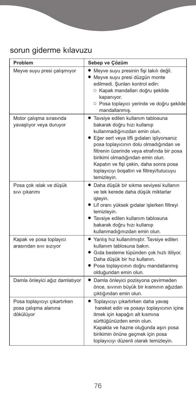# sorun giderme kılavuzu

| Problem                                                           | Sebep ve Çözüm                                                                                                                                                                                                                                                                                                                                                                        |
|-------------------------------------------------------------------|---------------------------------------------------------------------------------------------------------------------------------------------------------------------------------------------------------------------------------------------------------------------------------------------------------------------------------------------------------------------------------------|
| Meyve suyu presi çalışmıyor                                       | Meyve suyu presinin fişi takılı değil.<br>Meyve suyu presi düzgün monte<br>edilmedi. Şunları kontrol edin:<br>○ Kapak mandalları doğru şekilde<br>kapanıyor.<br>O Posa toplayıcı yerinde ve doğru şekilde<br>mandallanmış.                                                                                                                                                            |
| Motor çalışma sırasında<br>yavaşlıyor veya duruyor                | • Tavsiye edilen kullanım tablosuna<br>bakarak doğru hızı kullanıp<br>kullanmadığınızdan emin olun.<br>· Eğer sert veya lifli gıdaları işliyorsanız<br>posa toplayıcının dolu olmadığından ve<br>filtrenin üzerinde veya etrafında bir posa<br>birikimi olmadığından emin olun.<br>Kapatın ve fişi çekin, daha sonra posa<br>toplayıcıyı boşaltın ve filtreyi/tutucuyu<br>temizleyin. |
| Posa çok ıslak ve düşük<br>sıvı çıkarımı                          | · Daha düşük bir sıkma seviyesi kullanın<br>ve tek kerede daha düşük miktarlar<br>isleyin.<br>• Lif oranı yüksek gıdalar işlerken filtreyi<br>temizleyin.<br>· Tavsiye edilen kullanım tablosuna<br>bakarak doğru hızı kullanıp<br>kullanmadığınızdan emin olun.                                                                                                                      |
| Kapak ve posa toplayıcı<br>arasından sıvı sızıyor                 | • Yanlış hız kullanılmıştır. Tavsiye edilen<br>kullanım tablosuna bakın.<br>• Gıda besleme tüpünden çok hızlı itiliyor.<br>Daha düşük bir hız kullanın.<br>· Posa toplayıcının doğru mandallanmış<br>olduğundan emin olun.                                                                                                                                                            |
| Damla önleyici ağız damlatıyor                                    | · Damla önleyici pozisyona çevirmeden<br>önce, sıvının büyük bir kısmının ağızdan<br>çıktığından emin olun.                                                                                                                                                                                                                                                                           |
| Posa toplayıcıyı çıkartırken<br>posa çalışma alanına<br>dökülüyor | • Toplayıcıyı çıkartırken daha yavaş<br>hareket edin ve posayı toplayıcının içine<br>itmek için kapağın alt kısmına<br>sürttüğünüzden emin olun.<br>Kapakta ve hazne oluğunda aşırı posa<br>birikimin önüne geçmek için posa<br>toplayıcıyı düzenli olarak temizleyin.                                                                                                                |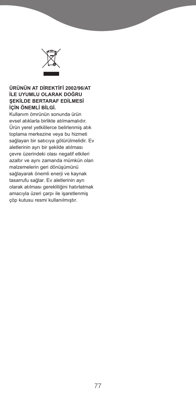

#### **ÜRÜNÜN AT DİREKTİFİ 2002/96/AT İLE UYUMLU OLARAK DOĞRU ŞEKİLDE BERTARAF EDİLMESİ İÇİN ÖNEMLİ BİLGİ.**

Kullanım ömrünün sonunda ürün evsel atıklarla birlikte atılmamalıdır. Ürün yerel yetkililerce belirlenmiş atık toplama merkezine veya bu hizmeti sağlayan bir satıcıya götürülmelidir. Ev aletlerinin ayrı bir şekilde atılması çevre üzerindeki olası negatif etkileri azaltır ve aynı zamanda mümkün olan malzemelerin geri dönüşümünü sağlayarak önemli enerji ve kaynak tasarrufu sağlar. Ev aletlerinin ayrı olarak atılması gerekliliğini hatırlatmak amacıyla üzeri çarpı ile işaretlenmiş çöp kutusu resmi kullanılmıştır.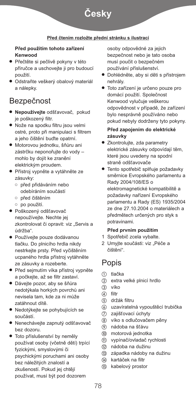

#### **P¡ed ïtením rozlo¥te p¡ední stránku s ilustrací**

#### **Před použitím tohoto zařízení Kenwood**

- **●** Přečtěte si pečlivě pokyny v této příručce a uschovejte ji pro budoucí použití.
- **●** Odstraňte veškerý obalový materiál a nálepky.

### Bezpečnost

- **● Nepoužívejte** odšťavovač, pokud je poškozený filtr.
- **●** Nože na spodku filtru jsou velmi ostré, proto při manipulaci s filtrem a jeho čištění buďte opatrní.
- **●** Motorovou jednotku, šňůru ani zástrčku neponořujte do vody – mohlo by dojít ke zranění elektrickým proudem.
- **●** Přístroj vypněte a vytáhněte ze zásuvky:
	- **●** před přidáváním nebo odebíráním součástí
	- **●** před čištěním
	- **●** po použití.
- **●** Poškozený odšťavovač nepoužívejte. Nechte jej zkontrolovat či opravit: viz "Servis a údržba".
- **●** Používejte pouze dodávanou tlačku. Do plnicího hrdla nikdy nestrkejte prsty. Před vyčištěním ucpaného hrdla přístroj vytáhněte ze zásuvky a rozeberte.
- **●** Před sejmutím víka přístroj vypněte a počkejte, až se filtr zastaví.
- **●** Dávejte pozor, aby se šňůra nedotýkala horkých povrchů ani nevisela tam, kde za ni může zatáhnout dítě.
- **●** Nedotýkejte se pohybujících se součástí.
- **●** Nenechávejte zapnutý odšťavovač bez dozoru.
- **●** Toto příslušenství by neměly používat osoby (včetně dětí) trpící fyzickými, smyslovými či psychickými poruchami ani osoby bez náležitých znalostí a zkušeností. Pokud jej chtějí používat, musí být pod dozorem

osoby odpovědné za jejich bezpečnost nebo je tato osoba musí poučit o bezpečném používání příslušenství.

- **●** Dohlédněte, aby si děti s přístrojem nehrály.
- **●** Toto zařízení je určeno pouze pro domácí použití. Společnost Kenwood vylučuje veškerou odpovědnost v případě, že zařízení bylo nesprávně používáno nebo pokud nebyly dodrženy tyto pokyny.

#### **Před zapojením do elektrické zásuvky**

- **●** Zkontrolujte, zda parametry elektrické zásuvky odpovídají těm, které jsou uvedeny na spodní straně odšťavovače
- **●** Tento spotřebič splňuje požadavky směrnice Evropského parlamentu a Rady 2004/108/ES o elektromagnetické kompatibilitě a požadavky nařízení Evropského parlamentu a Rady (ES) 1935/2004 ze dne 27.10.2004 o materiálech a předmětech určených pro styk s potravinami.

#### **Před prvním použitím**

- 1 Spotřebič zcela vybalte.
- 2 Umyjte součásti: viz "Péče a čištění".

### Popis

- tlačka
- extra velké plnicí hrdlo
- víko
- (4) filtr
- držák filtru
- uzavíratelná vypouštěcí trubička
- $(7)$ zajišťovací úchyty
- víko s odlučovačem pěny
- nádoba na šťávu
- motorová jednotka
- vypínač/ovladač rychlosti
- nádoba na dužinu
- <sup>(3)</sup> západka nádoby na dužinu
- (4) kartáček na filtr
- (i5) kabelový prostor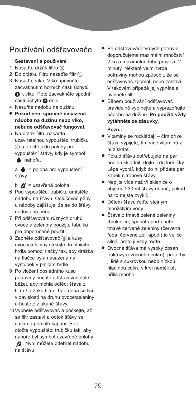# Používání odšťavovače

#### **Sestavení a používání**

- 1 Nasaďte držák filtru (5).
- 2 Do držáku filtru nasaďte filtr (4).
- 3 Nasaďte víko. Víko upevněte zacvaknutím horních částí úchytů - k víku. Poté zacvakněte spodní části úchytů @ dole.
- 4 Nasuňte nádobu na dužinu.
- **● Pokud není správně nasazená nádoba na dužinu nebo víko, nebude odšťavovač fungovat.**
- 5 Na držák filtru nasaďte uzavíratelnou vypouštěcí trubičku a otočte ji do polohy pro vypouštění šťávy, kdy je symbol **▲** nahoře.

 $a \triangle$  = poloha pro vypouštění šťávy

 $b \nvert$  = uzavřená poloha

- 6 Pod vypouštěcí trubičku umístěte nádobu na šťávu. Odlučovač pěny u nádoby zajišťuje, že se do šťávy nedostane pěna.
- 7 Při odšťavování různých druhů ovoce a zeleniny použijte tabulku pro doporučené použití.
- 8 Zapněte odšťavovač (ii) a kusy ovoce/zeleniny strkejte do plnicího hrdla pomocí tlačky tak, aby drážka na tlačce byla nasazená na výstupek v plnicím hrdle.
- 9 Po vložení posledního kusu potraviny nechte odšťavovač dále běžet, aby mohla odtéct šťáva z filtru / držáku filtru. Tato doba se liší v závislosti na druhu ovoce/zeleniny a hustotě získané šťávy.
- 10Vypněte odšťavovač a počkejte, až se filtr zastaví a odtok šťávy se sníží na pomalé kapání. Poté otočte vypouštěcí trubičku tak, aby nahoře byl symbol uzavřené polohy . Nyní můžete odebrat nádobu na šťávu.
- **●** Při odšťavování tvrdých potravin doporučujeme maximální množství 2 kg a maximální dobu provozu 2 minuty. Některé velmi tvrdé potraviny mohou způsobit, že se odšťavovač zpomalí nebo zastaví. V takovém případě jej vypněte a uvolněte filtr.
- **●** Během používání odšťavovač pravidelně vypínejte a vyprazdňujte nádobu na dužinu. **Po použití vždy vytáhněte ze zásuvky.**

#### **Pozn.:**

- **●** Vitaminy se rozkládají čím dříve šťávu vypijete, tím více vitaminů z ní získáte.
- **●** Pokud šťávu potřebujete na pár hodin uskladnit, dejte ji do ledničky. Lépe vydrží, když do ní přidáte pár kapek citronové šťávy.
- **●** Nepijte více než tři sklenice o objemu 230 ml šťávy denně, pokud na to nejste zvyklí.
- **●** Dětem šťávu řeďte stejným množstvím vody.
- **●** Šťáva z tmavě zelené zeleniny (brokolice, špenát apod.) nebo tmavě červené zeleniny (červená řepa, červené zelí apod.) je velice silná, proto ji vždy řeďte.
- **●** Ovocná šťáva má vysoký obsah fruktózy (ovocného cukru), proto by ji lidé s cukrovkou nebo nízkou hladinou cukru v krvi neměli pít příliš mnoho.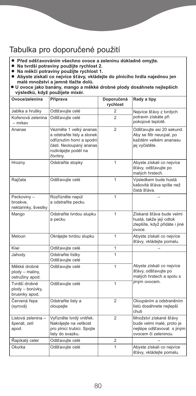# Tabulka pro doporučené použití

- 
- 
- 
- Před odšťavováním všechno ovoce a zeleninu důkladně omyjte.<br>• Na tvrdší potraviny použijte rychlost 2.<br>• Na měkčí potraviny použijte rychlost 1.<br>• Abyste získali co nejvíce šťávy, vkládejte do plnicího hrdla najednou je
- · U ovoce jako banány, mango a měkké drobné plody dosáhnete nejlepších **výsledků, když použijete mixér.**

| Ovoce/zelenina                                      | Příprava                                                                                                                                           | Doporučená<br>rychlost | Rady a tipy                                                                                               |
|-----------------------------------------------------|----------------------------------------------------------------------------------------------------------------------------------------------------|------------------------|-----------------------------------------------------------------------------------------------------------|
| Jablka a hrušky                                     | Odšťavujte celé                                                                                                                                    | 2                      | Nejvíce šťávy z tvrdých                                                                                   |
| Kořenová zelenina<br>- mrkev                        | Odšťavujte celé                                                                                                                                    | $\overline{2}$         | potravin získáte při<br>pokojové teplotě.                                                                 |
| Ananas                                              | Vezměte 1 velký ananas<br>a odstraňte listy a stonek<br>odříznutím horní a spodní<br>části. Neoloupaný ananas<br>rozkrájejte podél na<br>čtvrtiny. | $\overline{2}$         | Odšťavujte asi 20 sekund.<br>Aby se filtr neucpal, po<br>každém velkém ananasu<br>jej vyčistěte.          |
| Hrozny                                              | Odstraňte stopky                                                                                                                                   | 1                      | Abyste získali co nejvíce<br>šťávy, odšťavujte po<br>malých hrstech.                                      |
| Rajčata                                             | Odšťavujte celé                                                                                                                                    | 1                      | Výsledkem bude hustá<br>kašovitá šťáva spíše než<br>čistá šťáva.                                          |
| Peckoviny -<br>broskve.<br>nektarinky, švestky      | Rozřízněte napůl<br>a odstraňte pecku                                                                                                              | 1                      |                                                                                                           |
| Mango                                               | Odstraňte tvrdou slupku<br>a pecku                                                                                                                 | 1                      | Získaná šťáva bude velmi<br>hustá, takže její odtok<br>zlepšíte, když přidáte i jiné<br>ovoce.            |
| Meloun                                              | Okrájejte tvrdou slupku                                                                                                                            | 1                      | Abyste získali co nejvíce<br>šťávy, vkládejte pomalu.                                                     |
| Kiwi                                                | Odšťavujte celé                                                                                                                                    | 1                      |                                                                                                           |
| Jahody                                              | Odstraňte lístky<br>Odšťavujte celé                                                                                                                | 1                      |                                                                                                           |
| Měkké drobné<br>plody - maliny,<br>ostružiny apod.  | Odšťavujte celé                                                                                                                                    | 1                      | Abyste získali co nejvíce<br>šťávy, odšťavujte po<br>malých hrstech a spolu s<br>jiným ovocem.            |
| Tvrdší drobné<br>plody - borůvky,<br>brusinky apod. | Odšťavujte celé                                                                                                                                    | $\mathbf{1}$           |                                                                                                           |
| Červená řepa<br>(syrová)                            | Odstraňte listy a<br>oloupejte                                                                                                                     | $\overline{2}$         | Oloupáním a odstraněním<br>listů dosáhnete nejlepší<br>chuti                                              |
| Listová zelenina -<br>špenát, zelí<br>apod.         | Vyřízněte tvrdý vnitřek.<br>Nakrájejte na velikost<br>pro plnicí trubici. Spojte<br>listy do svazku.                                               | $\overline{2}$         | Množství získané šťávy<br>bude velmi malé, proto je<br>nejlépe odšťavovat s jiným<br>ovocem či zeleninou. |
| Řapíkatý celer                                      | Odšťavujte celé                                                                                                                                    | 2                      |                                                                                                           |
| Okurka                                              | Odšťavujte celé                                                                                                                                    | 1                      | Abyste získali co nejvíce<br>šťávy, vkládejte pomalu.                                                     |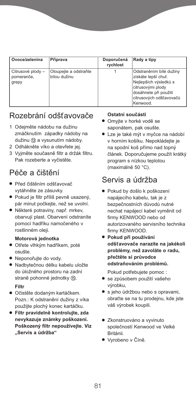| Ovoce/zelenina                           | Příprava                              | Doporučená<br>rychlost | Rady a tipy                                                                                                                                                  |
|------------------------------------------|---------------------------------------|------------------------|--------------------------------------------------------------------------------------------------------------------------------------------------------------|
| Citrusové plody -<br>pomeranče,<br>grepy | Oloupejte a odstraňte<br>bílou dužinu |                        | Odstraněním bílé dužiny<br>získáte lepší chuť.<br>Nejlepších výsledků s<br>citrusovými plody<br>dosáhnete při použití<br>citrusových odšťavovačů<br>Kenwood. |

# Rozebrání odšťavovače

- 1 Odejměte nádobu na dužinu zmáčknutím západky nádoby na dužinu (3) a vysunutím nádoby.
- 2 Odhákněte víko a otevřete jej.
- 3 Vyjměte současně filtr a držák filtru. Pak rozeberte a vyčistěte.

# Péče a čištění

- **●** Před čištěním odšťavovač vytáhněte ze zásuvky.
- **●** Pokud je filtr příliš pevně usazený, pár minut počkejte, než se uvolní.
- **●** Některé potraviny, např. mrkev, obarvují plast. Obarvení odstraníte pomocí hadříku namočeného v rostlinném oleji.

#### **Motorová jednotka**

- **●** Otřete vlhkým hadříkem, poté osušte.
- **●** Neponořujte do vody.
- **●** Nadbytečnou délku kabelu uložte do úložného prostoru na zadní straně pohonné jednotky (5).

#### **Filtr**

- **●** Očistěte dodaným kartáčkem. Pozn.: K odstranění dužiny z víka použijte plochý konec kartáčku.
- **● Filtr pravidelně kontrolujte, zda nevykazuje známky poškození. Poškozený filtr nepoužívejte. Viz "Servis a údržba"**

#### **Ostatní součásti**

- **●** Omyjte v horké vodě se saponátem, pak osušte.
- **●** Lze je také mýt v myčce na nádobí v horním košíku. Nepokládejte je na spodní koš přímo nad topný článek. Doporučujeme použít krátký program s nízkou teplotou (maximálně 50 °C).

# Servis a údržba

- **●** Pokud by došlo k poškození napájecího kabelu, tak je z bezpečnostních důvodů nutné nechat napájecí kabel vyměnit od firmy KENWOOD nebo od autorizovaného servisního technika firmy KENWOOD.
- **● Pokud při používání odšťavovače narazíte na jakékoli problémy, než zavoláte o radu, přečtěte si průvodce odstraňováním problémů.**

Pokud potřebujete pomoc :

- **●** se způsobem použití vašeho výrobku,
- **●** s jeho údržbou nebo s opravami, obraťte se na tu prodejnu, kde jste váš výrobek koupili.
- **●** Zkonstruováno a vyvinuto společností Kenwood ve Velké Británii.
- **●** Vyrobeno v Číně.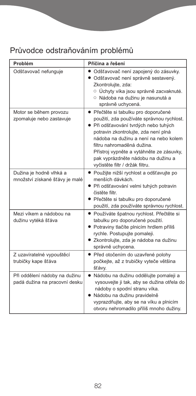# Průvodce odstraňováním problémů

| Problém                                                        | Příčina a řešení                                                                                                                                                                                                                                                                                                                                               |
|----------------------------------------------------------------|----------------------------------------------------------------------------------------------------------------------------------------------------------------------------------------------------------------------------------------------------------------------------------------------------------------------------------------------------------------|
| Odšťavovač nefunguje                                           | · Odšťavovač není zapojený do zásuvky.<br>· Odšťavovač není správně sestavený.<br>Zkontrolujte, zda:<br>○ Úchyty víka jsou správně zacvaknuté.<br>O Nádoba na dužinu je nasunutá a<br>správně uchycená.                                                                                                                                                        |
| Motor se během provozu<br>zpomaluje nebo zastavuje             | · Přečtěte si tabulku pro doporučené<br>použití, zda používáte správnou rychlost.<br>· Při odšťavování tvrdých nebo tuhých<br>potravin zkontrolujte, zda není plná<br>nádoba na dužinu a není na nebo kolem<br>filtru nahromaděná dužina.<br>Přístroj vypněte a vytáhněte ze zásuvky,<br>pak vyprázdněte nádobu na dužinu a<br>vyčistěte filtr / držák filtru. |
| Dužina je hodně vlhká a<br>množství získané šťávy je malé      | • Použijte nižší rychlost a odšťavujte po<br>menších dávkách.<br>· Při odšťavování velmi tuhých potravin<br>čistěte filtr.<br>· Přečtěte si tabulku pro doporučené<br>použití, zda používáte správnou rychlost.                                                                                                                                                |
| Mezi víkem a nádobou na<br>dužinu vytéká šťáva                 | · Používáte špatnou rychlost. Přečtěte si<br>tabulku pro doporučené použití.<br>• Potraviny tlačíte plnicím hrdlem příliš<br>rychle. Postupujte pomaleji.<br>· Zkontrolujte, zda je nádoba na dužinu<br>správně uchycena.                                                                                                                                      |
| Z uzavíratelné vypouštěcí<br>trubičky kape šťáva               | · Před otočením do uzavřené polohy<br>počkejte, až z trubičky vyteče většina<br>šťávy.                                                                                                                                                                                                                                                                         |
| Při oddělení nádoby na dužinu<br>padá dužina na pracovní desku | Nádobu na dužinu oddělujte pomaleji a<br>$\bullet$<br>vysouvejte ji tak, aby se dužina otřela do<br>nádoby o spodní stranu víka.<br>· Nádobu na dužinu pravidelně<br>vyprazdňujte, aby se na víku a plnicím<br>otvoru nehromadilo příliš mnoho dužiny.                                                                                                         |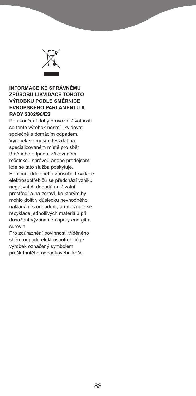

#### **INFORMACE KE SPRÁVNÉMU ZPŮSOBU LIKVIDACE TOHOTO VÝROBKU PODLE SMĚRNICE EVROPSKÉHO PARLAMENTU A RADY 2002/96/ES**

Po ukončení doby provozní životnosti se tento výrobek nesmí likvidovat společně s domácím odpadem. Výrobek se musí odevzdat na specializovaném místě pro sběr tříděného odpadu, zřizovaném městskou správou anebo prodejcem, kde se tato služba poskytuje. Pomocí odděleného způsobu likvidace elektrospotřebičů se předchází vzniku negativních dopadů na životní prostředí a na zdraví, ke kterým by mohlo dojít v důsledku nevhodného nakládání s odpadem, a umožňuje se recyklace jednotlivých materiálů při dosažení významné úspory energií a surovin.

Pro zdůraznění povinnosti tříděného sběru odpadu elektrospotřebičů je výrobek označený symbolem přeškrtnutého odpadkového koše.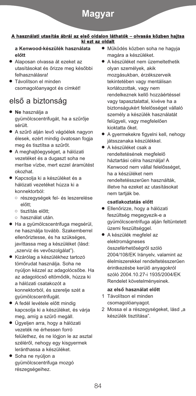# **Magyar**

#### **A használati utasítás ábrái az elsò oldalon láthatók – olvasás közben hajtsa ki ezt az oldalt**

**a Kenwood-készülék használata előtt**

- **●** Alaposan olvassa át ezeket az utasításokat és őrizze meg későbbi felhasználásra!
- **●** Távolítson el minden csomagolóanyagot és címkét!

# első a biztonság

- **● Ne** használja a gyümölcscentrifugát, ha a szűrője sérült.
- **●** A szűrő alján levő vágóélek nagyon élesek, ezért mindig óvatosan fogja meg és tisztítsa a szűrőt.
- **●** A meghajtóegységet, a hálózati vezetéket és a dugaszt soha ne merítse vízbe, mert ezzel áramütést okozhat.
- **●** Kapcsolja ki a készüléket és a hálózati vezetéket húzza ki a konnektorból:
	- **●** részegységek fel- és leszerelése előtt;
	- **●** tisztítás előtt;
	- **●** használat után.
- **●** Ha a gyümölcscentrifuga megsérül, ne használja tovább. Szakemberrel ellenőriztesse, és ha szükséges, javíttassa meg a készüléket (lásd: "szerviz és vevőszolgálat").
- **●** Kizárólag a készülékhez tartozó tömőrudat használja. Soha ne nyúljon kézzel az adagolócsőbe. Ha az adagolócső eltömődik, húzza ki a hálózati csatakozót a konnektorból, és szerelje szét a gyümölcscentrifugát.
- **●** A fedél levétele előtt mindig kapcsolja ki a készüléket, és várja meg, amíg a szűrő megáll.
- **●** Ügyeljen arra, hogy a hálózati vezeték ne érhessen forró felülethez, és ne lógjon le az asztal széléről, nehogy egy kisgyermek leránthassa a készüléket.
- **●** Soha ne nyúljon a gyümölcscentrifuga mozgó részegségeihez.
- **●** Működés közben soha ne hagyja magára a készüléket.
- **●** A készüléket nem üzemeltethetik olyan személyek, akik mozgásukban, érzékszerveik tekintetében vagy mentálisan korlátozottak, vagy nem rendelkeznek kellő hozzáértéssel vagy tapasztalattal, kivéve ha a biztonságukért felelősséget vállaló személy a készülék használatát felügyeli, vagy megfelelően kioktatta őket.
- **●** A gyermekekre figyelni kell, nehogy játsszanaka készülékkel.
- **●** A készüléket csak a rendeltetésének megfelelő háztartási célra használja! A Kenwood nem vállal felelősséget, ha a készüléket nem rendeltetésszerűen használták, illetve ha ezeket az utasításokat nem tartják be.

#### **csatlakoztatás előtt**

- **●** Ellenőrizze, hogy a hálózati feszültség megegyezik-e a gyümölcscentrifuga alján feltüntetett üzemi feszültséggel.
- **●** A készülék megfelel az elektromágneses összeférhetőségről szóló 2004/108/EK Irányelv, valamint az élelmiszerekkel rendeltetésszerűen érintkezésbe kerülő anyagokról szóló 2004.10.27-i 1935/2004/EK Rendelet követelményeinek.

#### **az első használat előtt**

- 1 Távolítson el minden csomagolóanyagot.
- 2 Mossa el a részegységeket, lásd "a készülék tisztítása".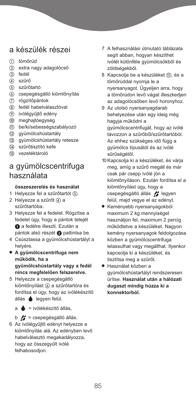# a készülék részei

- tömőrúd
- extra nagy adagolócső
- (3) fedél
- szűrő
- szűrőtartó
- csepegésgátló kiömlőnyílás
- rögzítőpántok
- fedél habelválasztóval
- ivólégyűjtő edény
- meghajtóegység
- be/ki/sebességszabályozó
- (12) gyümölcshústartály
- (i3) gyümölcshústartály retesze
- szűrőtisztító kefe
- vezetéktároló

## a gyümölcscentrifuga használata

#### **összeszerelés és használat**

- 1 Helyezze fel a szűrőtartót (5).
- 2 Helyezze a szűrőt (4) a szűrőtartóba.
- 3 Helyezze fel a fedelet. Rögzítse a fedelet úgy, hogy a pántok tetejét  $\bullet$  a fedélre illeszti. Ezután a pántok alsó részét @ pattintsa be.
- 4 Csúsztassa a gyümölcshústartályt a helyére.
- **● A gyümölcscentrifuga nem működik, ha a gyümölcshústartály vagy a fedél nincs megfelelően felszerelve.**
- 5 Helyezze a csepegésgátló kiömlőnyílást (6) a szűrőtartóra és fordítsa el úgy, hogy az ivólékészítő állás **e** legyen felül.
	- $a \bullet = iv$ ólékészítő állás,

 $b$   $\mathcal{L}$  = csepegésgátló állás.

6 Az ivólégyűjtő edényt helyezze a kiömlőnyílás alá. Az edényben levő habelválasztó megakadályozza, hogy az összegyűlt ivólé felhabosodjon.

- 7 A felhasználási útmutató táblázata segít abban, hogyan készíthet ivólét különféle gyümölcsökből és zöldségekből.
- 8 Kapcsolja be a készüléket (ii), és a tömőrúddal nyomja le a nyersanyagot. Ügyeljen arra, hogy a tömőrúdon levő vágat illeszkedjen az adagolócsőben levő horonyhoz.
- 9 Az utolsó nyersanyagdarab behelyezése után egy ideig még hagyja működni a gyümölcscentrifugát, hogy az ivólé távozzon a szűrőből/szűrőtartóból. Az ehhez szükséges idő függ a gyümölcs típusától és az ivólé sűrűségétől.
- 10Kapcsolja ki a készüléket, és várja meg, amíg a szűrő megáll és már csak pár csepp ivólé jön a kiömlőnyíláson. Ezután fordítsa el a kiömlőnyílást úgy, hogy a csepegésgátló állás / legyen felül, majd vegye el az edényt.
- **●** Keményebb nyersanyagokból maximum 2 kg mennyiséget használjon fel, maximum 2 percig működtetve a készüléket. Nagyon kemény nyersanyagok feldolgozása közben a gyümölcscentrifuga lelassulhat vagy megállhat. Ilyenkor kapcsolja ki a készüléket, és tisztítsa meg a szűrőt.
- **●** Használat közben a gyümölcshústartályt rendszeresen ürítse. **Használat után a hálózati dugaszt mindig húzza ki a konnektorból.**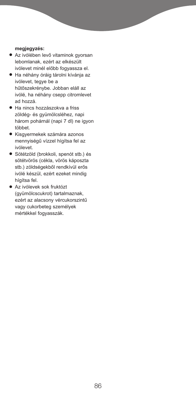#### **megjegyzés:**

- **●** Az ivólében levő vitaminok gyorsan lebomlanak, ezért az elkészült ivólevet minél előbb fogyassza el.
- **●** Ha néhány óráig tárolni kívánja az ivólevet, tegye be a hűtőszekrénybe. Jobban eláll az ivólé, ha néhány csepp citromlevet ad hozzá.
- Ha nincs hozzászokva a friss zöldég- és gyümölcsléhez, napi három pohárnál (napi 7 dl) ne igyon többet.
- **●** Kisgyermekek számára azonos mennyiségű vízzel hígítsa fel az ivólevet.
- **●** Sötétzöld (brokkoli, spenót stb.) és sötétvörös (cékla, vörös káposzta stb.) zöldségekből rendkívül erős ivólé készül, ezért ezeket mindig hígítsa fel.
- **●** Az ivólevek sok fruktózt (gyümölcscukrot) tartalmaznak, ezért az alacsony vércukorszintű vagy cukorbeteg személyek mértékkel fogyasszák.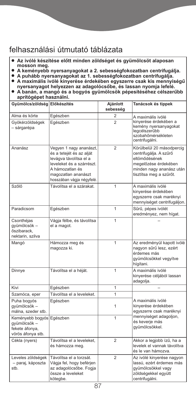# felhasználási útmutató táblázata

- Az ivólé készítése előtt minden zöldséget és gyümölcsöt alaposan<br>mosson meg.<br>● A keményebb nyersanyagokat a 2. sebességfokozatban centrifugálja.<br>● A puhább nyersanyagokat az 1. sebességfokozatban centrifugálja.<br>● A maxi
- 
- 
- A banámula o roce amizou de alagolócsöbe, és lassan nyomja lefelé.<br>■ A banán, a mangó és a bogyós gyümölcsök pépesítéséhez célszerűbb
- **aprítógépet használni.**

| Gyümölcs/zöldség Előkészítés                                            |                                                                                                                                                                                   | Ajánlott<br>sebesség | Tanácsok és tippek                                                                                                                                  |
|-------------------------------------------------------------------------|-----------------------------------------------------------------------------------------------------------------------------------------------------------------------------------|----------------------|-----------------------------------------------------------------------------------------------------------------------------------------------------|
| Alma és körte                                                           | Egészben                                                                                                                                                                          | 2                    | A maximális ivólé                                                                                                                                   |
| Gyökérzöldségek<br>- sárgarépa                                          | Egészben                                                                                                                                                                          | $\overline{2}$       | kinyerése érdekében a<br>kemény nyersanyagokat<br>legcélszerűbb<br>szobahőmérsékleten<br>centrifugálni.                                             |
| Ananász                                                                 | Vegyen 1 nagy ananászt,<br>és a tetejét és az alját<br>levágva távolítsa el a<br>leveleket és a szárrészt.<br>A hámozatlan és<br>magozatlan ananászt<br>hosszában vágja négyfelé. | $\overline{2}$       | Körülbelül 20 másodpercig<br>centrifugálja. A szűrő<br>eltömődésének<br>megelőzése érdekében<br>minden nagy ananász után<br>tisztítsa meg a szűrőt. |
| Szőlő                                                                   | Távolítsa el a szárakat.                                                                                                                                                          | 1                    | A maximális ivólé<br>kinyerése érdekében<br>egyszerre csak maréknyi<br>mennyiséget centrifugáljon.                                                  |
| Paradicsom                                                              | Egészben                                                                                                                                                                          | 1                    | Sűrű, pépes ivólét<br>eredményez, nem hígat.                                                                                                        |
| Csonthéjas<br>gyümölcsök -<br>őszibarack,<br>nektarin, szilva           | Vágja félbe, és távolítsa<br>el a magot.                                                                                                                                          | 1                    |                                                                                                                                                     |
| Mangó                                                                   | Hámozza meg és<br>magozza ki.                                                                                                                                                     | 1                    | Az eredményül kapott ivólé<br>nagyon sűrű lesz, ezért<br>érdemes más<br>gyümölcsökkel vegyítve<br>hígítani.                                         |
| Dinnye                                                                  | Távolítsa el a héját.                                                                                                                                                             | 1                    | A maximális ivólé<br>kinyerése céljából lassan<br>adagolja.                                                                                         |
| Kivi                                                                    | Egészben                                                                                                                                                                          | 1                    |                                                                                                                                                     |
| Szamóca, eper                                                           | Távolítsa el a leveleket.                                                                                                                                                         | 1                    |                                                                                                                                                     |
| Puha bogyós<br>gyümölcsök -<br>málna, szeder stb.                       | Egészben                                                                                                                                                                          | 1                    | A maximális ivólé<br>kinyerése érdekében<br>egyszerre csak maréknyi                                                                                 |
| Keményebb bogyós<br>gyümölcsök -<br>fekete áfonya,<br>vörös áfonya stb. | Egészben                                                                                                                                                                          | 1                    | mennyiséget adagoljon,<br>és keverje más<br>gyümölcsökkel.                                                                                          |
| Cékla (nyers)                                                           | Távolítsa el a leveleket,<br>és hámozza meg.                                                                                                                                      | $\overline{2}$       | Akkor a legjobb ízű, ha a<br>levelek el vannak távolítva<br>és le van hámozva.                                                                      |
| Leveles zöldségek<br>- paraj, káposzta<br>stb.                          | Távolítsa el a torzsát.<br>Vágja fel, hogy beférjen<br>az adagolócsőbe. Fogja<br>össze a leveleket<br>kötegbe.                                                                    | $\overline{2}$       | Az ivólé kinyerése nagyon<br>lassú, ezért érdemes más<br>gyümölcsökkel vagy<br>zöldségekkel együtt<br>centrifugálni.                                |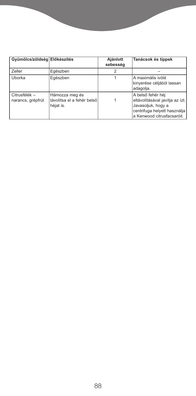| Gyümölcs/zöldség Előkészítés       |                                                           | Ajánlott<br>sebesség | Tanácsok és tippek                                                                                                                       |
|------------------------------------|-----------------------------------------------------------|----------------------|------------------------------------------------------------------------------------------------------------------------------------------|
| Zeller                             | Egészben                                                  | 2                    |                                                                                                                                          |
| Uborka                             | Egészben                                                  |                      | A maximális ivólé<br>kinyerése céljából lassan<br>adagolja.                                                                              |
| Citrusfélék -<br>narancs, grépfrút | Hámozza meg és<br>távolítsa el a fehér belső<br>héjat is. |                      | A belső fehér héj<br>eltávolításával javítja az ízt.<br>Javasoljuk, hogy a<br>centrifuga helyett használja<br>a Kenwood citrusfacsaróit. |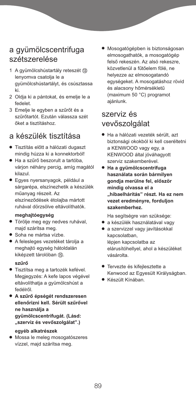# a gyümölcscentrifuga szétszerelése

- 1 A gyümölcshústartály reteszét @ lenyomva csatolja le a gyümölcshústartályt, és csúsztassa ki.
- 2 Oldja ki a pántokat, és emelje le a fedelet.
- 3 Emelje le egyben a szűrőt és a szűrőtartót. Ezután válassza szét őket a tisztításhoz.

# a készülék tisztítása

- **●** Tisztítás előtt a hálózati dugaszt mindig húzza ki a konnektorból!
- **●** Ha a szűrő beszorult a tartóba, várjon néhány percig, amíg magától kilazul.
- **●** Egyes nyersanyagok, például a sárgarépa, elszínezhetik a készülék műanyag részeit. Az elszíneződések étolajba mártott ruhával dörzsölve eltávolíthatók.

#### **meghajtóegység**

- **●** Törölje meg egy nedves ruhával, majd szárítsa meg.
- **●** Soha ne mártsa vízbe.
- **●** A felesleges vezetéket tárolja a meghajtó egység hátoldalán kiképzett tárolóban (ß).

#### **szűrő**

- **●** Tisztítsa meg a tartozék kefével. Megjegyzés: A kefe lapos végével eltávolíthatja a gyümölcshúst a fedélről.
- **● A szűrő épségét rendszeresen ellenőrizni kell. Sérült szűrővel ne használja a gyümölcscentrifugát. (Lásd: "szerviz és vevőszolgálat".)**

#### **egyéb alkatrészek**

**●** Mossa le meleg mosogatószeres vízzel, majd szárítsa meg.

**●** Mosogatógépben is biztonságosan elmosogathatók, a mosogatógép felső rekeszén. Az alsó rekeszre, közvetlenül a fűtőelem fölé, ne helyezze az elmosogatandó egységeket. A mosogatáshoz rövid és alacsony hőmérsékletű (maximum 50 °C) programot ajánlunk.

### szerviz és vevőszolgálat

- **●** Ha a hálózati vezeték sérült, azt biztonsági okokból ki kell cseréltetni a KENWOOD vagy egy, a KENWOOD által jóváhagyott szerviz szakemberével.
- **● Ha a gyümölcscentrifuga használata során bármilyen gondja merülne fel, először mindig olvassa el a "hibaelhárítás" részt. Ha ez nem vezet eredményre, forduljon szakemberhez.**

Ha segítségre van szüksége:

- **●** a készülék használatával vagy
- **●** a szervizzel vagy javításokkal kapcsolatban, lépjen kapcsolatba az elárusítóhellyel, ahol a készüléket vásárolta.
- **●** Tervezte és kifejlesztette a Kenwood az Egyesült Királyságban.
- **●** Készült Kínában.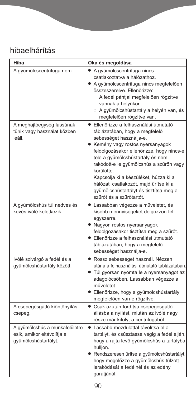# hibaelhárítás

| Hiba                                                                                 | Oka és megoldása                                                                                                                                                                                                                                                                                                                                                                                                                            |
|--------------------------------------------------------------------------------------|---------------------------------------------------------------------------------------------------------------------------------------------------------------------------------------------------------------------------------------------------------------------------------------------------------------------------------------------------------------------------------------------------------------------------------------------|
| A gyümölcscentrifuga nem                                                             | • A gyümölcscentrifuga nincs<br>csatlakoztatva a hálózathoz.<br>• A gyümölcscentrifuga nincs megfelelően<br>összeszerelve. Ellenőrizze:<br>O A fedél pántjai megfelelően rögzítve<br>vannak a helyükön.<br>○ A gyümölcshústartály a helyén van, és<br>megfelelően rögzítve van.                                                                                                                                                             |
| A meghajtóegység lassúnak<br>tűnik vagy használat közben<br>leáll.                   | • Ellenőrizze a felhasználási útmutató<br>táblázatában, hogy a megfelelő<br>sebességet használja-e.<br>• Kemény vagy rostos nyersanyagok<br>feldolgozásakor ellenőrizze, hogy nincs-e<br>tele a gyümölcshústartály és nem<br>rakódott-e le gyümölcshús a szűrőn vagy<br>körülötte.<br>Kapcsolja ki a készüléket, húzza ki a<br>hálózati csatlakozót, majd ürítse ki a<br>gyümölcshústartályt és tisztítsa meg a<br>szűrőt és a szűrőtartót. |
| A gyümölcshús túl nedves és<br>kevés ivólé keletkezik.                               | • Lassabban végezze a műveletet, és<br>kisebb mennyiségeket dolgozzon fel<br>egyszerre.<br>• Nagyon rostos nyersanyagok<br>feldolgozásakor tisztítsa meg a szűrőt.<br>• Ellenőrizze a felhasználási útmutató<br>táblázatában, hogy a megfelelő<br>sebességet használja-e.                                                                                                                                                                   |
| Ivólé szivárgó a fedél és a<br>gyümölcshústartály között.                            | • Rossz sebességet használ. Nézzen<br>utána a felhasználási útmutató táblázatában.<br>• Túl gyorsan nyomta le a nyersanyagot az<br>adagolócsőben. Lassabban végezze a<br>műveletet.<br>• Ellenőrizze, hogy a gyümölcshústartály<br>megfelelően van-e rögzítve.                                                                                                                                                                              |
| A csepegésgátló kiöntőnyílás<br>csepeg.                                              | • Csak azután fordítsa csepegésgátló<br>állásba a nyílást, miután az ivólé nagy<br>része már kifolyt a centrifugából.                                                                                                                                                                                                                                                                                                                       |
| A gyümölcshús a munkafelületre<br>esik, amikor eltávolítja a<br>gyümölcshústartályt. | Lassabb mozdulattal távolítsa el a<br>tartályt, és csúsztassa végig a fedél alján,<br>hogy a rajta levő gyümölcshús a tartályba<br>hulljon.<br>· Rendszeresen ürítse a gyümölcshústartályt,<br>hogy megelőzze a gyümölcshús túlzott<br>lerakódását a fedélnél és az edény<br>garatjánál.                                                                                                                                                    |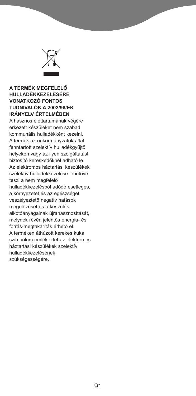

#### **A TERMÉK MEGFELELŐ HULLADÉKKEZELÉSÉRE VONATKOZÓ FONTOS TUDNIVALÓK A 2002/96/EK IRÁNYELV ÉRTELMÉBEN**

A hasznos élettartamának végére érkezett készüléket nem szabad kommunális hulladékként kezelni. A termék az önkormányzatok által fenntartott szelektív hulladékgyűjtő helyeken vagy az ilyen szolgáltatást biztosító kereskedőknél adható le. Az elektromos háztartási készülékek szelektív hulladékkezelése lehetővé teszi a nem megfelelő hulladékkezelésből adódó esetleges, a környezetet és az egészséget veszélyeztető negatív hatások megelőzését és a készülék alkotóanyagainak újrahasznosítását, melynek révén jelentős energia- és forrás-megtakarítás érhető el. A terméken áthúzott kerekes kuka szimbólum emlékeztet az elektromos háztartási készülékek szelektív hulladékkezelésének szükségességére.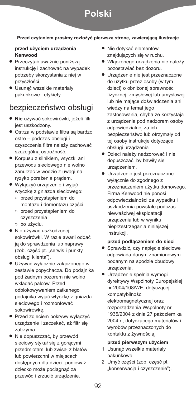# **Polski**

#### **Przed czytaniem prosimy roz¢o¯yç pierwszå stronë, zawierajåcå ilustracje**

#### **przed użyciem urządzenia Kenwood**

- **●** Przeczytać uważnie poniższą instrukcję i zachować na wypadek potrzeby skorzystania z niej w przyszłości.
- **●** Usunąć wszelkie materiały pakunkowe i etykiety.

## bezpieczeństwo obsługi

- **● Nie** używać sokowirówki, jeżeli filtr jest uszkodzony.
- **●** Ostrza w podstawie filtra są bardzo ostre – podczas obsługi i czyszczenia filtra należy zachować szczególną ostrożność.
- **●** Korpusu z silnikiem, wtyczki ani przewodu sieciowego nie wolno zanurzać w wodzie z uwagi na ryzyko porażenia prądem.
- **●** Wyłączyć urządzenie i wyjąć wtyczkę z gniazda sieciowego:
	- **●** przed przystąpieniem do montażu i demontażu części
	- **●** przed przystąpieniem do czyszczenia
	- **●** po użyciu.
- **●** Nie używać uszkodzonej sokowirówki. W razie awarii oddać ją do sprawdzenia lub naprawy (zob. część pt. "serwis i punkty obsługi klienta").
- **●** Używać wyłącznie załączonego w zestawie popychacza. Do podajnika pod żadnym pozorem nie wolno wkładać palców. Przed odblokowywaniem zatkanego podajnika wyjąć wtyczkę z gniazda sieciowego i rozmontować sokowirówkę.
- **●** Przed zdjęciem pokrywy wyłączyć urządzenie i zaczekać, aż filtr się zatrzyma.
- **●** Nie dopuszczać, by przewód sieciowy stykał się z gorącymi przedmiotami lub zwisał z blatów lub powierzchni w miejscach dostępnych dla dzieci, ponieważ dziecko może pociągnąć za przewód i zrzucić urządzenie.
- **●** Nie dotykać elementów znajdujących się w ruchu.
- **●** Włączonego urządzenia nie należy pozostawiać bez dozoru.
- **●** Urządzenie nie jest przeznaczone do użytku przez osoby (w tym dzieci) o obniżonej sprawności fizycznej, zmysłowej lub umysłowej lub nie mające doświadczenia ani wiedzy na temat jego zastosowania, chyba że korzystają z urządzenia pod nadzorem osoby odpowiedzialnej za ich bezpieczeństwo lub otrzymały od tej osoby instrukcje dotyczące obsługi urządzenia.
- **●** Dzieci należy nadzorować i nie dopuszczać, by bawiły się urządzeniem.
- **●** Urządzenie jest przeznaczone wyłącznie do zgodnego z przeznaczeniem użytku domowego. Firma Kenwood nie ponosi odpowiedzialności za wypadku i uszkodzenia powstałe podczas niewłaściwej eksploatacji urządzenia lub w wyniku nieprzestrzegania niniejszej instrukcji.

#### **przed podłączeniem do sieci**

- **●** Sprawdzić, czy napięcie sieciowe odpowiada danym znamionowym podanym na spodzie obudowy urządzenia.
- **●** Urządzenie spełnia wymogi dyrektywy Wspólnoty Europejskiej nr 2004/108/WE, dotyczącej kompatybilności elektromagnetycznej oraz rozporządzenia Wspólnoty nr 1935/2004 z dnia 27 października 2004 r., dotyczącego materiałów i wyrobów przeznaczonych do kontaktu z żywnością.

#### **przed pierwszym użyciem**

- 1 Usunąć wszelkie materiały pakunkowe.
- 2 Umyć części (zob. część pt. "konserwacja i czyszczenie").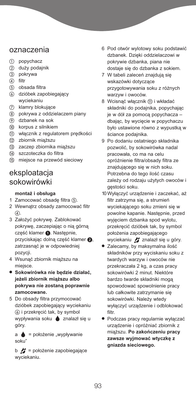### oznaczenia

- popychacz
- duży podajnik
- (3) pokrywa
- 4 filtr
- obsada filtra
- dzióbek zapobiegający wyciekaniu
- klamry blokujące
- pokrywa z oddzielaczem piany
- dzbanek na sok
- 10 korpus z silnikiem
- włącznik z regulatorem prędkości
- zbiornik miąższu
- zaczep zbiornika miąższu
- szczoteczka do filtra
- miejsce na przewód sieciowy

### eksploatacja sokowirówki

#### **montaż i obsługa**

- 1 Zamocować obsadę filtra (5).
- 2 Wewnątrz obsady zamocować filtr  $\mathcal{A}$ .
- 3 Założyć pokrywę. Zablokować pokrywę, zaczepiając o nią górną część klamer **O**. Następnie, przyciskając dolną część klamer  $\bullet$ , zatrzasnąć je w odpowiedniej pozycji.
- 4 Wsunąć zbiornik miąższu na miejsce.
- **● Sokowirówka nie będzie działać, jeżeli zbiornik miąższu albo pokrywa nie zostaną poprawnie zamocowane.**
- 5 Do obsady filtra przymocować dzióbek zapobiegający wyciekaniu i przekręcić tak, by symbol wypływania soku  $\bullet$  znalazł się u góry.

 $a \triangleq$  = położenie "wypływanie soku"

b  $\mathcal{L}$  = położenie zapobiegające wyciekaniu.

- 6 Pod otwór wylotowy soku podstawić dzbanek. Dzięki oddzielaczowi w pokrywie dzbanka, piana nie dostaje się do dzbanka z sokiem.
- 7 W tabeli zaleceń znajdują się wskazówki dotyczące przygotowywania soku z różnych warzyw i owoców.
- 8 Wcisnąć włącznik <sup>(1)</sup> i wkładać składniki do podajnika, popychając je w dół za pomocą popychacza – dbając, by wycięcie w popychaczu było ustawione równo z wypustką w ściance podajnika.
- 9 Po dodaniu ostatniego składnika pozwolić, by sokowirówka nadal pracowała, co ma na celu opróżnienie filtra/obsady filtra ze znajdującego się w nich soku. Potrzebna do tego ilość czasu zależy od rodzaju użytych owoców i gęstości soku.
- 10Wyłączyć urządzenie i zaczekać, aż filtr zatrzyma się, a strumień wyciekającego soku zmieni się w powolne kapanie. Następnie, przed wyjęciem dzbanka spod wylotu, przekręcić dzióbek tak, by symbol położenia zapobiegającego wyciekaniu / znalazł się u góry.
- **●** Zalecamy, by maksymalna ilość składników przy wyciskaniu soku z twardych warzyw i owoców nie przekraczała 2 kg, a czas pracy sokowirówki 2 minut. Niektóre bardzo twarde składniki mogą spowodować spowolnienie pracy lub całkowite zatrzymanie się sokowirówki. Należy wtedy wyłączyć urządzenie i odblokować filtr.
- **●** Podczas pracy regularnie wyłączać urządzenie i opróżniać zbiornik z miąższu. **Po zakończeniu pracy zawsze wyjmować wtyczkę z gniazda sieciowego.**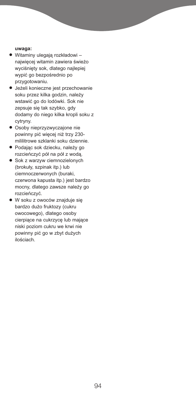#### **uwaga:**

- **●** Witaminy ulegają rozkładowi najwięcej witamin zawiera świeżo wyciśnięty sok, dlatego najlepiej wypić go bezpośrednio po przygotowaniu.
- **●** Jeżeli konieczne jest przechowanie soku przez kilka godzin, należy wstawić go do lodówki. Sok nie zepsuje się tak szybko, gdy dodamy do niego kilka kropli soku z cytryny.
- **●** Osoby nieprzyzwyczajone nie powinny pić więcej niż trzy 230 mililitrowe szklanki soku dziennie.
- **●** Podając sok dziecku, należy go rozcieńczyć pół na pół z wodą.
- **●** Sok z warzyw ciemnozielonych (brokuły, szpinak itp.) lub ciemnoczerwonych (buraki, czerwona kapusta itp.) jest bardzo mocny, dlatego zawsze należy go rozcieńczyć.
- **●** W soku z owoców znajduje się bardzo dużo fruktozy (cukru owocowego), dlatego osoby cierpiące na cukrzycę lub mające niski poziom cukru we krwi nie powinny pić go w zbyt dużych ilościach.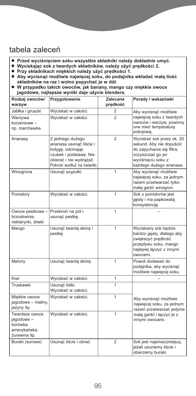# tabela zaleceń

- 
- 
- 
- Przed wyciśnięciem soku wszystkie składniki należy dokładnie umyć.<br>• Wyciskając sok z twardych składników, należy użyć prędkości 2.<br>• Przy składnikach miękkich należy użyć prędkości 1.<br>• Aby wycisnąć możliwie najwięcej
- · W przypadku takich owoców, jak banany, mango czy miękkie owoce **jagodowe, najlepsze wyniki daje użycie blendera.**

| Rodzaj owoców/<br>warzyw                                                | Przygotowanie                                                                                                                                        | Zalecana<br>prędkość | Porady i wskazówki                                                                                                                                      |  |
|-------------------------------------------------------------------------|------------------------------------------------------------------------------------------------------------------------------------------------------|----------------------|---------------------------------------------------------------------------------------------------------------------------------------------------------|--|
| Jabłka i gruszki                                                        | Wyciskać w całości.                                                                                                                                  | $\overline{2}$       | Aby wycisnąć możliwie                                                                                                                                   |  |
| Warzywa<br>korzeniowe -<br>np. marchewka                                | Wyciskać w całości.                                                                                                                                  | $\overline{2}$       | najwięcej soku z twardych<br>owoców i warzyw, powinny<br>one mieć temperature<br>pokojową.                                                              |  |
| Ananasy                                                                 | Z jednego dużego<br>ananasa usunać liście i<br>łodygę, odcinając<br>czubek i podstawę. Nie<br>obierać i nie wydrążać.<br>Pokroić wzdłuż na ćwiartki. | $\overline{2}$       | Wyciskać sok przez ok. 20<br>sekund. Aby nie dopuścić<br>do zapychania się filtra,<br>oczyszczać go po<br>wyciśnięciu soku z<br>każdego dużego ananasa. |  |
| Winogrona                                                               | Usunąć szypułki.                                                                                                                                     | 1                    | Aby wycisnąć możliwie<br>najwięcej soku, za jednym<br>razem przetwarzać tylko<br>małą garść winogron.                                                   |  |
| Pomidory                                                                | Wyciskać w całości.                                                                                                                                  | $\overline{1}$       | Sok z pomidorów jest<br>gęsty i ma papkowatą<br>konsystencję.                                                                                           |  |
| Owoce pestkowe -<br>brzoskwinie.<br>nektarynki, śliwki                  | Przekroić na pół i<br>usunąć pestkę.                                                                                                                 | 1                    |                                                                                                                                                         |  |
| Mango                                                                   | Usunąć twardą skórę i<br>pestke.                                                                                                                     | 1                    | Wyciskany sok będzie<br>bardzo gęsty, dlatego aby<br>zwiekszyć predkość<br>przepływu soku, mango<br>najlepiej łączyć z innymi<br>owocami.               |  |
| Melony                                                                  | Usunąć twardą skórę.                                                                                                                                 | 1                    | Powoli dodawać do<br>podajnika, aby wycisnąć<br>możliwie najwięcej soku.                                                                                |  |
| Kiwi                                                                    | Wyciskać w całości.                                                                                                                                  | 1                    |                                                                                                                                                         |  |
| Truskawki                                                               | Usunąć listki.<br>Wyciskać w całości.                                                                                                                | 1                    |                                                                                                                                                         |  |
| Miękkie owoce<br>jagodowe - maliny,<br>jeżyny itp.                      | Wyciskać w całości.                                                                                                                                  | $\mathbf{1}$         | Aby wycisnąć możliwie<br>najwięcej soku, za jednym<br>razem przetwarzać jedynie                                                                         |  |
| Twardsze owoce<br>jagodowe-<br>borówka<br>amerykańska,<br>żurawina itp. | Wyciskać w całości.                                                                                                                                  | 1                    | małą garść i łączyć je z<br>innymi owocami.                                                                                                             |  |
| Buraki (surowe)                                                         | Usunać liście i obrać.                                                                                                                               | $\overline{2}$       | Sok jest najsmaczniejszy,<br>jeżeli usuniemy liście i<br>obierzemy buraki.                                                                              |  |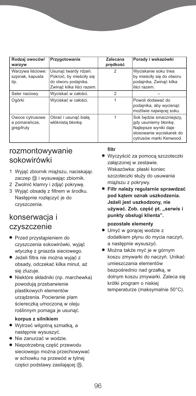| Rodzaj owoców/<br>warzyw                       | Przygotowanie                                                                                         | Zalecana<br>predkość | Porady i wskazówki                                                                                                               |
|------------------------------------------------|-------------------------------------------------------------------------------------------------------|----------------------|----------------------------------------------------------------------------------------------------------------------------------|
| Warzywa liściowe:<br>szpinak, kapusta<br>itp.  | Usunać twardy rdzeń.<br>Pokroić, by mieściły się<br>do otworu podajnika.<br>Zwinać kilka liści razem. | $\overline{2}$       | Wyciskanie soku trwa<br>by mieściły się do otworu<br>podajnika. Zwinąć kilka<br>liści razem.                                     |
| Seler naciowy                                  | Wyciskać w całości.                                                                                   | $\overline{2}$       |                                                                                                                                  |
| Ogórki                                         | Wyciskać w całości.                                                                                   | 1                    | Powoli dodawać do<br>podajnika, aby wycisnąć<br>możliwie najwięcej soku.                                                         |
| Owoce cytrusowe<br>a pomarańcze,<br>grejpfruty | Obrać i usunać biała<br>włóknista błonke.                                                             |                      | Sok bedzie smaczniejszy,<br>gdy usuniemy błonkę.<br>Najlepsze wyniki daje<br>stosowanie wyciskarek do<br>cytrusów marki Kenwood. |

### rozmontowywanie sokowirówki

- 1 Wyjąć zbiornik miąższu, naciskając zaczep (i3) i wysuwając zbiornik.
- 2 Zwolnić klamry i zdjąć pokrywę.
- 3 Wyjąć obsadę z filtrem w środku. Następnie rozłączyć je do czyszczenia.

# konserwacja i czyszczenie

- **●** Przed przystąpieniem do czyszczenia sokowirówki, wyjąć wtyczkę z gniazda sieciowego.
- **●** Jeżeli filtra nie można wyjąć z obsady, odczekać kilka minut, aż się zluzuje.
- **●** Niektóre składniki (np. marchewka) powodują przebarwienie plastikowych elementów urządzenia. Pocieranie plam ściereczką umoczoną w oleju roślinnym pomaga je usunąć.

#### **korpus z silnikiem**

- **●** Wytrzeć wilgotną szmatką, a następnie wysuszyć.
- **●** Nie zanurzać w wodzie.
- **●** Niepotrzebną część przewodu sieciowego można przechowywać w schowku na przewód w tylnej części podstawy zasilającej (15).

#### **filtr**

- **●** Wyczyścić za pomocą szczoteczki załączonej w zestawie. Wskazówka: płaski koniec szczoteczki służy do usuwania miąższu z pokrywy.
- **● Filtr należy regularnie sprawdzać pod kątem oznak uszkodzenia. Jeżeli jest uszkodzony, nie używać. Zob. część pt. "serwis i punkty obsługi klienta".**

#### **pozostałe elementy**

- **●** Umyć w gorącej wodzie z dodatkiem płynu do mycia naczyń, a następnie wysuszyć.
- **●** Można także myć je w górnym koszu zmywarki do naczyń. Unikać umieszczania elementów bezpośrednio nad grzałką, w dolnym koszu zmywarki. Zaleca się krótki program o niskiej temperaturze (maksymalnie 50°C).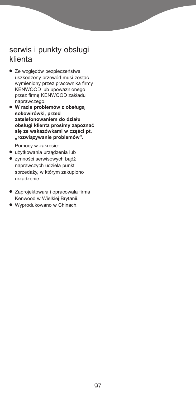# serwis i punkty obsługi klienta

- **●** Ze względów bezpieczeństwa uszkodzony przewód musi zostać wymieniony przez pracownika firmy KENWOOD lub upoważnionego przez firmę KENWOOD zakładu naprawczego.
- **● W razie problemów z obsługą sokowirówki, przed zatelefonowaniem do działu obsługi klienta prosimy zapoznać się ze wskazówkami w części pt. "rozwiązywanie problemów".**

Pomocy w zakresie:

- **●** użytkowania urządzenia lub
- **●** zynności serwisowych bądź naprawczych udziela punkt sprzedaży, w którym zakupiono urządzenie.
- **●** Zaprojektowała i opracowała firma Kenwood w Wielkiej Brytanii.
- **●** Wyprodukowano w Chinach.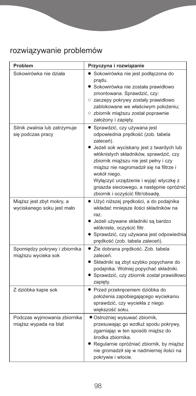# rozwiązywanie problemów

| Problem                                                 | Przyczyna i rozwiązanie                                                                                                                                                                                                                                                                                                                                                                               |
|---------------------------------------------------------|-------------------------------------------------------------------------------------------------------------------------------------------------------------------------------------------------------------------------------------------------------------------------------------------------------------------------------------------------------------------------------------------------------|
| Sokowirówka nie działa                                  | Sokowirówka nie jest podłączona do<br>prądu.<br>• Sokowirówka nie została prawidłowo<br>zmontowana. Sprawdzić, czy:<br>○ zaczepy pokrywy zostały prawidłowo<br>zablokowane we właściwym położeniu;<br>○ zbiornik miąższu został poprawnie<br>założony i zapięty.                                                                                                                                      |
| Silnik zwalnia lub zatrzymuje<br>się podczas pracy      | · Sprawdzić, czy używana jest<br>odpowiednia prędkość (zob. tabela<br>zaleceń).<br>• Jeżeli sok wyciskany jest z twardych lub<br>włóknistych składników, sprawdzić, czy<br>zbiornik miąższu nie jest pełny i czy<br>miąższ nie nagromadził się na filtrze i<br>wokół niego.<br>Wyłączyć urządzenie i wyjąć wtyczkę z<br>gniazda sieciowego, a następnie opróżnić<br>zbiornik i oczyścić filtr/obsadę. |
| Miąższ jest zbyt mokry, a<br>wyciskanego soku jest mało | • Użyć niższej prędkości, a do podajnika<br>wkładać mniejsze ilości składników na<br>raz.<br>• Jeżeli używane składniki są bardzo<br>włókniste, oczyścić filtr.<br>· Sprawdzić, czy używana jest odpowiednia<br>predkość (zob. tabela zaleceń).                                                                                                                                                       |
| Spomiędzy pokrywy i zbiornika<br>miąższu wycieka sok    | • Źle dobrana predkość. Zob. tabela<br>zaleceń.<br>• Składniki są zbyt szybko popychane do<br>podajnika. Wolniej popychać składniki.<br>Sprawdzić, czy zbiornik został prawidłowo<br>zapięty.                                                                                                                                                                                                         |
| Z dzióbka kapie sok                                     | • Przed przekręceniem dzióbka do<br>położenia zapobiegającego wyciekaniu<br>sprawdzić, czy wyciekła z niego<br>większość soku.                                                                                                                                                                                                                                                                        |
| Podczas wyjmowania zbiornika<br>miąższ wypada na blat   | · Ostrożniej wysuwać zbiornik,<br>przesuwając go wzdłuż spodu pokrywy,<br>zgarniając w ten sposób miąższ do<br>środka zbiornika.<br>Regularnie opróżniać zbiornik, by miąższ<br>nie gromadził się w nadmiernej ilości na<br>pokrywie i wlocie.                                                                                                                                                        |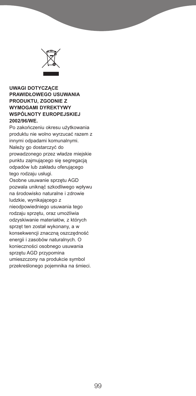

**UWAGI DOTYCZĄCE PRAWIDŁOWEGO USUWANIA PRODUKTU, ZGODNIE Z WYMOGAMI DYREKTYWY WSPÓLNOTY EUROPEJSKIEJ 2002/96/WE.**

Po zakończeniu okresu użytkowania produktu nie wolno wyrzucać razem z innymi odpadami komunalnymi. Należy go dostarczyć do prowadzonego przez władze miejskie punktu zajmującego się segregacją odpadów lub zakładu oferującego tego rodzaju usługi.

Osobne usuwanie sprzętu AGD pozwala uniknąć szkodliwego wpływu na środowisko naturalne i zdrowie ludzkie, wynikającego z nieodpowiedniego usuwania tego rodzaju sprzętu, oraz umożliwia odzyskiwanie materiałów, z których sprzęt ten został wykonany, a w konsekwencji znaczną oszczędność energii i zasobów naturalnych. O konieczności osobnego usuwania sprzętu AGD przypomina umieszczony na produkcie symbol przekreślonego pojemnika na śmieci.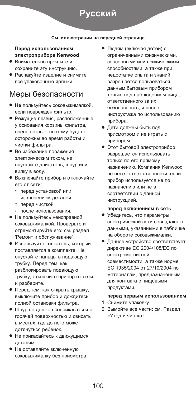# **Русский**

#### **См. иллюстраии на передней страние**

#### **Перед использованием электроприбора Kenwood**

- **●** Внимательно прочтите и сохраните эту инструкцию.
- **●** Распакуйте изделие и снимите все упаковочные ярлыки.

### Меры безопасности

- **● Не** пользуйтесь соковыжималкой, если поврежден фильтр.
- **●** Режущие лезвия, расположенные у основания корзины фильтра, очень острые, поэтому будьте осторожны во время работы и чистки фильтра.
- **●** Во избежание поражения электрическим током, не опускайте двигатель, шнур или вилку в воду.
- **●** Выключайте прибор и отключайте его от сети:
	- **●** перед установкой или извлечением деталей
	- **●** перед чисткой
	- **●** после использования.
- **●** Не пользуйтесь неисправной соковыжималкой. Проверьте и отремонтируйте его: см. раздел 'Ремонт и обслуживание'
- **●** Используйте толкатель, который поставляется в комплекте. Не опускайте пальцы в подающую трубку. Перед тем, как разблокировать подающую трубку, отключите прибор от сети и разберите.
- **●** Перед тем, как открыть крышку, выключите прибор и дождитесь полной остановки фильтра.
- **●** Шнур не должен соприкасаться с горячей поверхностью и свисать в местах, где до него может дотянуться ребенок.
- **●** Не прикасайтесь к движущимся деталям.
- **●** Не оставляйте включенную соковыжималку без присмотра.
- **●** Людям (включая детей) с ограниченными физическими, сенсорными или психическими способностями, а также при недостатке опыта и знаний разрешается пользоваться данным бытовым прибором только под наблюдением лица, ответственного за их безопасность, и после инструктажа по использованию прибора.
- **●** Дети должны быть под присмотром и не играть с прибором.
- **●** Этот бытовой электроприбор разрешается использовать только по его прямому назначению. Компания Kenwood не несет ответственности, если прибор используется не по назначению или не в соответствии с данной инструкцией.

#### **перед включением в сеть**

- **●** Убедитесь, что параметры электрической сети совпадают с данными, указанными в табличке на обороте соковыжималки.
- **●** Данное устройство соответствует директиве ЕС 2004/108/EC по электромагнитной совместимости, а также норме ЕС 1935/2004 от 27/10/2004 по материалам, предназначенным для контакта с пищевыми продуктами.

#### **перед первым использованием**

- 1 Снимите упаковку.
- 2 Вымойте все части: см. Раздел «Уход и чистка».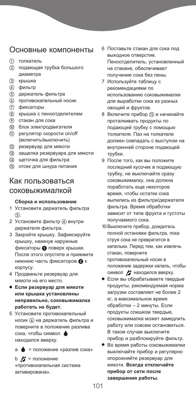### Основные компоненты

- толкатель
- подающая трубка большого диаметра
- крышка
- фильтр
- держатель фильтра
- противокапельный носик
- фиксаторы
- крышка с пеноотделителем
- стакан для сока
- блок электродвигателя
- регулятор скорости on/off (включить/выключить)
- (2) резервуар для мякоти
- защелка резервуара для мякоти
- щеточка для фильтра
- отсек для шнура питания

### Как пользоваться соковыжималкой

#### **Сборка и использование**

- 1 Установите держатель фильтра  $(5)$ .
- 2 Установите фильтр (4) внутри держателя фильтра.
- 3 Закройте крышку. Зафиксируйте крышку, накинув наружные фиксаторы • поверх крышки. После этого опустите и прижмите нижнюю часть фиксаторов  $\bullet$  к корпусу.
- 4 Продвиньте резервуар для мякоти на его место.
- **● Если резервуар для мякоти или крышка установлены неправильно, соковыжималка работать не будет.**
- 5 Установите противокапельный носик (6) на держатель фильтра и поверните в положение разлива сока, чтобы символ находился вверху.
	- a = положение «разлив сока»

 $b \rightarrow$  = положение «противокапельная система активирована».

- 6 Поставьте стакан для сока под выходное отверстие. Пеноотделитель, установленный на стакане, обеспечивает получение сока без пены.
- 7 Используйте таблицу с рекомендациями по использованию соковыжималки для выработки сока из разных овощей и фруктов.
- 8 Включите прибор (ii) и начинайте проталкивать продукты по подающей трубку с помощью толкателя. Паз на толкателе должен совпадать с выступом на внутренней стороне подающей трубки.
- 9 После того, как вы положите последний кусочек в подающую трубку, не выключайте сразу соковыжималку, она должна поработать еще некоторое время, чтобы остатки сока вылились из фильтра/держателя фильтра. Время обработки зависит от типа фрукта и густоты получаемого сока.
- 10Выключите прибор, дождитесь полной остановки фильтра, пока струя сока не превратится в капельки. Перед тем, как извлечь стакан, поверните противокапельный носик в положение задержки капель, чтобы символ  $\boldsymbol{\mathcal{L}}$  находился вверху.
- **●** Если вы обрабатываете твердые продукты, рекомендуемая норма загрузки составляет не более 2 кг, а максимальное время обработки – 2 минуты. Если продукты слишком твердые, соковыжималка может замедлить работу или совсем остановиться. В таком случае выключите прибор и разблокируйте фильтр.
- **●** Во время работы соковыжималки выключайте прибор и регулярно опорожняйте резервуар для мякоти. **Всегда отключайте прибор от сети после завершения работы.**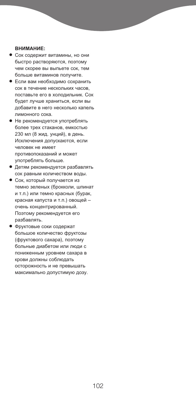#### **ВНИМАНИЕ:**

- **●** Сок содержит витамины, но они быстро растворяются, поэтому чем скорее вы выпьете сок, тем больше витаминов получите.
- **●** Если вам необходимо сохранить сок в течение нескольких часов, поставьте его в холодильник. Сок будет лучше храниться, если вы добавите в него несколько капель лимонного сока.
- **●** Не рекомендуется употреблять более трех стаканов, емкостью 230 мл (8 жид. унций), в день. Исключения допускаются, если человек не имеет противопоказаний и может употреблять больше.
- **●** Детям рекомендуется разбавлять сок равным количеством воды.
- **●** Сок, который получается из темно зеленых (брокколи, шпинат и т.п.) или темно красных (бурак, красная капуста и т.п.) овощей – очень концентрированный. Поэтому рекомендуется его разбавлять.
- **●** Фруктовые соки содержат большое количество фруктозы (фруктового сахара), поэтому больные диабетом или люди с пониженным уровнем сахара в крови должны соблюдать осторожность и не превышать максимально допустимую дозу.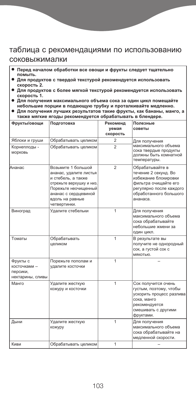### таблица с рекомендациями по использованию соковыжималки

- **● Перед началом обработки все овощи и фрукты следует тщательно помыть. ● Для продуктов <sup>с</sup> твердой текстурой рекомендуется использовать**
- **скорость 2. ● Для продуктов <sup>с</sup> более мягкой текстурой рекомендуется использовать**
- 
- **скорость 1. ● Для получения максимального объема сока за один цикл помещайте**
- Для получения лучших результатов такие фрукты, как бананы, манго, а **также мягкие ягоды рекомендуется обрабатывать в блендере.**

| Фрукты/овощи                                             | Подготовка                                                                                                                                                                        | Рекоменд<br>уемая | Полезные<br>советы                                                                                                                                       |
|----------------------------------------------------------|-----------------------------------------------------------------------------------------------------------------------------------------------------------------------------------|-------------------|----------------------------------------------------------------------------------------------------------------------------------------------------------|
|                                                          |                                                                                                                                                                                   | скорость          |                                                                                                                                                          |
| Яблоки и груши                                           | Обрабатывать целиком                                                                                                                                                              | 2                 | Для получения                                                                                                                                            |
| Корнеплоды -<br>морковь                                  | Обрабатывать целиком                                                                                                                                                              | $\mathfrak{p}$    | максимального объема<br>сока твердые продукты<br>должны быть комнатной<br>температуры.                                                                   |
| Ананас                                                   | Возьмите 1 большой<br>ананас, удалите листья<br>и стебель, а также<br>отрежьте верхушку и низ.<br>Порежьте неочищенный<br>ананас с сердцевиной<br>вдоль на равные<br>четвертинки. | $\overline{2}$    | Обрабатывайте в<br>течение 2 секунд. Во<br>избежание блокировки<br>фильтра очищайте его<br>регулярно после каждого<br>обработанного большого<br>ананаса. |
| Виноград                                                 | Удалите стебельки                                                                                                                                                                 | 1                 | Для получения<br>максимального объема<br>сока обрабатывайте<br>небольшие жмени за<br>ОДИН ЦИКЛ.                                                          |
| Томаты                                                   | Обрабатывать<br>целиком                                                                                                                                                           | 1                 | В результате вы<br>получите не однородный<br>сок, а густой сок с<br>мякотью.                                                                             |
| Фрукты с<br>косточками -<br>персики,<br>нектарины, сливы | Порежьте пополам и<br>удалите косточки                                                                                                                                            | 1                 |                                                                                                                                                          |
| Манго                                                    | Удалите жесткую<br>кожуру и косточки                                                                                                                                              | 1                 | Сок получится очень<br>густым, поэтому, чтобы<br>ускорить процесс разлива<br>сока, манго<br>рекомендуется<br>смешивать с другими<br>фруктами.            |
| Дыни                                                     | Удалите жесткую<br>кожуру                                                                                                                                                         | 1                 | Для получения<br>максимального объема<br>сока обрабатывайте на<br>медленной скорости.                                                                    |
| Киви                                                     | Обрабатывать целиком                                                                                                                                                              | 1                 |                                                                                                                                                          |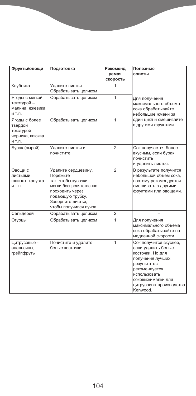| Фрукты/овощи                                                         | Подготовка                                                                                                                                                            | Рекоменд<br>уемая | Полезные<br>советы                                                                                                                                                                               |
|----------------------------------------------------------------------|-----------------------------------------------------------------------------------------------------------------------------------------------------------------------|-------------------|--------------------------------------------------------------------------------------------------------------------------------------------------------------------------------------------------|
|                                                                      |                                                                                                                                                                       | скорость          |                                                                                                                                                                                                  |
| Клубника                                                             | Удалите листья<br>Обрабатывать целиком                                                                                                                                | 1                 |                                                                                                                                                                                                  |
| Ягоды с мягкой<br>текстурой -<br>малина, ежевика<br>и т.п.           | Обрабатывать целиком                                                                                                                                                  | $\mathbf{1}$      | Для получения<br>максимального объема<br>сока обрабатывайте<br>небольшие жмени за                                                                                                                |
| Ягоды с более<br>твердой<br>текстурой -<br>черника, клюква<br>и т.п. | Обрабатывать целиком                                                                                                                                                  | $\mathbf{1}$      | один цикл и смешивайте<br>с другими фруктами.                                                                                                                                                    |
| Бурак (сырой)                                                        | Удалите листья и<br>почистите                                                                                                                                         | $\overline{2}$    | Сок получается более<br>вкусным, если бурак<br>почистить<br>и удалить листья.                                                                                                                    |
| Овощи с<br>ЛИСТЬЯМИ<br>шпинат, капуста<br>и т.п.                     | Удалите сердцевину.<br>Порежьте<br>так, чтобы кусочки<br>могли беспрепятственно<br>проходить через<br>подающую трубку.<br>Заверните листья,<br>чтобы получился пучок. | $\overline{2}$    | В результате получится<br>небольшой объем сока,<br>поэтому рекомендуется<br>смешивать с другими<br>фруктами или овощами.                                                                         |
| Сельдерей                                                            | Обрабатывать целиком                                                                                                                                                  | $\overline{2}$    |                                                                                                                                                                                                  |
| Огурцы                                                               | Обрабатывать целиком                                                                                                                                                  | 1                 | Для получения<br>максимального объема<br>сока обрабатывайте на<br>медленной скорости.                                                                                                            |
| Цитрусовые -<br>апельсины,<br>грейпфруты                             | Почистите и удалите<br>белые косточки                                                                                                                                 | 1                 | Сок получится вкуснее,<br>если удалить белые<br>косточки. Но для<br>получения лучших<br>результатов<br>рекомендуется<br>использовать<br>соковыжималки для<br>цитрусовых производства<br>Kenwood. |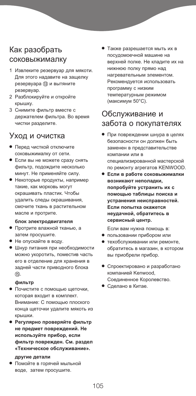## Как разобрать соковыжималку

- 1 Извлеките резервуар для мякоти. Для этого надавите на защелку резервуара (3) и вытяните резервуар.
- 2 Разблокируйте и откройте крышку.
- 3 Снимите фильтр вместе с держателем фильтра. Во время чистки разделите.

### Уход и очистка

- **●** Перед чисткой отключите соковыжималку от сети.
- **●** Если вы не можете сразу снять фильтр, подождите несколько минут. Не применяйте силу.
- **●** Некоторые продукты, например такие, как морковь могут окрашивать пластик. Чтобы удалить следы окрашивания, смочите ткань в растительном масле и протрите.

#### **блок электродвигателя**

- **●** Протрите влажной тканью, а затем просушите.
- **●** Не опускайте в воду.
- **●** Шнур питания при необходимости можно укоротить, поместив часть его в отделение для хранения в задней части приводного блока  $(15)$ .

#### **фильтр**

- **●** Почистите с помощью щеточки, которая входит в комплект. Внимание: С помощью плоского конца щеточки удалите мякоть из крышки.
- **● Регулярно проверяйте фильтр не предмет повреждений. Не используйте прибор, если фильтр поврежден. См. раздел «Техническое обслуживание».**

#### **другие детали**

**●** Помойте в горячей мыльной воде, затем просушите.

**●** Также разрешается мыть их в посудомоечной машине на верхней полке. Не кладите их на нижнюю полку прямо над нагревательным элементом. Рекомендуется использовать программу с низким температурным режимом (максимум 50°C).

### Обслуживание и забота о покупателях

- **●** При повреждении шнура в целях безопасности он должен быть заменен в представительстве компании или в специализированной мастерской по ремонту агрегатов KENWOOD.
- **● Если в работе соковыжималки возникают неполадки, попробуйте устранить их с помощью таблицы поиска и устранения неисправностей. Если попытка окажется неудачной, обратитесь в сервисный центр.**

Если вам нужна помощь в:

- **●** пользовании прибором или
- **●** техобслуживании или ремонте, обратитесь в магазин, в котором вы приобрели прибор.
- **●** Спроектировано и разработано компанией Kenwood, Соединенное Королевство.
- **●** Сделано в Китае.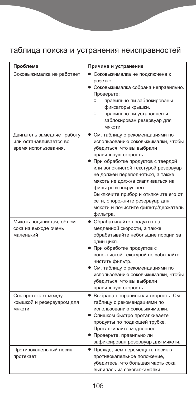# таблица поиска и устранения неисправностей

| Проблема                                                                     | Причина и устранение                                                                                                                                                                                                                                                                                                                                                                                                                     |
|------------------------------------------------------------------------------|------------------------------------------------------------------------------------------------------------------------------------------------------------------------------------------------------------------------------------------------------------------------------------------------------------------------------------------------------------------------------------------------------------------------------------------|
| Соковыжималка не работает                                                    | • Соковыжималка не подключена к<br>розетке.<br>• Соковыжималка собрана неправильно.<br>Проверьте:<br>правильно ли заблокированы<br>$\circ$<br>фиксаторы крышки.<br>$\circ$<br>правильно ли установлен и<br>заблокирован резервуар для<br>мякоти.                                                                                                                                                                                         |
| Двигатель замедляет работу<br>или останавливается во<br>время использования. | • См. таблицу с рекомендациями по<br>использованию соковыжималки, чтобы<br>убедиться, что вы выбрали<br>правильную скорость.<br>• При обработке продуктов с твердой<br>или волокнистой текстурой резервуар<br>не должен переполняться, а также<br>мякоть не должна скапливаться на<br>фильтре и вокруг него.<br>Выключите прибор и отключите его от<br>сети, опорожните резервуар для<br>мякоти и почистите фильтр/держатель<br>фильтра. |
| Мякоть водянистая, объем<br>сока на выходе очень<br>маленький                | • Обрабатывайте продукты на<br>медленной скорости, а также<br>обрабатывайте небольшие порции за<br>один цикл.<br>• При обработке продуктов с<br>волокнистой текстурой не забывайте<br>чистить фильтр.<br>• См. таблицу с рекомендациями по<br>использованию соковыжималки, чтобы<br>убедиться, что вы выбрали<br>правильную скорость.                                                                                                    |
| Сок протекает между<br>крышкой и резервуаром для<br>мякоти                   | • Выбрана неправильная скорость. См.<br>таблицу с рекомендациями по<br>использованию соковыжималки.<br>• Слишком быстро проталкиваете<br>продукты по подающей трубке.<br>Проталкивайте медленнее.<br>• Проверьте, правильно ли<br>зафиксирован резервуар для мякоти.                                                                                                                                                                     |
| Противокапельный носик<br>протекает                                          | • Прежде, чем перемещать носик в<br>противокапельное положение,<br>убедитесь, что большая часть сока<br>вылилась из соковыжималки.                                                                                                                                                                                                                                                                                                       |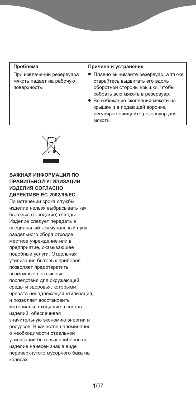| Проблема                                                              | Причина и устранение                                                                                                                                                                                                                                               |
|-----------------------------------------------------------------------|--------------------------------------------------------------------------------------------------------------------------------------------------------------------------------------------------------------------------------------------------------------------|
| При извлечении резервуара<br>мякоть падает на рабочую<br>поверхность. | • Плавно вынимайте резервуар, а также<br>старайтесь выдвигать его вдоль<br>оборотной стороны крышки, чтобы<br>собрать всю мякоть в резервуар.<br>• Во избежание скопления мякоти на<br>крышке и в подающей воронке,<br>регулярно очищайте резервуар для<br>мякоти. |



#### **ВАЖНАЯ ИНФОРМАЦИЯ ПО ПРАВИЛЬНОЙ УТИЛИЗАЦИИ ИЗДЕЛИЯ СОГЛАСНО ДИРЕКТИВЕ ЕС 2002/96/EC.**

По истечении срока службы изделие нельзя выбрасывать как бытовые (городские) отходы. Изделие следует передать в специальный коммунальный пункт раздельного сбора отходов, местное учреждение или в предприятие, оказывающее подобные услуги. Отдельная утилизация бытовых приборов позволяет предотвратить возможные негативные последствия для окружающей среды и здоровья, которыми чревата ненадлежащая утилизация, и позволяет восстановить материалы, входящие в состав изделий, обеспечивая значительную экономию энергии и ресурсов. В качестве напоминания о необходимости отдельной утилизации бытовых приборов на изделие нанесен знак в виде перечеркнутого мусорного бака на колесах.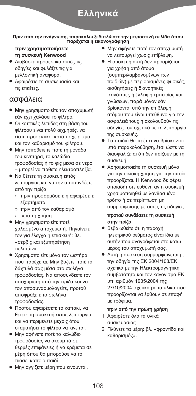# <u>Ελληνι</u>κά

#### <u>Πριν από την ανάγνωση, παρακαλώ ξεδιπλώστε την μπροστινή σελίδα όπου<br>Παρέχεται η εικονογράφηση</u> παρέχεται η εικονογράφηση

**πριν χρησιμοποιήσετε sg rtrjet Kenwood**

- **Διαβάστε προσεκτικά αυτές τις** οδηγίες και φυλάξτε τις για μελλοντική αναφορά.
- <sup>●</sup> Αφαιρέστε τη συσκευασία και τις ετικέτες.

### ασφάλεια

- **●** Μην χρησιμοποιείτε τον αποχυμωτή εάν έχει χαλάσει το φίλτρο.
- **●** Οι κοπτικές λεπίδες στη βάση του φίλτρου είναι πολύ αιχμηρές, να είστε προσεκτικοί κατά το χειρισμό και τον καθαρισμό του φίλτρου.
- **●** Μην τοποθετείτε ποτέ τη μονάδα του κινητήρα, το καλώδιο τροφοδοσίας ή το φις μέσα σε νερό – μπορεί να πάθετε ηλεκτροπληξία.
- **●** Να θέτετε τη συσκευή εκτός λειτουργίας και να την αποσυνδέετε από την πρίζα:
	- **●** πριν προσαρμόσετε ή αφαιρέσετε εξαρτήματα
	- **●** πριν από τον καθαρισμό
	- **●** μετά τη χρήση.
- **●** Μην χρησιμοποιείτε ποτέ χαλασμένο αποχυμωτή. Πηγαίνετέ τον για έλεγχο ή επισκευή: βλ. «σέρβις και εξυπηρέτηση πελατών».
- **●** Χρησιμοποιείτε μόνο τον ωστήρα που παρέχεται. Μην βάζετε ποτέ τα δάχτυλά σας μέσα στο σωλήνα τροφοδοσίας. Να αποσυνδέετε τον αποχυμωτή από την πρίζα και να τον αποσυναρμολογείτε, προτού αποφράξετε το σωλήνα τροφοδοσίας.
- **●** Προτού αφαιρέσετε το καπάκι, να θέτετε τη συσκευή εκτός λειτουργία και να περιμένετε μέχρις ότου σταματήσει το φίλτρο να κινείται.
- **●** Μην αφήνετε ποτέ το καλώδιο τροφοδοσίας να ακουμπά σε θερμές επιφάνειες ή να κρέμεται σε μέρη όπου θα μπορούσε να το πιάσει κάποιο παιδί.
- **●** Μην αγγίζετε μέρη που κινούνται.
- **●** Μην αφήνετε ποτέ τον αποχυμωτή να λειτουργεί χωρίς επίβλεψη.
- **•** Η συσκευή αυτή δεν προορίζεται για χρήση από άτομα (συμπεριλαμβανομένων των παιδιών) με περιορισμένες φυσικές, αισθητήριες ή διανοητικές ικανότητες ή έλλειψη εμπειρίας και ννώσεων, παρά μόνον εάν βρίσκονται υπό την επίβλεψη ατόμου που είναι υπεύθυνο για την ασφάλειά τους ή ακολουθούν τις οδηγίες του σχετικά με τη λειτουργία της συσκευής.
- **●** Τα παιδιά θα πρέπει να βρίσκονται υπό παρακολούθηση, έτσι ώστε να διασφαλίζεται ότι δεν παίζουν με τη συσκευή.
- **Χρησιμοποιείτε τη συσκευή μόνο** για την οικιακή χρήση για την οποία προορίζεται. Η Kenwood δε φέρει οποιαδήποτε ευθύνη αν η συσκευή χρησιμοποιηθεί με λανθασμένο τρόπο ή σε περίπτωση μη συμμόρφωσης με αυτές τις οδηγίες.

#### προτού συνδέσετε τη συσκευή στην πρίζα

- **●** Βεβαιωθείτε ότι η παροχή ηλεκτρικού ρεύματος είναι ίδια με αυτήν που αναγράφεται στο κάτω μέρος του αποχυμωτή σας.
- **•** Αυτή η συσκευή συμμορφώνεται με την οδηγία της ΕΚ 2004/108/ΕΚ σχετικά με την Ηλεκτρομαγνητική συμβατότητα και τον κανονισμό ΕΚ υπ' αριθμόν 1935/2004 της 27/10/2004 σχετικά με τα υλικά που προορίζονται να έρθουν σε επαφή με τρόφιμα.

#### πριν από την πρώτη χρήση

- 1 Αφαιρέστε όλα τα υλικά συσκευασίας.
- 2 Πλύνετε τα μέρη: βλ. «φροντίδα και καθαρισμός».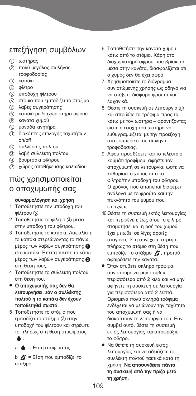## επεξήγηση συμβόλων

- ωστήρας
- πολύ μεγάλος σωλήνας τροφοδοσίας
- καπάκι
- φίλτρο
- υποδοχή φίλτρου
- στόμιο που εμποδίζει το στάξιμο
- λαβές συγκράτησης
- καπάκι με διαχωριστήρα αφρού
- κανάτα χυμού
- μονάδα κινητήρα
- διακόπτης επιλογής ταχυτήτων on/off
- συλλέκτης πολτού
- λαβή συλλέκτη πολτού
- βουρτσάκι φίλτρου
- (i5) χώρος αποθήκευσης καλωδίου

## πώς χρησιμοποιείται

ο αποχυμωτής σας

#### συναρμολόγηση και χρήση

- 1 Τοποθετήστε την υποδοχή του φίλτρου (5).
- 2 Τοποθετήστε το φίλτρο (4) μέσα στην υποδοχή του φίλτρου.
- 3 Τοποθετήστε το καπάκι. Ασφαλίστε το καπάκι στερεώνοντας το πάνω μέρος των λαβών συγκράτησης **Ο** στο καπάκι. Έπειτα πιέστε το κάτω μέρος των λαβών συγκράτησης στη θέση τους.
- 4 Τοποθετήστε το συλλέκτη πολτού στη θέση του.
- **●** Ο αποχυμωτής σας δεν θα λειτουργήσει, εάν ο συλλέκτης πολτού ή το καπάκι δεν έχουν τοποθετηθεί σωστά.
- 5 Τοποθετήστε το στόμιο που εμποδίζει το στάξιμο (6) στην υποδοχή του φίλτρου και στρέψτε το πλήρως στη θέση στυψίματος .
	- $a \triangleq 0$  = θέση στυψίματος

b  $\mathcal{L} = \theta$ έση που εμποδίζει το στάξιμο.

- 6 Τοποθετήστε την κανάτα χυμού κάτω από το στόμιο. Χάρη στο διαχωριστήρα αφρού που βρίσκεται μέσα στην κανάτα, διασφαλίζεται ότι ο χυμός δεν θα έχει αφρό.
- 7 Χρησιμοποιείτε το διάγραμμα συνιστώμενης χρήσης ως οδηγό για να στύβετε διάφορα φρούτα και λαχανικά.
- 8 Θέστε τη συσκευή σε λειτουργία και σπρώξτε τα τρόφιμα προς τα κάτω με τον ωστήρα – φροντίζοντας ώστε η εσοχή του ωστήρα να ευθυγραμμίζεται με την προεξοχή στο εσωτερικό του σωλήνα τροφοδοσίας.
- 9 Αφού προσθέσετε και το τελευταίο κομμάτι τροφίμου, αφήστε τον αποχυμωτή σε λειτουργία, ώστε να καθαρίσει ο χυμός από το φίλτρο/την υποδοχή του φίλτρου. Ο χρόνος που απαιτείται διαφέρει ανάλογα με το φρούτο και την πυκνότητα του χυμού που φτιάχνετε.
- 10Θέστε τη συσκευή εκτός λειτουργίας και περιμένετε έως ότου το φίλτρο σταματήσει και η ροή του χυμού έχει μειωθεί σε λίγες αραιές σταγόνες. Στη συνέχεια, στρέψτε πλήρως το στόμιο στη θέση που εμποδίζει το στάξιμο , προτού αφαιρέσετε την κανάτα.
- **●** Όταν στύβετε σκληρά τρόφιμα, συνιστούμε να μην στύβετε περισσότερα από 2 κιλά και να μην αφήνετε τη συσκευή σε λειτουργία για περισσότερο από 2 λεπτά. Ορισμένα πολύ σκληρά τρόφιμα ενδέχεται να μειώνουν την ταχύτητα του αποχυμωτή σας ή να διακόπτουν τη λειτουργία του. Εάν συμβεί αυτό, θέστε τη συσκευή εκτός λειτουργίας και αποφράξτε το φίλτρο.
- **●** Να θέτετε τη συσκευή εκτός λειτουργίας και να αδειάζετε το συλλέκτη πολτού τακτικά κατά τη χρήση. Να αποσυνδέετε πάντα τη συσκευή από την πρίζα μετά τη χρήση.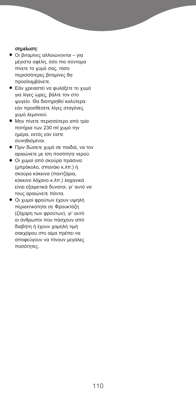#### σημείωση:

- **●** Οι βιταμίνες αλλοιώνονται για μέγιστα οφέλη, όσο πιο σύντομα πίνετε το χυμό σας, τόσο περισσότερες βιταμίνες θα προσλαμβάνετε.
- **●** Εάν χρειαστεί να φυλάξετε το χυμό για λίγες ώρες, βάλτε τον στο ψυγείο. Θα διατηρηθεί καλύτερα εάν προσθέσετε λίγες σταγόνες χυμό λεμονιού.
- **●** Μην πίνετε περισσότερο από τρία ποτήρια των 230 ml χυμό την ημέρα, εκτός εάν είστε συνηθισμένοι.
- **●** Πριν δώσετε χυμό σε παιδιά, να τον αραιώνετε με ίση ποσότητα νερού.
- **●** Οι χυμοί από σκούρα πράσινα (μπρόκολο, σπανάκι κ.λπ.) ή σκούρα κόκκινα (παντζάρια, κόκκινο λάχανο κ.λπ.) λαχανικά είναι εξαιρετικά δυνατοί, γι' αυτό να τους αραιώνετε πάντα.
- **●** Οι χυμοί φρούτων έχουν υψηλή περιεκτικότητα σε Φρουκτόζη (ζάχαρη των φρούτων), γι' αυτό οι άνθρωποι που πάσχουν από διαβήτη ή έχουν χαμηλή τιμή σακχάρου στο αίμα πρέπει να αποφεύγουν να πίνουν μεγάλες ποσότητες.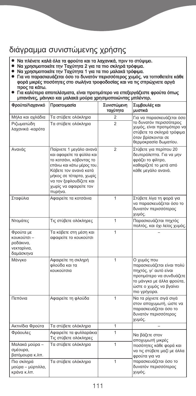# διάγραμμα συνιστώμενης χρήσης

- 
- 
- 
- Να πλένετε καλά όλα τα φρούτα και τα λαχανικά, πριν το στύψιμο.<br>● Να χρησιμοποιείτε την Ταχύτητα 2 για τα πιο σκληρά τρόφιμα.<br>● Να χρησιμοποιείτε την Ταχύτητα 1 για τα πιο μαλακά τρόφιμα.<br>● Για να παρασκευάζεται όσο το φορά μικρές ποσότητες στο σωλήνα τροφοδοσίας και να τις σπρώχνετε αργά<br>προς τα κάτω.
- προς τα κάτω. **●** Για καλύτερα αποτελέσματα, είναι προτιμότερο να επεξεργάζεστε φρούτα όπως μπανάνες, μάνγκο και μαλακά μούρα χρησιμοποιώντας μπλέντερ.

| Φρούτο/Λαχανικό                                                   | Προετοιμασία                                                                                                                                                                                                                      | Συνιστώμενη<br>ταχύτητα | Συμβουλές και<br>μυστικά                                                                                                                                                |  |
|-------------------------------------------------------------------|-----------------------------------------------------------------------------------------------------------------------------------------------------------------------------------------------------------------------------------|-------------------------|-------------------------------------------------------------------------------------------------------------------------------------------------------------------------|--|
| Μήλα και αχλάδια                                                  | Τα στύβετε ολόκληρα                                                                                                                                                                                                               | 2                       | Για να παρασκευάζεται όσο                                                                                                                                               |  |
| Ριζωματώδη<br>λαχανικά -καρότα                                    | Τα στύβετε ολόκληρα                                                                                                                                                                                                               | $\overline{2}$          | το δυνατόν περισσότερος<br>χυμός, είναι προτιμότερο να<br>στύβετε τα σκληρά τρόφιμα<br>όταν βρίσκονται σε<br>θερμοκρασία δωματίου.                                      |  |
| Ανανάς                                                            | Παίρνετε 1 μεγάλο ανανά<br>και αφαιρείτε τα φύλλα και<br>το κοτσάνι, κόβοντας το<br>επάνω και κάτω μέρος του.<br>Κόβετε τον ανανά κατά<br>μήκος σε τέταρτα, χωρίς<br>να τον ξεφλουδίζετε και<br>χωρίς να αφαιρείτε τον<br>πυρήνα. | $\overline{2}$          | Στύβετε για περίπου 20<br>δευτερόλεπτα. Για να μην<br>φράζει το φίλτρο,<br>καθαρίζετέ το μετά από<br>κάθε μεγάλο ανανά.                                                 |  |
| Σταφύλια                                                          | Αφαιρείτε τα κοτσάνια                                                                                                                                                                                                             | 1                       | Στύβετε λίγα τη φορά για<br>να παρασκευάζεται όσο το<br>δυνατόν περισσότερος<br>χυμός.                                                                                  |  |
| Ντομάτες                                                          | Τις στύβετε ολόκληρες                                                                                                                                                                                                             | $\mathbf{1}$            | Παρασκευάζεται πηχτός<br>πολτός, και όχι λείος χυμός.                                                                                                                   |  |
| Φρούτα με<br>κουκούτσι –<br>ροδάκινα,<br>νεκταρίνια,<br>δαμάσκηνα | Τα κόβετε στη μέση και<br>αφαιρείτε το κουκούτσι                                                                                                                                                                                  | 1                       |                                                                                                                                                                         |  |
| Μάνγκο                                                            | Αφαιρείτε τη σκληρή<br>φλούδα και τα<br>κουκούτσια                                                                                                                                                                                | 1                       | Ο χυμός που<br>παρασκευάζεται είναι πολύ<br>πηχτός, γι' αυτό είναι<br>προτιμότερο να συνδυάζετε<br>το μάνγκο με άλλα φρούτα,<br>ώστε ο χυμός να βγαίνει<br>πιο γρήγορα. |  |
| Πεπόνια                                                           | Αφαιρείτε τη φλούδα                                                                                                                                                                                                               | 1                       | Να τα ρίχνετε σιγά σιγά<br>στον αποχυμωτή, ώστε να<br>παρασκευάζεται όσο το<br>δυνατόν περισσότερος<br>χυμός.                                                           |  |
| Ακτινίδια Φρούτα                                                  | Τα στύβετε ολόκληρα                                                                                                                                                                                                               | 1                       |                                                                                                                                                                         |  |
| Φράουλες                                                          | Αφαιρείτε τα φυλλαράκια<br>Τις στύβετε ολόκληρες                                                                                                                                                                                  | 1                       | Να βάζετε στον<br>αποχυμωτή μικρές                                                                                                                                      |  |
| Μαλακά μούρα –<br>σμέουρα,<br>βατόμουρα κ.λπ.                     | Τα στύβετε ολόκληρα                                                                                                                                                                                                               | 1                       | ποσότητες κάθε φορά και<br>να τις στύβετε μαζί με άλλα<br>φρούτα για να                                                                                                 |  |
| Πιο σκληρά<br>μούρα – μύρτιλλα,<br>κράνα κ.λπ.                    | Τα στύβετε ολόκληρα                                                                                                                                                                                                               | 1                       | παρασκευάζεται όσο το<br>δυνατόν περισσότερος<br>χυμός.                                                                                                                 |  |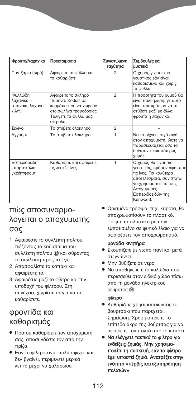| Φρούτο/Λαχανικό                                                    | Προετοιμασία                                                                                                                        | Συνιστώμενη<br>ταχύτητα | Συμβουλές και<br>μυστικά                                                                                                                                                           |
|--------------------------------------------------------------------|-------------------------------------------------------------------------------------------------------------------------------------|-------------------------|------------------------------------------------------------------------------------------------------------------------------------------------------------------------------------|
| Παντζάρια (ωμά)                                                    | Αφαιρείτε τα φύλλα και<br>τα καθαρίζετε                                                                                             | $\mathfrak{p}$          | Ο χυμός γίνεται πιο<br>γευστικός εάν είναι<br>καθαρισμένα και χωρίς<br>τα φύλλα.                                                                                                   |
| Φυλλώδη<br>λαχανικά –<br>σπανάκι, λάχανο<br>$\kappa \lambda \pi$ . | Αφαιρείτε το σκληρό<br>πυρήνα. Κόβετε σε<br>κομμάτια που να χωρούν<br>στο σωλήνα τροφοδοσίας.<br>Τυλίγετε τα φύλλα μαζί<br>σε ρολό. | $\overline{2}$          | Η ποσότητα του χυμού θα<br>είναι πολύ μικρή, γι' αυτό<br>είναι προτιμότερο να τα<br>στύβετε μαζί με άλλα<br>φρούτα ή λαχανικά.                                                     |
| Σέλινο                                                             | Το στύβετε ολόκληρο                                                                                                                 | $\overline{2}$          |                                                                                                                                                                                    |
| Αγγούρι                                                            | Το στύβετε ολόκληρο                                                                                                                 | 1                       | Να το ρίχνετε σιγά σιγά<br>στον αποχυμωτή, ώστε να<br>παρασκευάζεται όσο το<br>δυνατόν περισσότερος<br>χυμός.                                                                      |
| Εσπεριδοειδή<br>-πορτοκάλια,<br>γκρέιπφρουτ                        | Καθαρίζετε και αφαιρείτε<br>τις λευκές ίνες                                                                                         | 1                       | Ο χυμός θα είναι πιο<br>γευστικός, εφόσον αφαιρείτε<br>τις ίνες. Για καλύτερα<br>αποτελέσματα, συνιστάται<br>να χρησιμοποιείτε τους<br>Αποχυμωτές<br>Εσπεριδοειδών της<br>Kenwood. |

## πώς αποσυναρμολογείται ο αποχυμωτής σας

- 1 Αφαιρέστε το συλλέκτη πολτού, πιέζοντας το κούμπωμα του συλλέκτη πολτού (3) και σύροντας το συλλέκτη προς τα έξω.
- 2 Απασφαλίστε το καπάκι και αφαιρέστε το.
- 3 Αφαιρέστε μαζί το φίλτρο και την υποδοχή του φίλτρου. Στη συνέχεια, χωρίστε τα για να τα καθαρίσετε.

## φροντίδα και καθαρισμός

- **●** Προτού καθαρίσετε τον αποχυμωτή σας, αποσυνδέστε τον από την πρίζα.
- **●** Εάν το φίλτρο είναι πολύ σφιχτό και δεν βγαίνει, περιμένετε μερικά λεπτά μέχρι να χαλαρώσει.

**●** Ορισμένα τρόφιμα, π.χ. καρότα, θα αποχρωματίσουν το πλαστικό. Τρίψτε το πλαστικό με πανί εμποτισμένο σε φυτικό έλαιο για να αφαιρέσετε τον αποχρωματισμό.

#### μονάδα κινητήρα

- **●** Σκουπίζετε με νωπό πανί και μετά στεγνώνετε.
- **●** Μην βυθίζετε σε νερό.
- **•** Να αποθηκεύετε το καλώδιο που περισσεύει στον ειδικό χώρο πίσω από τη μονάδα ηλεκτρικού ρεύματος (15).

#### φίλτρο

- **●** Καθαρίζετε χρησιμοποιώντας το βουρτσάκι που παρέχεται. Σημείωση: Χρησιμοποιείτε το επίπεδο άκρο της βούρτσας για να αφαιρείτε τον πολτό από το καπάκι.
- **●** Να ελέγχετε τακτικά το φίλτρο για ενδείξεις ζημιάς. Μην χρησιμοποιείτε τη συσκευή, εάν το φίλτρο έχει υποστεί ζημιά. Ανατρέξτε στην ενότητα «σέρβις και εξυπηρέτηση πελατών»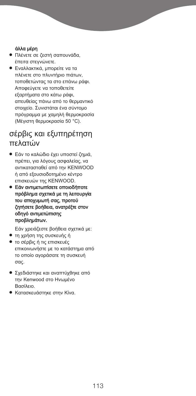#### άλλα μέρη

- **●** Πλένετε σε ζεστή σαπουνάδα, έπειτα στεγνώνετε.
- **●** Εναλλακτικά, μπορείτε να τα πλένετε στο πλυντήριο πιάτων, τοποθετώντας τα στο επάνω ράφι. Αποφεύγετε να τοποθετείτε εξαρτήματα στο κάτω ράφι, απευθείας πάνω από το θερμαντικό στοιχείο. Συνιστάται ένα σύντομο πρόγραμμα με χαμηλή θερμοκρασία (Μέγιστη θερμοκρασία 50 °C).

### σέρβις και εξυπηρέτηση πελατών

- **•** Εάν το καλώδιο έχει υποστεί ζημιά, πρέπει, για λόγους ασφαλείας, να αντικατασταθεί από την KENWOOD ή από εξουσιοδοτημένο κέντρο επισκευών της KENWOOD.
- **●** Εάν αντιμετωπίσετε οποιοδήποτε πρόβλημα σχετικά με τη λειτουργία του αποχυμωτή σας, προτού ζητήσετε βοήθεια, ανατρέξτε στον οδηγό αντιμετώπισης προβλημάτων.

Εάν χρειάζεστε βοήθεια σχετικά με:

- **•** τη χρήση της συσκευής ή
- **•** Το σέρβις ή τις επισκευές επικοινωνήστε με το κατάστημα από το οποίο αγοράσατε τη συσκευή σας.
- **Σχεδιάστηκε και αναπτύχθηκε από** την Kenwood στο Ηνωμένο Βασίλειο.
- **Κατασκευάστηκε στην Κίνα.**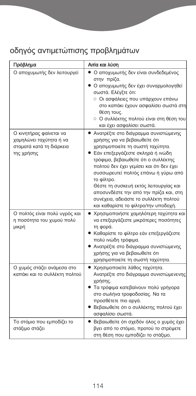# οδηγός αντιμετώπισης προβλημάτων

| Πρόβλημα                                                                                     | Αιτία και λύση                                                                                                                                                                                                                                                                                                                                                                                                                                                   |
|----------------------------------------------------------------------------------------------|------------------------------------------------------------------------------------------------------------------------------------------------------------------------------------------------------------------------------------------------------------------------------------------------------------------------------------------------------------------------------------------------------------------------------------------------------------------|
| Ο αποχυμωτής δεν λειτουργεί                                                                  | • Ο αποχυμωτής δεν είναι συνδεδεμένος<br>στην πρίζα.<br>● Ο αποχυμωτής δεν έχει συναρμολογηθεί<br>σωστά. Ελέγξτε ότι:<br>○ Οι ασφάλειες που υπάρχουν επάνω<br>στο καπάκι έχουν ασφαλίσει σωστά στη<br>θέση τους.<br>Ο Ο συλλέκτης πολτού είναι στη θέση του<br>και έχει ασφαλίσει σωστά.                                                                                                                                                                         |
| Ο κινητήρας φαίνεται να<br>χαμηλώνει ταχύτητα ή να<br>σταματά κατά τη διάρκεια<br>της χρήσης | • Ανατρέξτε στο διάγραμμα συνιστώμενης<br>χρήσης για να βεβαιωθείτε ότι<br>χρησιμοποιείτε τη σωστή ταχύτητα.<br>● Εάν επεξεργάζεστε σκληρά ή ινώδη<br>τρόφιμα, βεβαιωθείτε ότι ο συλλέκτης<br>πολτού δεν έχει γεμίσει και ότι δεν έχει<br>συσσωρευτεί πολτός επάνω ή γύρω από<br>το φίλτρο.<br>Θέστε τη συσκευή εκτός λειτουργίας και<br>αποσυνδέστε την από την πρίζα και, στη<br>συνέχεια, αδειάστε το συλλέκτη πολτού<br>και καθαρίστε το φίλτρο/την υποδοχή. |
| Ο πολτός είναι πολύ υγρός και<br>η ποσότητα του χυμού πολύ<br>μικρή                          | Χρησιμοποιήστε χαμηλότερη ταχύτητα και<br>να επεξεργάζεστε μικρότερες ποσότητες<br>τη φορά.<br>● Καθαρίστε το φίλτρο εάν επεξεργάζεστε<br>πολύ ινώδη τρόφιμα.<br>● Ανατρέξτε στο διάγραμμα συνιστώμενης<br>χρήσης για να βεβαιωθείτε ότι<br>χρησιμοποιείτε τη σωστή ταχύτητα.                                                                                                                                                                                    |
| Ο χυμός στάζει ανάμεσα στο<br>καπάκι και το συλλέκτη πολτού                                  | • Χρησιμοποιείτε λάθος ταχύτητα.<br>Ανατρέξτε στο διάγραμμα συνιστώμενενης<br>χρήσης.<br>• Τα τρόφιμα κατεβαίνουν πολύ γρήγορα<br>στο σωλήνα τροφοδοσίας. Να τα<br>προσθέτετε πιο αργά.<br>● Βεβαιωθείτε ότι ο συλλέκτης πολτού έχει<br>ασφαλίσει σωστά.                                                                                                                                                                                                         |
| Το στόμιο που εμποδίζει το<br>στάξιμο στάζει                                                 | Βεβαιωθείτε ότι σχεδόν όλος ο χυμός έχει<br>βγει από το στόμιο, προτού το στρέψετε<br>στη θέση που εμποδίζει το στάξιμο.                                                                                                                                                                                                                                                                                                                                         |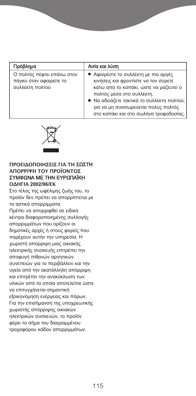| Πρόβλημα                                                                 | Αιτία και λύση                                                                                                                                                                                                                                                                     |
|--------------------------------------------------------------------------|------------------------------------------------------------------------------------------------------------------------------------------------------------------------------------------------------------------------------------------------------------------------------------|
| Ο πολτός πέφτει επάνω στον<br>πάγκο όταν αφαιρείτε το<br>συλλέκτη πολτού | • Αφαιρέστε το συλλέκτη με πιο αργές<br>κινήσεις και φροντίστε να τον σύρετε<br>κάτω από το καπάκι, ώστε να μαζευτεί ο<br>πολτός μέσα στο συλλέκτη.<br>• Να αδειάζετε τακτικά το συλλέκτη πολτού,<br>για να μη συσσωρεύεται πολύς πολτός<br>στο καπάκι και στο σωλήνα τροφοδοσίας. |



#### **ΠΡΟΕΙΔΟΠΟΙΗΣΕΙΣ ΓΙΑ ΤΗ** ΣΩΣΤΗ **ΑΠΟΡΡΙΨΗ ΤΟΥ ΠΡΟΟΝΤΟΣ** ΣΥΜΦΩΝΑ ΜΕ ΤΗΝ ΕΥΡΩΠΑΪΚΗ **ΟΔΗΓΙΑ 2002/96/ΕΚ**

Στο τέλος της ωφέλιμης ζωής του, το προϊόν δεν πρέπει να απορρίπτεται με τα αστικά απορρίμματα. Πρέπει να απορριφθεί σε ειδικά κέντρα διαφοροποιημένης συλλογής απορριμμάτων που ορίζουν οι δημοτικές αρχές ή στους φορείς που παρέχουν αυτήν την υπηρεσία. Η χωριστή απόρριψη μιας οικιακής ηλεκτρικής συσκευής επιτρέπει την αποφυγή πιθανών αρνητικών συνεπειών για το περιβάλλον και την υγεία από την ακατάλληλη απόρριψη και επιτρέπει την ανακύκλωση των υλικών από τα οποία αποτελείται ώστε να επιτυγχάνεται σημαντική εξοικονόμηση ενέργειας και πόρων. Για την επισήμανση της υποχρεωτικής χωριστής απόρριψης οικιακών ηλεκτρικών συσκευών, το προϊόν φέρει το σήμα του διαγραμμένου τροχοφόρου κάδου απορριμμάτων.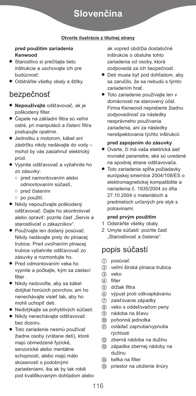#### **Otvorte ilustrácie z titulnej strany**

#### **pred použitím zariadenia Kenwood**

- **●** Starostlivo si prečítajte tieto inštrukcie a uschovajte ich pre budúcnosť.
- **●** Odstráňte všetky obaly a štítky.

### bezpečnosť

- **● Nepoužívajte** odšťavovač, ak je poškodený filter.
- **●** Čepele na základni filtra sú veľmi ostré, pri manipulácii a čistení filtra postupujte opatrne.
- **●** Jednotku s motorom, kábel ani zástrčku nikdy nedávajte do vody – mohol by vás zasiahnuť elektrický prúd.
- **●** Vypnite odšťavovač a vytiahnite ho zo zásuvky:
	- **●** pred namontovaním alebo odmontovaním súčastí,
	- **●** pred čistením
	- **●** po použití.
- **●** Nikdy nepoužívajte poškodený odšťavovač. Dajte ho skontrolovať alebo opraviť: pozrite časť "Servis a starostlivosť o zákazníkov".
- **●** Používajte len dodaný posúvač. Nikdy nedávajte prsty do plniacej trubice. Pred uvoľnením plniacej trubice vytiahnite odšťavovač zo zásuvky a rozmontujte ho.
- **●** Pred odmontovaním veka ho vypnite a počkajte, kým sa zastaví filter .
- **●** Nikdy nedovoľte, aby sa kábel dotýkal horúcich povrchov, ani ho nenechávajte visieť tak, aby ho mohli uchopiť deti.
- **●** Nedotýkajte sa pohyblivých súčastí.
- **●** Nikdy nenechávajte odšťavovač bez dozoru.
- **●** Toto zariadenie nesmú používať žiadne osoby (vrátane detí), ktoré majú obmedzené fyzické, senzorické alebo mentálne schopnosti, alebo majú málo skúseností s podobnými zariadeniami, iba ak by tak robili pod kvalifikovaným dohľadom alebo

ak vopred obdržia dostatočné inštrukcie o obsluhe tohto zariadenia od osoby, ktorá zodpovedá za ich bezpečnosť.

- **●** Deti musia byť pod dohľadom, aby sa zaručilo, že sa nebudú s týmto zariadením hrať.
- **●** Toto zariadenie používajte len v domácnosti na stanovený účel. Firma Kenwood nepreberie žiadnu zodpovednosť za následky nesprávneho používania zariadenia, ani za následky nerešpektovania týchto inštrukcií.

#### **pred zapojením do zásuvky**

- **●** Overte, či má vaša elektrická sieť rovnaké parametre, aké sú uvedené na spodnej strane odšťavovača.
- **●** Toto zariadenie spĺňa požiadavky európskej smernice 2004/108/ES o elektromagnetickej kompatibilite a nariadenia č. 1935/2004 zo dňa 27.10.2004 o materiáloch a predmetoch určených pre styk s potravinami.

#### **pred prvým použitím**

- 1 Odstráňte všetky obaly.
- 2 Umyte súčasti: pozrite časť "Starostlivosť a čistenie".

## popis súčastí

- posúvač
- veľmi široká plniaca trubica
- 3 veko
- 4) filter
- držiak filtra
- výpust proti odkvapkávaniu
- zaisťovacie západky
- veko s oddeľovačom peny
- nádoba na šťavu
- **10** pohonná jednotka
- ovládač zapnutia/vypnutia rýchlosti
- zberná nádoba na dužinu
- západka zbernej nádoby na dužinu
- (4) kefka na filter
- priestor na uloženie šnúry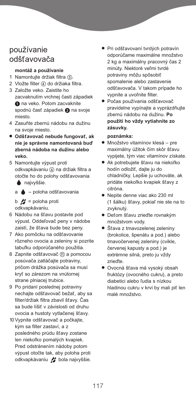## používanie odšťavovača

#### **montáž a používanie**

- 1 Namontujte držiak filtra (5).
- 2 Vložte filter (4) do držiaka filtra.
- 3 Založte veko. Zaistite ho zacvaknutím vrchnej časti západiek  $\bullet$  na veko. Potom zacvaknite spodnú časť západiek @ na svoje miesto.
- 4 Zasuňte zbernú nádobu na dužinu na svoje miesto.
- **● Odšťavovač nebude fungovať, ak nie je správne namontovaná buď zberná nádoba na dužinu alebo veko.**
- 5 Namontujte výpust proti odkvapkávaniu (6) na držiak filtra a otočte ho do polohy odšťavovania

**▲** najvyššie.

a – poloha odšťavovania

 $b \rightarrow$  = poloha proti odkvapkávaniu.

- 6 Nádobu na šťavu postavte pod výpust. Oddeľovač peny v nádobe zaistí, že šťava bude bez peny.
- 7 Ako pomôcku na odšťavovanie rôzneho ovocia a zeleniny si pozrite tabuľku odporúčaného použitia.
- 8 Zapnite odšťavovač (ii) a pomocou posúvača zatláčajte potraviny, pričom drážka posúvača sa musí kryť so zárezom na vnútornej strane plniacej trubice.
- 9 Po pridaní poslednej potraviny nechajte odšťavovač bežať, aby sa filter/držiak filtra zbavil šťavy. Čas sa bude líšiť v závislosti od druhu ovocia a hustoty vytlačenej šťavy.
- 10Vypnite odšťavovač a počkajte, kým sa filter zastaví, a z posledného prúdu šťavy zostane len niekoľko pomalých kvapiek. Pred odstránením nádoby potom výpust otočte tak, aby poloha proti odkvapkávaniu bola najvyššie.
- **●** Pri odšťavovaní tvrdých potravín odporúčame maximálne množstvo 2 kg a maximálny pracovný čas 2 minúty. Niektoré veľmi tvrdé potraviny môžu spôsobiť spomalenie alebo zastavenie odšťavovača. V takom prípade ho vypnite a uvoľnite filter.
- **●** Počas používania odšťavovač pravidelne vypínajte a vyprázdňujte zbernú nádobu na dužinu. **Po použití ho vždy vytiahnite zo zásuvky.**

#### **poznámka:**

- **●** Množstvo vitamínov klesá pre maximálny úžitok čím skôr šťavu vypijete, tým viac vitamínov získate.
- **●** Ak potrebujete šťavu na niekoľko hodín odložiť, dajte ju do chladničky. Lepšie ju uchováte, ak pridáte niekoľko kvapiek šťavy z citróna.
- **●** Nepite denne viac ako 230 ml (1 šálku) šťavy, pokiaľ nie ste na to zvyknutý.
- **●** Deťom šťavu zrieďte rovnakým množstvom vody.
- **●** Šťava z tmavozelenej zeleniny (brokolice, špenátu a pod.) alebo tmavočervenej zeleniny (cvikle, červenej kapusty a pod.) je extrémne silná, preto ju vždy zrieďte.
- **●** Ovocná šťava má vysoký obsah fruktózy (ovocného cukru), a preto diabetici alebo ľudia s nízkou hladinou cukru v krvi by mali piť len malé množstvo.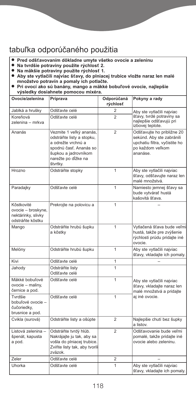## tabuľka odporúčaného použitia

- 
- 
- 
- Pred odšťavovaním dôkladne umyte všetko ovocie a zeleninu<br>● Na tvrdšie potraviny použite rýchlosť 2.<br>● Na mäkšie potraviny použite rýchlosť 1.<br>● Aby ste vytlačili najviac šťavy, do plniacej trubice vložte naraz len malé
- · Pri ovocí ako sú banány, mango a mäkké bobuľové ovocie, najlepšie **výsledky dosiahnete pomocou mixéra.**

| Ovocie/zelenina                                                            | Príprava                                                                                                                                                        | Odporúčaná<br>rýchlosť | Pokyny a rady                                                                                                            |  |
|----------------------------------------------------------------------------|-----------------------------------------------------------------------------------------------------------------------------------------------------------------|------------------------|--------------------------------------------------------------------------------------------------------------------------|--|
| Jablká a hrušky                                                            | Odšťavte celé                                                                                                                                                   | 2                      | Aby ste vytlačili najviac                                                                                                |  |
| Koreňová<br>zelenina – mrkva                                               | Odšťavte celé                                                                                                                                                   | $\overline{2}$         | šťavy, tvrdé potraviny sa<br>najlepšie odšťavujú pri<br>izbovej teplote.                                                 |  |
| Ananás                                                                     | Vezmite 1 veľký ananás,<br>odstráňte listy a stopku,<br>a odrežte vrchnú a<br>spodnú časť. Ananás so<br>šupkou a jadrovníkom<br>narežte po dĺžke na<br>štvrtky. | $\overline{2}$         | Odšťavujte ho približne 20<br>sekúnd. Aby ste zabránili<br>upchatiu filtra, vyčistite ho<br>po každom veľkom<br>ananáse. |  |
| Hrozno                                                                     | Odstráňte stopky                                                                                                                                                | 1                      | Aby ste vytlačili najviac<br>šťavy, odšťavujte naraz len<br>malé množstvá.                                               |  |
| Paradajky                                                                  | Odšťavte celé                                                                                                                                                   | 1                      | Namiesto jemnej šťavy sa<br>bude vytvárať hustá<br>kašovitá šťava.                                                       |  |
| Kôstkovité<br>ovocie – broskyne,<br>nektárinky, slivky<br>odstráňte kôstku | Prekrojte na polovicu a                                                                                                                                         | 1                      |                                                                                                                          |  |
| Mango                                                                      | Odstráňte hrubú šupku<br>a kôstky                                                                                                                               | 1                      | Vytlačená šťava bude veľmi<br>hustá, takže pre zvýšenie<br>rýchlosti prúdu pridajte iné<br>ovocie.                       |  |
| Melóny                                                                     | Odstráňte hrubú šupku                                                                                                                                           | 1                      | Aby ste vytlačili najviac<br>šťavy, vkladajte ich pomaly.                                                                |  |
| Kivi                                                                       | Odšťavte celé                                                                                                                                                   | 1                      |                                                                                                                          |  |
| Jahody                                                                     | Odstráňte listy<br>Odšťavte celé                                                                                                                                | 1                      |                                                                                                                          |  |
| Mäkké bobuľové<br>ovocie - maliny,<br>černice a pod.                       | Odšťavte celé                                                                                                                                                   | 1                      | Aby ste vytlačili najviac<br>šťavy, vkladajte naraz len<br>malé množstvá a pridajte                                      |  |
| Tvrdšie<br>bobuľové ovocie -<br>čučoriedky,<br>brusnice a pod.             | Odšťavte celé                                                                                                                                                   | 1                      | aj iné ovocie.                                                                                                           |  |
| Cvikla (surová)                                                            | Odstráňte listy a ošúpte                                                                                                                                        | $\overline{2}$         | Najlepšie chutí bez šupky<br>a listov.                                                                                   |  |
| Listová zelenina -<br>špenát, kapusta<br>a pod.                            | Odstráňte tvrdý hlúb.<br>Nakrájajte ju tak, aby sa<br>vošla do plniacej trubice.<br>Zviňte listy tak, aby tvorili<br>zväzok.                                    | $\overline{2}$         | Odšťavovanie bude veľmi<br>pomalé, takže pridajte iné<br>ovocie alebo zeleninu.                                          |  |
| Zeler                                                                      | Odšťavte celé                                                                                                                                                   | 2                      |                                                                                                                          |  |
| Uhorka                                                                     | Odšťavte celé                                                                                                                                                   | 1                      | Aby ste vytlačili najviac<br>šťavy, vkladajte ich pomaly.                                                                |  |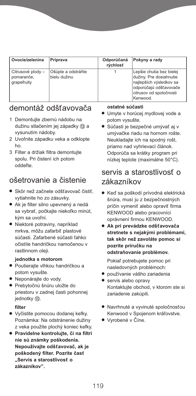| Ovocie/zelenina                                | Príprava                           | Odporúčaná<br>rýchlosť | Pokyny a rady                                                                                                                                   |
|------------------------------------------------|------------------------------------|------------------------|-------------------------------------------------------------------------------------------------------------------------------------------------|
| Citrusové plody -<br>pomaranče,<br>grapefruity | Ošúpte a odstráňte<br>bielu dužinu |                        | Lepšie chutia bez bielej<br>dužiny. Pre dosiahnutie<br>najlepších výsledkov sa<br>odporúčajú odšťavovače<br>citrusov od spoločnosti<br>Kenwood. |

### demontáž odšťavovača

- 1 Demontujte zbernú nádobu na dužinu stlačením jej západky (3) a vysunutím nádoby.
- 2 Uvoľnite západku veka a odklopte ho.
- 3 Filter a držiak filtra demontujte spolu. Pri čistení ich potom oddeľte.

## ošetrovanie a čistenie

- **●** Skôr než začnete odšťavovač čistiť, vytiahnite ho zo zásuvky.
- **●** Ak je filter silno upevnený a nedá sa vybrať, počkajte niekoľko minút, kým sa uvoľní.
- **●** Niektoré potraviny, napríklad mrkva, môžu zafarbiť plastové súčasti. Zafarbené súčasti ľahko očistíte handričkou namočenou v rastlinnom oleji.

#### **jednotka s motorom**

- **●** Poutierajte vlhkou handričkou a potom vysušte.
- **●** Neponárajte do vody.
- **●** Prebytočnú šnúru uložte do priestoru v zadnej časti pohonnej jednotky (15).

#### **filter**

- **●** Vyčistite pomocou dodanej kefky. Poznámka: Na odstránenie dužiny z veka použite plochý koniec kefky.
- **● Pravidelne kontrolujte, či na filtri nie sú známky poškodenia. Nepoužívajte odšťavovač, ak je poškodený filter. Pozrite časť "Servis a starostlivosť o zákazníkov".**

#### **ostatné súčasti**

- **●** Umyte v horúcej mydlovej vode a potom vysušte.
- **●** Súčasti je bezpečné umývať aj v umývačke riadu na hornom rošte. Neukladajte ich na spodný rošt, priamo nad vyhrievací článok. Odporúča sa krátky program pri nízkej teplote (maximálne 50°C).

### servis a starostlivosť o zákazníkov

- **●** Keď sa poškodí prívodná elektrická šnúra, musí ju z bezpečnostných príčin vymeniť alebo opraviť firma KENWOOD alebo pracovníci oprávnení firmou KENWOOD.
- **● Ak pri prevádzke odšťavovača stretnete s nejakými problémami, tak skôr než zavoláte pomoc si pozrite príručku na odstraňovanie problémov.**

Pokiaľ potrebujete pomoc pri nasledovných problémoch:

- **●** používanie vášho zariadenia
- **●** servis alebo opravy Kontaktujte obchod, v ktorom ste si zariadenie zakúpili.
- **●** Navrhnuté a vyvinuté spoločnosťou Kenwood v Spojenom kráľovstve.
- **●** Vyrobené v Číne.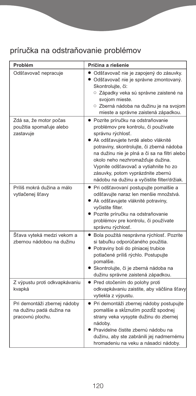# príručka na odstraňovanie problémov

| Problém                                                                      | Príčina a riešenie                                                                                                                                                                                                                                                                                                                                                                                       |
|------------------------------------------------------------------------------|----------------------------------------------------------------------------------------------------------------------------------------------------------------------------------------------------------------------------------------------------------------------------------------------------------------------------------------------------------------------------------------------------------|
| Odšťavovač nepracuje                                                         | · Odšťavovač nie je zapojený do zásuvky.<br>• Odšťavovač nie je správne zmontovaný.<br>Skontrolujte, či:<br>O Západky veka sú správne zaistené na<br>svojom mieste.<br>O Zberná nádoba na dužinu je na svojom<br>mieste a správne zaistená západkou.                                                                                                                                                     |
| Zdá sa, že motor počas<br>použitia spomaľuje alebo<br>zastavuje              | · Pozrite príručku na odstraňovanie<br>problémov pre kontrolu, či používate<br>správnu rýchlosť.<br>• Ak odšťavujete tvrdé alebo vláknité<br>potraviny, skontrolujte, či zberná nádoba<br>na dužinu nie je plná a či sa na filtri alebo<br>okolo neho nezhromažďuje dužina.<br>Vypnite odšťavovač a vytiahnite ho zo<br>zásuvky, potom vyprázdnite zbernú<br>nádobu na dužinu a vyčistite filter/držiak. |
| Príliš mokrá dužina a málo<br>vytlačenej šťavy                               | • Pri odšťavovaní postupujte pomalšie a<br>odšťavujte naraz len menšie množstvá.<br>· Ak odšťavujete vláknité potraviny,<br>vyčistite filter.<br>· Pozrite príručku na odstraňovanie<br>problémov pre kontrolu, či používate<br>správnu rýchlosť.                                                                                                                                                        |
| Šťava vyteká medzi vekom a<br>zbernou nádobou na dužinu                      | • Bola použitá nesprávna rýchlosť. Pozrite<br>si tabuľku odporúčaného použitia.<br>• Potraviny boli do plniacej trubice<br>potlačené príliš rýchlo. Postupujte<br>pomalšie.<br>· Skontrolujte, či je zberná nádoba na<br>dužinu správne zaistená západkou.                                                                                                                                               |
| Z výpustu proti odkvapkávaniu<br>kvapká                                      | · Pred otočením do polohy proti<br>odkvapkávaniu zaistite, aby väčšina šťavy<br>vytiekla z výpustu.                                                                                                                                                                                                                                                                                                      |
| Pri demontáži zbernej nádoby<br>na dužinu padá dužina na<br>pracovnú plochu. | · Pri demontáži zbernej nádoby postupujte<br>pomalšie a skĺznutím pozdĺž spodnej<br>strany veka vysypte dužinu do zbernej<br>nádoby.<br>• Pravidelne čistite zbernú nádobu na<br>dužinu, aby ste zabránili jej nadmernému<br>hromadeniu na veku a násadci nádoby.                                                                                                                                        |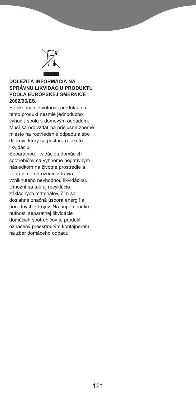

#### **DÔLEŽITÁ INFORMÁCIA NA SPRÁVNU LIKVIDÁCIU PRODUKTU PODĽA EURÓPSKEJ SMERNICE 2002/96/ES.**

Po skončení životnosti produktu sa tento produkt nesmie jednoducho vyhodiť spolu s domovým odpadom. Musí sa odovzdať na príslušné zberné miesto na roztriedenie odpadu alebo dílerovi, ktorý sa postará o takúto likvidáciu.

Separátnou likvidáciou domácich spotrebičov sa vyhneme negatívnym následkom na životné prostredie a zabránime ohrozeniu zdravia vzniknutého nevhodnou likvidáciou. Umožní sa tak aj recyklácia základných materiálov, čím sa dosiahne značná úspora energií a prírodných zdrojov. Na pripomenutie nutnosti separátnej likvidácie domácich spotrebičov je produkt označený preškrtnutým kontajnerom na zber domáceho odpadu.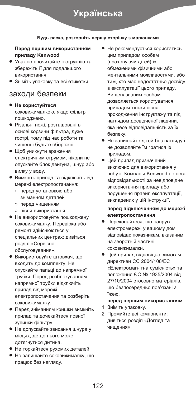# **Українська**

#### **Будь ласка, розгорніть першу сторінку з малюнками**

#### **Перед першим використанням приладу Kenwood**

- **●** Уважно прочитайте інструкцію та збережіть її для подальшого використання.
- **●** Зніміть упаковку та всі етикетки.

### заходи безпеки

- **● Не користуйтеся** соковижималкою, якщо фільтр пошкоджено.
- **●** Різальні ножі, розташовані в основі корзини фільтра, дуже гострі, тому під час роботи та чищенні будьте обережні.
- **●** Щоб уникнути враження електричним струмом, ніколи не опускайте блок двигуна, шнур або вилку у воду.
- **●** Вимкніть прилад та відключіть від мережі електропостачання:
	- **●** перед установкою або зніманням деталей
	- **●** перед чищенням
	- **●** після використання.
- **●** Не використовуйте пошкоджену соковижималку. Перевірка або ремонт здійснюються у спеціальних центрах: дивіться розділ «Сервісне обслуговування».
- **●** Використовуйте штовхач, що входить до комплекту. Не опускайте пальці до напрямної трубки. Перед розблокуванням напрямної трубки відключіть прилад від мережі електропостачання та розберіть соковижималку.
- **●** Перед зніманням кришки вимкніть прилад та дочекайтеся повної зупинки фільтру.
- **●** Не допускайте звисання шнура у місцях, де до нього може дотягнутися дитина.
- **●** Не торкайтеся рухомих деталей.
- **●** Не залишайте соковижималку, що працює без нагляду.
- **●** Не рекомендується користатись цим приладом особам (враховуючи дітей) із обмеженими фізичними або ментальними можливостями, або тим, хто має недостатньо досвіду в експлуатації цього приладу. Вищеназваним особам дозволяється користуватися приладом тільки після проходження інструктажу та під наглядом досвідченої людини, яка несе відповідальність за їх безпеку.
- **●** Не залишайте дітей без нагляду і не дозволяйте їм гратися із приладом.
- **●** Цей прилад призначений виключно для використання у побуті. Компанія Kenwood не несе відповідальності за невідповідне використання приладу або порушення правил експлуатації, викладених у цій інструкції.

#### **перед підключенням до мережі електропостачання**

- **●** Переконайтеся, що напруга електромережі у вашому домі відповідає показникам, вказаним на зворотній частині соковижималки.
- **●** Цей прилад відповідає вимогам директиви ЄС 2004/108/EC «Електромагнітна сумісність» та положення ЄС № 1935/2004 від 27/10/2004 стосовно матеріалів, що безпосередньо пов'язані з їжею.

#### **перед першим використанням**

- 1 Зніміть упаковку.
- 2 Промийте всі компоненти: дивіться розділ «Догляд та чищення».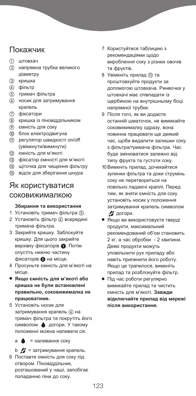### Покажчик

- штовхач
- напрямна трубка великого діаметру
- кришка
- фільтр
- тримач фільтра
- носик для затримування крапель
- фіксатори
- кришка із піновіддільником
- ємність для соку
- блок електродвигуна
- регулятор швидкості on/off (увімкнути/вимкнути)
- ємність для м'якоті
- фіксатор ємності для м'якоті
- щіточка для чищення фільтру
- відсік для зберігання шнура

### Як користуватися соковижималкою

#### **Збирання та використання**

- 1 Установіть тримач фільтра (5).
- 2 Установіть фільтр всередині тримача фільтра.
- 3 Закрийте кришку. Заблокуйте кришку. Для цього закрийте верхівку фіксаторів • Потім опустіть нижню частину фіксаторів на місце.
- 4 Просуньте ємність для м'якоті на місце.
- **● Якщо ємність для м'якоті або кришка не були встановлені правильно, соковижималка не працюватиме.**
- 5 Установіть носик для затримування крапель  $\circledA$  на тримач фільтра та покрутіть його символом догори. У такому положенні можна наливати сік.
	- $a \bullet =$  наливання соку

 $b$   $\mathcal{L}$  = затримування крапель. 6 Поставте ємність для соку під отвором. Піновіддільник, розташований у чаші, запобігає попаданню піни до соку.

- 7 Користуйтеся таблицею з рекомендаціями щодо вироблення соку з різних овочів та фруктів.
- 8 Увімкніть прилад (11) та проштовхуйте продукти за допомогою штовхача. Ринвочка у штовхачі має співпадати із щербиною на внутрішньому боці напрямної трубки.
- 9 Після того, як ви додасте останній шматочок, не вимикайте соковижималку одразу, вона повинна працювати ще деякий час, щоби видалити залишки соку з фільтра/тримача фільтра. Час буде змінюватися залежно від типу фрукта та густоти соку.
- 10Вимкніть прилад, дочекайтеся зупинки фільтра та доки струмінь соку не перетвориться на повільно падаючі краплі. Перед тим, як зняти ємність для соку установіть носик у положення затримування крапель символом догори.
- **●** Якщо ви використовуєте тверді продукти, максимальний рекомендований об'єм становить 2 кг, а час обробки - 2 хвилини. Деякі продукти можуть уповільнити рух приладу або навіть припинити його роботу. Якщо це трапилося, вимкніть прилад та розблокуйте фільтр.
- **●** Під час роботи регулярно вимикайте прилад та чистить ємність для м'якоті. **Завжди відключайте прилад від мережі після використання.**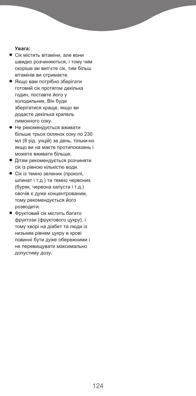#### **Увага:**

- **●** Сік містить вітаміни, але вони швидко розчиняються, і тому чим скоріше ви вип'єте сік, тим більш вітамінів ви отримаєте.
- **●** Якщо вам потрібно зберігати готовий сік протягом декілька годин, поставте його у холодильник. Він буде зберігатися краще, якщо ви додасте декілька крапель лимонного соку.
- **●** Не рекомендується вживати більше трьох склянок соку по 230 мл (8 рід. унцій) за день, тільки-но якщо ви на маєте протипоказань і можете вживати більше.
- **●** Дітям рекомендується розчиняти сік із рівною кількістю води.
- **●** Сік із темно зелених (проколі, шпинат і т.д.) та темно червоних (буряк, червона капуста і т.д.) овочів є дуже концентрованим, тому рекомендується його розводити.
- **●** Фруктовий сік містить багато фруктози (фруктового цукру), і тому хворі на діабет та люди із низьким рівнем цукру в крові повинні бути дуже обережними і не перевищувати максимально допустиму дозу.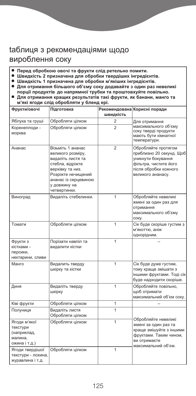## tаблиця з рекомендаціями щодо вироблення соку

- 
- 
- 
- Перед обробкою овочі та фрукти слід ретельно помити.<br>● Швидкість 2 призначена для обробки твердіших інгредієнтів.<br>● Швидкість 1 призначена для обробки м'якіших інгредієнтів.<br>● Для отримання більшого об'єму соку додавай
- Для отримання кращих результатів такі фрукти, як банани, манго та **м'які ягоди слід обробляти у бленд ері.**

| Фрукти/овочі                                                        | Підготовка                                                                                                                                                                        | швидкість      | Рекомендована Корисні поради                                                                                                                 |  |
|---------------------------------------------------------------------|-----------------------------------------------------------------------------------------------------------------------------------------------------------------------------------|----------------|----------------------------------------------------------------------------------------------------------------------------------------------|--|
| Яблука та груші                                                     | Обробляти цілком                                                                                                                                                                  | 2              | Для отримання                                                                                                                                |  |
| Коренеплоди -<br>морква                                             | Обробляти цілком                                                                                                                                                                  | $\overline{2}$ | максимального об'єму<br>соку тверді продукти<br>мають бути кімнатної<br>температури.                                                         |  |
| Ананас                                                              | Візьміть 1 ананас<br>великого розміру,<br>видаліть листя та<br>стебла, відріжте<br>верхівку та низ.<br>Розріжте нечищений<br>ананас із серцевиною<br>у довжину на<br>четвертинки. | $\overline{2}$ | Обробляйте протягом<br>приблизно 20 секунд. Щоб<br>уникнути бокування<br>фільтра, чистите його<br>після обробки кожного<br>великого ананасу. |  |
| Виноград                                                            | Видаліть стебелинки.                                                                                                                                                              | 1              | Обробляйте невеликі<br>жмені за один раз для<br>отримання<br>максимального об'єму<br>соку.                                                   |  |
| Томати                                                              | Обробляти цілком                                                                                                                                                                  | 1              | Сік буде скоріше густим з<br>м'якоттю, аніж<br>однорідним.                                                                                   |  |
| Фрукти з<br>кістками -<br>персики,<br>нектарини, сливи              | Порізати навпіл та<br>видалити кістки                                                                                                                                             | 1              |                                                                                                                                              |  |
| Манго                                                               | Видалить тверду<br>шкірку та кістки                                                                                                                                               | 1              | Сік буде дуже густим,<br>тому краще змішати з<br>іншими фруктами. Тоді сік<br>буде надходити скоріше.                                        |  |
| Диня                                                                | Видаліть тверду<br>шкірку                                                                                                                                                         | 1              | Обробляйте повільно,<br>щоб отримати<br>максимальний об'єм соку.                                                                             |  |
| Ківі фрукти                                                         | Обробляти цілком                                                                                                                                                                  | 1              |                                                                                                                                              |  |
| Полуниця                                                            | Видаліть листя<br>Обробляти цілком                                                                                                                                                | 1              |                                                                                                                                              |  |
| Ягоди м'якої<br>текстури<br>(наприклад,<br>малина,<br>ожина і т.д.) | Обробляти цілком                                                                                                                                                                  | 1              | Обробляйте невеликі<br>жмені за один раз та<br>краще змішуйте з іншими<br>фруктами. Таким чином,<br>ви отримаєте<br>максимальний об'єм.      |  |
| Ягоди твердішої<br>текстури - лохина,<br>журавлина і т.д.           | Обробляти цілком                                                                                                                                                                  | 1              |                                                                                                                                              |  |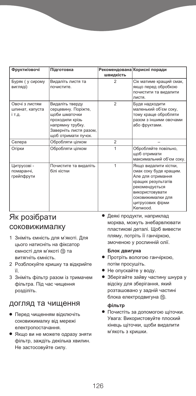| Фрукти/овочі                                | Підготовка                                                                                                                                      | швидкість      | Рекомендована Корисні поради                                                                                                                                                         |
|---------------------------------------------|-------------------------------------------------------------------------------------------------------------------------------------------------|----------------|--------------------------------------------------------------------------------------------------------------------------------------------------------------------------------------|
| Буряк (у сирому<br>вигляді)                 | Видаліть листя та<br>почистите.                                                                                                                 | $\overline{2}$ | Сік матиме кращий смак,<br>якщо перед обробкою<br>почистити та видалити<br>листя.                                                                                                    |
| Овочі з листям<br>шпинат, капуста<br>і т.д. | Видаліть тверду<br>серцевину. Поріжте,<br>щоби шматочки<br>проходили крізь<br>напрямну трубку.<br>Заверніть листя разом,<br>щоб отримати пучок. | $\mathfrak{p}$ | Буде надходити<br>маленький об'єм соку,<br>тому краще обробляти<br>разом з іншими овочами<br>або фруктами.                                                                           |
| Селера                                      | Обробляти цілком                                                                                                                                | $\overline{2}$ |                                                                                                                                                                                      |
| Огірки                                      | Обробляти цілком                                                                                                                                | $\mathbf{1}$   | Обробляйте повільно,<br>щоб отримати<br>максимальний об'єм соку.                                                                                                                     |
| Цитрусові -<br>помаранчі,<br>грейпфрути     | Почистите та видаліть<br>білі кістки                                                                                                            | 1              | Якщо видалити кістки,<br>смак соку буде кращим.<br>Але для отримання<br>кращих результатів<br>рекомендується<br>використовувати<br>соковижималки для<br>цитрусових фірми<br>Kenwood. |

### Як розібрати соковижималку

- 1 Зніміть ємність для м'якоті. Для цього натисніть на фіксатор ємності для м'якоті (3) та витягніть ємність.
- 2 Розблокуйте кришку та відкрийте її.
- 3 Зніміть фільтр разом із тримачем фільтра. Під час чищення розділіть.

### догляд та чищення

- **●** Перед чищенням відключіть соковижималку від мережі електропостачання.
- **●** Якщо ви не можете одразу зняти фільтр, заждіть декілька хвилин. Не застосовуйте силу.

**●** Деякі продукти, наприклад морква, можуть знебарвлювати пластикові деталі. Щоб вивести пляму, потріть її ганчіркою, змоченою у рослинній олії.

#### **Блок двигуна**

- **●** Протріть вологою ганчіркою, потім просушіть.
- **●** Не опускайте у воду.
- **●** Зберігайте зайву частину шнура у відсіку для зберігання, який розташовано у задній частині блока електродвигуна (б).

#### **фільтр**

**●** Почистіть за допомогою щіточки. Увага: Використовуйте плоский кінець щіточки, щоби видалити м'якоть з кришки.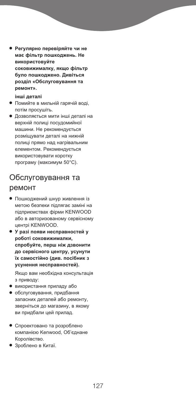**● Регулярно перевіряйте чи не має фільтр пошкоджень. Не використовуйте соковижималку, якщо фільтр було пошкоджено. Дивіться розділ «Обслуговування та ремонт».**

#### **інші деталі**

- **●** Помийте в мильній гарячій воді, потім просушіть.
- **●** Дозволяється мити інші деталі на верхній полиці посудомийної машини. Не рекомендується розміщувати деталі на нижній полиці прямо над нагрівальним елементом. Рекомендується використовувати коротку програму (максимум 50°C).

## Обслуговування та ремонт

- **●** Пошкоджений шнур живлення із метою безпеки підлягає заміні на підприємствах фірми KENWOOD або в авторизованому сервісному центрі KENWOOD.
- **● У разі появи несправностей у роботі соковижималки, спробуйте, перш ніж дзвонити до сервісного центру, усунути їх самостійно (див. посібник з усунення несправностей).**

Якщо вам необхідна консультація з приводу:

- **●** використання приладу або
- **●** обслуговування, придбання запасних деталей або ремонту, зверніться до магазину, в якому ви придбали цей прилад.
- **●** Спроектовано та розроблено компанією Kenwood, Об'єднане Королівство.
- **●** Зроблено в Китаї.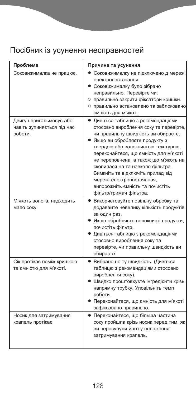# Посібник із усунення несправностей

| Проблема                                                         | Причина та усунення                                                                                                                                                                                                                                                                                                                                                                                                                                 |
|------------------------------------------------------------------|-----------------------------------------------------------------------------------------------------------------------------------------------------------------------------------------------------------------------------------------------------------------------------------------------------------------------------------------------------------------------------------------------------------------------------------------------------|
| Соковижималка не працює.                                         | • Соковижималку не підключено д мережі<br>електропостачання.<br>• Соковижималку було зібрано<br>неправильно. Перевірте чи:<br>○ правильно закрити фіксатори кришки.<br>о правильно встановлено та заблоковано<br>ємність для м'якоті.                                                                                                                                                                                                               |
| Двигун пригальмовує або<br>навіть зупиняється під час<br>роботи. | • Дивіться таблицю з рекомендаціями<br>стосовно вироблення соку та перевірте,<br>чи правильну швидкість ви обираєте.<br>• Якщо ви обробляєте продукту з<br>твердою або волокнистою текстурою,<br>переконайтеся, що ємність для м'якоті<br>не переповнена, а також що м'якоть на<br>скопилася на та навколо фільтра.<br>Вимкніть та відключіть прилад від<br>мережі електропостачання,<br>випорожніть ємність та почистіть<br>фільтр/тримач фільтра. |
| М'якоть волога, надходить<br>мало соку                           | • Використовуйте повільну обробку та<br>додавайте невелику кількість продуктів<br>за один раз.<br>• Якщо обробляєте волокнисті продукти,<br>почистіть фільтр.<br>• Дивіться таблицю з рекомендаціями<br>стосовно вироблення соку та<br>перевірте, чи правильну швидкість ви<br>обираєте.                                                                                                                                                            |
| Сік протікає поміж кришкою<br>та ємністю для м'якоті.            | • Вибрано не ту швидкість. (Дивіться<br>таблицю з рекомендаціями стосовно<br>вироблення соку).<br>• Швидко проштовхуєте інгредієнти крізь<br>напрямну трубку. Уповільніть темп<br>роботи.<br>• Переконайтеся, що ємність для м'якоті<br>зафіксовано правильно.                                                                                                                                                                                      |
| Носик для затримування<br>крапель протікає                       | • Переконайтеся, що більша частина<br>соку пройшла крізь носик перед тим, як<br>ви пересунули його у положення<br>затримування крапель.                                                                                                                                                                                                                                                                                                             |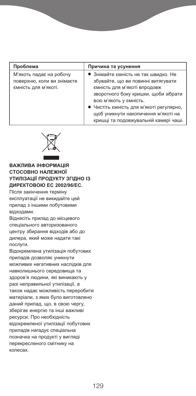| Проблема                                                                      | Причина та усунення                                                                                                                                                                                                                                                                                      |
|-------------------------------------------------------------------------------|----------------------------------------------------------------------------------------------------------------------------------------------------------------------------------------------------------------------------------------------------------------------------------------------------------|
| М'якоть падає на робочу<br>поверхню, коли ви знімаєте<br>ємність для м'якоті. | • Знімайте ємність не так швидко. Не<br>збувайте, що ви повинні витягувати<br>ємність для м'якоті впродовж<br>зворотного боку кришки, щоби зібрати<br>всю м'якоть у ємність.<br>• Чистіть ємність для м'якоті регулярно,<br>щоб уникнути накопичення м'якоті на<br>кришці та подовжувальній камері чаші. |



**ВАЖЛИВА ІНФОРМАЦІЯ СТОСОВНО НАЛЕЖНОЇ УТИЛІЗАЦІЇ ПРОДУКТУ ЗГІДНО ІЗ ДИРЕКТОВОЮ ЕС 2002/96/EC.**

Після закінчення терміну експлуатації не викидайте цей прилад з іншими побутовими відходами.

Віднесіть прилад до місцевого спеціального авторизованого центру збирання відходів або до дилера, який може надати такі послуги.

Відокремлена утилізація побутових приладів дозволяє уникнути можливих негативних наслідків для навколишнього середовища та здоров'я людини, які виникають у разі неправильної утилізації, а також надає можливість переробити матеріали, з яких було виготовлено даний прилад, що, в свою чергу, зберігає енергію та інші важливі ресурси. Про необхідність відокремленої утилізації побутових приладів наraдyє спеціальна позначка на продукті у вигляді перекресленого смітнику на колесах.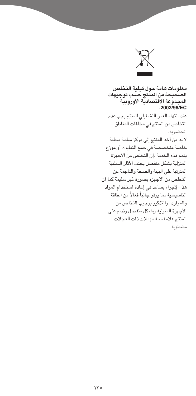

معلومات هامة حول كيفية التخلص الصحيحة من المنتج حسب توجيهات المحموعة الاقتصادية الأوروبية .2002/96/EC عند انتهاء العمر التشغيلي للمنتج يجب عدم التخلص من المنتج في مخلفات المناطق الحضرية. لا بد من أخذ المنتج إلى مركز سلطة محلية خاصة متخصصة في جمع النفايات أو موزع يقدم هذه الخدمة .إن التخلص من الأجهزة المنزلية بشكل منفصل يجنب الآثار السلبية المترتبة على البيئة والصحة والناجمة عن التخلص من الأجهزة بصورة غير سليمة كما أن هذا الإجراء يساعد فى إعادة استخدام المواد التأسيسية مما يوفر جانباً فعالاً من الطاقة والموارد. وللتذكير بوجوب التخلص من الأجهزة المنزلية ويشكل منفصل وضع على المنتج علامة سلة مهملات ذات العجلات مشطوبة.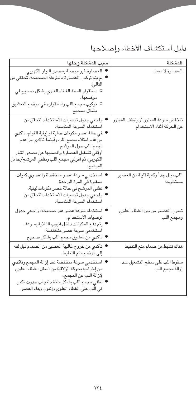# دليل استكشاف الأخطاء وإصلاحها

| المشكلة                                                          | سبب المشكلة وحلها                                                                                                                                                                                                                                                                                        |
|------------------------------------------------------------------|----------------------------------------------------------------------------------------------------------------------------------------------------------------------------------------------------------------------------------------------------------------------------------------------------------|
| العصارة لاتعمل                                                   | ● العصارة غير موصلة بمصدر التيار الكهربي.<br><b>ا</b> لم يتم تركيب العصارة بالطريقة الصحيحة. تحققي من<br>التالي:<br>○ اسْتقرار ألسنة الغطاء العلوي بشكل صحيح في<br>موضعها.<br><sup>0</sup> تركيب مجمع اللب واستقراره في موضىع التعشيق<br>بشكل صحيح.                                                      |
| تنخفض سرعة الموتور أو يتوقف الموتور<br>عن الحركة أثناء الاستخدام | ● راجعي جدول توصيات الاستخدام للتحقق من<br>استخدام السرعة المناسبة.<br>في حالة عصر مكونات صلبة أو ليفية القوام، تأكدي<br>من عدم امتلاء مجمع اللب وأيضاً تأكدي من عدم<br>تجمع اللب حول المرشح.<br>أوقفي تشغيل العصارة وافصليها عن مصدر التيار<br>الكهربي، ثم أفرغي مجمع اللب ونظفي المرشح/حامل<br>المرشح. |
| اللب مبتل جداً وكمية قليلة من العصير<br>مستخرجة                  | ● استخدمي سرعة عصر منخفضة واعصر <i>ى</i> كميات<br>صغيرة فى المرة الواحدة.<br>نظفي المرشح في حالة عصر مكونات ليفية.<br>راجعى جدول توصيات الاستخدام للتحقق من<br>استخدام السرعة المناسبة.                                                                                                                  |
| تسرب العصير من بين الغطاء العلوي<br>ومجمع اللب                   | استخدام سرعة عصر غير صحيحة. راجعي جدول<br>توصيات الاستخدام.<br>يتم دفع المكونات داخل أنبوب التغذية بسرعة.<br>استخدمى سرعة عصر منخفضة.<br>ا تأكدي من تعشيق مجمع اللب بشكل صحيح                                                                                                                            |
| هناك تنقيط من صمام منع التنقيط                                   | تأكدي من خروج غالبية العصير من الصمام قبل لفه<br>إلى موضع منع التنقيط.                                                                                                                                                                                                                                   |
| سقوط اللب على سطح التشغيل عند<br>إزالة مجمع اللب                 | استخدمي سرعة منخفضة عند إزالة المجمع وتأكدي<br>من إخراجه بحركة انزلاقية من أسفل الغطاء العلوى<br>لإزالة اللب عن المجمع<br>نظفى مجمع اللب بشكل منتظم لتجنب حدوث تكون<br>في اللب على الغطاء العلوي وأنبوب وعاء العصر.                                                                                      |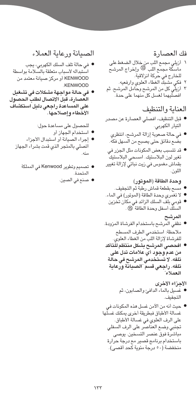### فك العصار ة

- ١ أزيلي مجمع اللب من خلال الضغط على مآسكة مجمع اللب ۞ وإخراج المرشح للخارج في حركة انزلاقية.<br>٢- فكي مشبك الغطاء العلوي وارفعيه.
- ٢ أزيلي كل من المرشح وحامل المرشح. ثم افصلَّيهما لغسل كل منهما على حدة.

### العناية والتنظيف

- قبل التنظيف، افصلي العصارة عن مصدر التيار الكهربي.
	- في حالة صعوبة إزالة المرشح، انتظرى بضع دقائق حتى يصبح من السهل فكه.
- قد تتسبب بعض المكونات مثل الجزر في تغير لون البلاستيك. امسحى البلاستيك بقماش مغموس في زيت نباتي لإزالة تغيير اللون.

وحدة الطاقة (الموتور)

- مسح بقطعة قماش رطبة ثم التجفيف.
- لا تغمري وحدة الطاقة (الموتور) في الماء.
- قومى بلف السلك الزائد فى مكان تخزين السلك أسفل وحدة الطاقة ١٥) .

المرشح

- نظفى المرشح باستخدام الفرشاة المزودة. ملاحظة: استخدمى الطرف المسطح للفرشاة لإزالة اللب من الغطاء العلوى.
- افحصى المرشح بشكل منتظم للّتأكد من عدم وجود أي علامات تدل علي تلفه. لا تستخدمي المرشح في حالة تلفه. راجعي قسم "الصيانة ورعاية العملاء

الأجزاء الأخرى

- غسيل بالماء الدافئ والصابون، ثم التحفيف.
- حيث أنه من الآمن غسل هذه المكونات في غسالة الأطباق فبطريقة أخرى يمكنك غسلها على الرف العلوي في غسالة الأطباق. تجنبي وضع العناصر على الرف السفلى مباشرة فوق عنصر التسخين. يوصى باستخدام برنامج قصير مع درجة حرارة منخفضة (٥٠ درجة مئوية كحد أقصى).

الصيانة ورعاية العملاء

- فى حالة تلف السلك الكهربى، يجب استبداله لأسباب متعلقة بالسلامة بواسطة KENWOOD أو مركز صيانة معتمد من .KENWOOD
- في حالة مواجهة مشكلات في تشغيل العصارة، قبل الاتصال لطلب الحصول على المساعدة راجعى دليل استكشاف الأخطاء وإصلاحها.

للحصول على مساعدة حول:

- استخدام الجهاز أو
- إجراء الصيانة أو استبدال الأجزاء اتصلى بالمتجر الذى قمت بشراء الجهاز
	- تصميم وتطوير Kenwood في المملكة المتحدة.
		- صنع في الصين.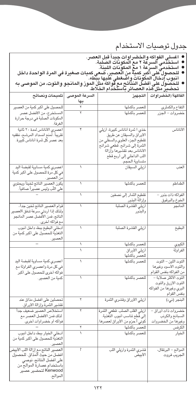## جدول توصيات الاستخدام

- - -
- اغسلي الفواكه والخضراوات حيداً قبل العصر.<br>● استخدمي السرعة ٢ مع المكونات الصلبة.<br>● استخدمي السرعة ١ مع المكونات اللينة.<br>● استخدمي السرعة ١ مع المكونات اللينة.<br>● للحصول على أفضل النتائج مع فواكه مثل الموز والمانجو والتو
	-

| السرحة الموضى المميحات وتصابح      |     | سجهير                          | العاجهة/الخصراوات       |
|------------------------------------|-----|--------------------------------|-------------------------|
|                                    | بها |                                |                         |
| للحصول على أكبر كمية من العصير     |     | للعصر بأكملها                  | التفاح والكمثري         |
| المستخرج، من الأفضل عصر            | ۲   | للعصر بأكملها                  | خضروات – الجزر          |
| المكونات الصلبة فى درجة حرارة      |     |                                |                         |
| الغرفة.                            |     |                                |                         |
| اعصرى الأناناس لمدة ٢٠ ثانية       |     | خذى ا ثمرة أناناس كبيرة، أزيلي | الأناناس                |
| تقريباً. لمنع انسداد المرشح، نظفيه |     | الأوراق والسيقان عن طريق       |                         |
| بعد عصر كل ثمرة أناناس كبيرة.      |     | تقطيع الجزء العلوي والسفلي من  |                         |
|                                    |     | الثمرة إلى شرائح. قطعي شرائح   |                         |
|                                    |     | الأناناس بعد تقشيرها وإزالة    |                         |
|                                    |     | اللب الداخلي إلى أربع قطع      |                         |
|                                    |     | متساوية الحجم.                 |                         |
| اعصري كمية مساوية لقبضة اليد       |     | أزيلي السيقان                  | العنب                   |
| فى كل مرة للحصول على أكبر كمية     |     |                                |                         |
| منّ العصير.                        |     |                                |                         |
| يكون العصير الناتج ثخينأ ويحتوي    |     | للعصر بأكملها                  | الطماطم                 |
| على اللَّب وليس عصيراً صافياً .    |     |                                |                         |
|                                    |     | تقطيع الثمار إلى نصفين         | الفواكه ذات بذور -      |
|                                    |     | وإزالة البذور                  | الخوخ والبرقوق          |
| قوام العصير الناتج ثخين جداً،      |     | أزيلي القشرة الصلبة            | المانجو                 |
| ولذلك إذا أردتى سرعة تدفق أالعصير  |     | والبذور                        |                         |
| الناتج، فمن الأفضل عصر المانجو     |     |                                |                         |
| مع فواكه أخرى.                     |     |                                |                         |
| أدخلي البطيخ ببطء داخل أنبوب       | ١   | أزيلي القشرة الصلبة            | البطيخ                  |
| التغذية للحصول على أكبر كمية من    |     |                                |                         |
| العصير .                           |     |                                |                         |
|                                    |     | للعصر بأكملها                  | الكيوى                  |
|                                    |     | أزيلي الأوراق                  | الفراولة                |
|                                    |     | للعصر بأكملها                  |                         |
| اعصري كمية مساوية لقبضة اليد       |     | للعصر بأكملها                  | التوت اللين – التوت     |
| في كل مرة واعصري الفراولة مع       |     |                                | والتوت الأسود وغيرها    |
| فواكه أخرى للحصول على أكبر         |     |                                | من الفواكه بنفس القوام  |
| كمية من العصير.                    | ١   | للعصر بأكملها                  | التوت الأكثر صلابة –    |
|                                    |     |                                | التوت الأزرق والتوت     |
|                                    |     |                                | البري وغيرها من الفواكه |
|                                    |     |                                | بنفس القوام             |
| تحصلين على أفضل مذاق عند           | ٢   | أزيلي الأوراق وقشرى الثمرة     | البنجر (نيء)            |
| تقشير الثمرة وإزالة الأوراق.       |     |                                |                         |
| استخلاص العصير ضعيف جدأ            | ۲   | أزيلي القلب الصلب. قطعي الثمرة | خضروات ذات أوراق –      |
| لذلك فمن الأفضل العصر مع           |     | إلى قطع تناسب أنبوب التغذية.   | السبانخ والكرنب         |
| فواكه أو خضراوات أخرى.             |     | كونى أحزم من الأوراق لعصرها    | وغيرها من الخضروات      |
|                                    |     | للعصر بأكملها                  | الكرفس                  |
| أدخلي الخيار ببطء داخل أنبوب       | ١   | للعصر بأكملها                  | الخيار                  |
| التغذية للحصول على أكبر كمية من    |     |                                |                         |
| العصير .                           |     |                                |                         |
| العصير الناتج مع إزالة اللب الأبيض |     | قشري الثمرة وأزيلي اللب        | الموالح – البرتقال،     |
| أفضل من حيث المذاق. للحصول         |     | الأبيض                         | الجريب فروت             |
| على أفضل النتائج، نوصىي            |     |                                |                         |
| باستخدام عصارة الموالح من          |     |                                |                         |
| Kenwood لتحضير عصير                |     |                                |                         |
| الموالح.                           |     |                                |                         |
|                                    |     |                                |                         |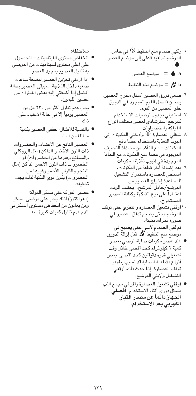- ٥ ركبي صمام منع التنقيط 6 في حامل المرشَّح ثم لفيه لأعلى إلى موضَّع العصر a ● = موضع العصر  $\frac{1}{2}$ موضع منع التنقيط = موضع
- ٦ ضعى دورق العصير أسفل مخرج العصير. يضمنّ فاصل الفوم الموجود في الدورق خلو العصير من الفوم.
	- ∨ استعيني بجدول توصيات الاستخدام كمرجع أسترشادي لعصر مختلف أنواع الفواكه والخضر اوآت.
- ٨ شغلَّى العصارة ۖ ۞ وأدخلي المكونات إلى أنبوب التغذية باستخدام عصا دفع المكونات – مع التأكد من محاذاة التجويف الموجود فى عصا دفع المكونات مع الحافة الموجودة في أنبوب تغذية المكونات.
- ٩ بعد إضافة آخر قطعة من المكونات، اسمحى للعصارة باستمرار التشغيل للمساعدة إخراج العصير من المرشح/حامل المرشح. يختلف الوقت اعتماداً على نوع الفاكهة وكثافة العصير المستخرج.
- ١٠أوقفي تشغيل العصارة وانتظرى حتى توقف المرشح وحتى يصبح تدفق العصير في صورة قطرات بطيئة. .<br>ثم لفي الصمام لأعلي حتى يصبح في<br>موضـع منـع التنقيط ل**ـــه** قبل إزالة الدورق.
	- ا عند عصر مكونات صلبة، نوصى بعصر كمية ٢ كيلوغرام كحد أقصى خلّال وقت تشغيلي قدره دقيقتين كحد أقصى. بعض أنواع الأطعمة الصلبة قد تسبب بطء أو توقف العصارة. إذا حدث ذلك، أوقفي التشغيل وأزيلي المرشح.
- أوقفي تشغيل العصارة وأفرغي مجمع اللب بشكلٌّ دور*ى* أثناء الاستخدام. **آفصلى** الجهاز دائماً عن مصدر التيار الكهربي بعد الاستخدام.

ملاحظة:

- انخفاض محتوى الفيتامينات للحصول على أعلى محتوى للفيتامينات من الموصى به تناول العصير بمجرد العصر.
- إذا أردتي تخزين العصير لبضعة ساعات ضعيه داخل الثلاجة. سيبقى العصير بحالة أفضل إذا أضفتي إليه بعض القطرات من عصير الليمون.
	- يجب عدم تناول أكثر من ٢٣٠ مل من العصير يومياً إلا في حالة الاعتياد على ذلك.
	- بالنسبة للأطفال، خففي العصير بكمية مماثلة من الماء.
- العصير الناتج عن الأعشاب والخضروات ذات اللون الأخضر الداكن (مثل البروكلي والسبانخ وغيرها من الخضروات) أو الخضروات ذات اللون الأحمر الداكن (مثل البنجر والكرنب الأحمر وغيرها من الخضروات) يكون قوي النكهة لذلك يجب تخفيفه.
- عصير الفواكه غنى بسكر الفواكه (الفراكتوز) لذلك يجب على مرضى السكر ومن يعانون من انخفاض مستوى السكر في الدم عدم تناول كميات كبيرة منه.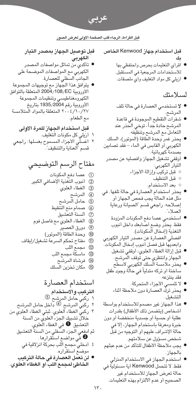

قبل القراءة، الرجاء قلب الصفحة الأولى لعرض الصور

قبل استخدام جهاز Kenwood الخاص ىك

- اقرأي التعليمات بحرص واحتفظي بها للاستخدامات المرجعية في المستقبل.
- أزيلي كل مواد التغليف وأي ملصقات.

لسلامتك

- لا تستخدمي العصارة في حالة تلف المرشح.
- شفرات التقطيع الموجودة في قاعدة المرشح حادة جداً، توخى الحذر عند التعامل مع المرشح وتنظيفه.
- يحذر غمر وحدة الطّاقة (الموتور)، السلك الكهربي أو القابس في الماء – فقد تصابين بصدمة كهربائية.
	- أُوقفي تشغيل الجهاز وافصليه عن مصدر التيار الكهربي: ○ قبل تركيبٌ وإزالة الأجزاء ○ قبل التنظيف ○ بعد الاستخدام.
- يحذر استخدام العصارة فى حالة تلفها . في مثل هذه الحالة يجب فحص الجهاز أو إصلاحه: راجعي قسم "الصيانة ورعاية العملاء".
- استخدمى عصا دفع المكونات المزودة فقط يحذر وضع أصابعك داخل أنبوب التغذية (إدخال المكونات). افصلى ألعصارة عن مصدر التيار الكهربي وابعديها قبل فصل أنبوب إدخال المكونات.
- قبل إزالة الغطاء العلوى، أوقفي تشغيل الجهاز وانتظري حتى توقف المرشح. ● يحذر ملامسة السلك الكهربي لأسطح ساخنة أو تركه متدلياً في حالّة وجود طفل فقد ينتزعه.
	- لا تلمسي الأجزاء المتحركة.
	- يحذر ترك العصارة دون ملاحظة أثناء التشغىل.
- هذا الجهاز غير مصمم للاستخدام بواسطة أشخاص (يتضمن ذلك الأطفال) بقدرات عقلية أو حسية أو جسدية منخفضة أو دون خبرة ومعرفة باستخدام الجهاز، إلا في حالة الإشراف عليهم أو التوجيه من قبل شخص مسؤول عن سلامتهم.
- يجب ملاحظة الأطفال للتأكد من عدم عبثهم بالجهاز.
- استخدم الجهاز في الاستخدام المنزلي فقط. لا تتحمل Kenwood أية مسئولية في حالة تعرض الجهاز للاستخدام غير الصحيح أو عدم الالتزام بهذه التعليمات.

قبل توصيل الجهاز بمصدر التيار الكهربي

- تأك*دي* من تماثل مواصفات المصدر الكهربى مع المواصفات الموضحة على الجانب السفلى للعصارة.
- يتوافق هذا الجّهاز مع توجيهات المجموعة الأوروبية 2004/108/EC المتعلقة بالتوافق الكهرومغناطيسي وتنظيمات المجموعة الأوروبية رقم 1935/2004 بتاريخ ٢٠٠٤/١٠/٢٧ المتعلقة بالمواد المتلامسة مع الطعام.

قدل استخدام الجهاز للمرة الأولى

أزيلي كل مكونات التغليف.  $\rightarrow$ اغسلَّى الأجزاء المسموح بغسلها: راجعي  $\lambda$ قسم "العناية والتنظيف".

> مفتاح الرسم التوضيحي (1) عصا دفع المكونات .<br>② أنبوب التغذية الإضافي الكبير (3) الغطاء العلوى @ المرشح 5) حامل المرشح @ صمام منع التنقيط (7) ألسنة التعشيق 8) الغطاء العلوى مع فاصل فوم @دورق العصير (0) وحدة الطاقة (الموتور) (1) مفتاح تحكم السرعة تشغيل/إيقاف (12) مجمع اللب (13) ماسكة مجمع اللب @ فرشاة المرشح ® مكان تخزين السلك

استخدام العصارة ا**لتركيب والاستخدام**<br>١ ركبي حامل المرشح <sup>⑤</sup>. ٢ ركبيّ المرشح ۞ داخل حامل المرشح. ٢ ركبي الغطاء العلوى. ثبتي الغطاء العلوى من خلال تشبيك الجزء العلوى من ألسنة التعشيق • في الغطاء العلوي. ثم ادفعي الجزء السّفلي من ألسنة التعشيق<br>♦ في مواضع استقرارها . ٤ أدخلي مجمع اللب بحركة انزلاقية في موضــّع اسـتقراره. ● لن تعمل العصارة في حالة التركيب الخاطئ لمجمع اللب أو الغطاء العلوي.